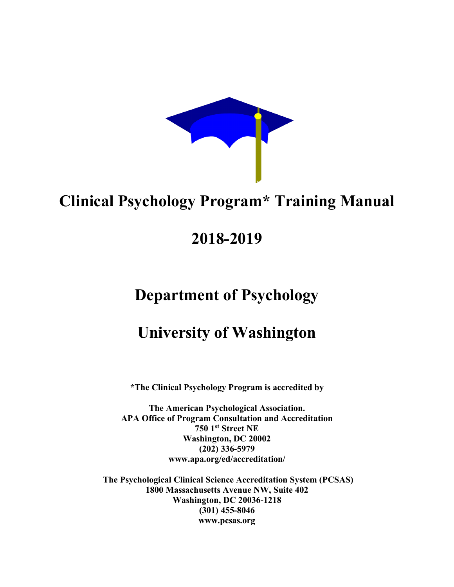

## **Clinical Psychology Program\* Training Manual**

## **2018-2019**

## **Department of Psychology**

## **University of Washington**

**\*The Clinical Psychology Program is accredited by**

**The American Psychological Association. APA Office of Program Consultation and Accreditation 750 1st Street NE Washington, DC 20002 (202) 336-5979 www.apa.org/ed/accreditation/**

**The Psychological Clinical Science Accreditation System (PCSAS) 1800 Massachusetts Avenue NW, Suite 402 Washington, DC 20036-1218 (301) 455-8046 www.pcsas.org**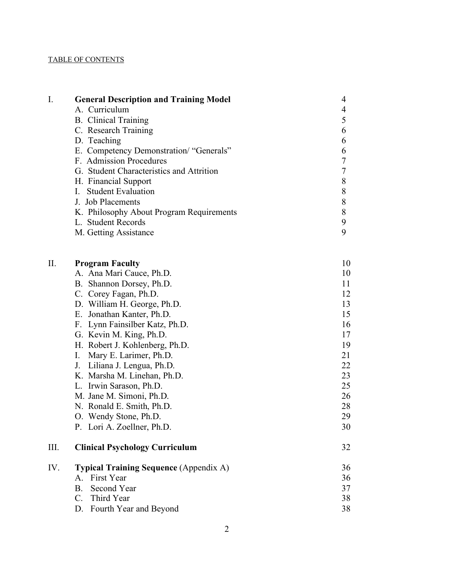#### TABLE OF CONTENTS

| I.  | <b>General Description and Training Model</b> | 4  |
|-----|-----------------------------------------------|----|
|     | A. Curriculum                                 | 4  |
|     | <b>B.</b> Clinical Training                   | 5  |
|     | C. Research Training                          | 6  |
|     | D. Teaching                                   | 6  |
|     | E. Competency Demonstration/ "Generals"       | 6  |
|     | F. Admission Procedures                       |    |
|     | G. Student Characteristics and Attrition      |    |
|     | H. Financial Support                          | 8  |
|     | I. Student Evaluation                         | 8  |
|     | J. Job Placements                             | 8  |
|     | K. Philosophy About Program Requirements      | 8  |
|     | L. Student Records                            | 9  |
|     | M. Getting Assistance                         | 9  |
| II. | <b>Program Faculty</b>                        | 10 |
|     | A. Ana Mari Cauce, Ph.D.                      | 10 |
|     | B. Shannon Dorsey, Ph.D.                      | 11 |
|     | C. Corey Fagan, Ph.D.                         | 12 |
|     | D. William H. George, Ph.D.                   | 13 |

| $P: \ldots$                    |    |
|--------------------------------|----|
| E. Jonathan Kanter, Ph.D.      | 15 |
| F. Lynn Fainsilber Katz, Ph.D. | 16 |
| G. Kevin M. King, Ph.D.        | 17 |
| H. Robert J. Kohlenberg, Ph.D. | 19 |
| I. Mary E. Larimer, Ph.D.      | 21 |
| J. Liliana J. Lengua, Ph.D.    | 22 |
| K. Marsha M. Linehan, Ph.D.    | 23 |
| L. Irwin Sarason, Ph.D.        | 25 |
| M. Jane M. Simoni, Ph.D.       | 26 |
| N. Ronald E. Smith, Ph.D.      | 28 |
| O. Wendy Stone, Ph.D.          | 29 |
|                                |    |

| P. Lori A. Zoellner, Ph.D. |  |
|----------------------------|--|
|                            |  |

| <b>Clinical Psychology Curriculum</b>         |    |
|-----------------------------------------------|----|
| <b>Typical Training Sequence (Appendix A)</b> | 36 |
| A. First Year                                 | 36 |

| B. Second Year            | 37 |
|---------------------------|----|
| C. Third Year             | 38 |
| D. Fourth Year and Beyond | 38 |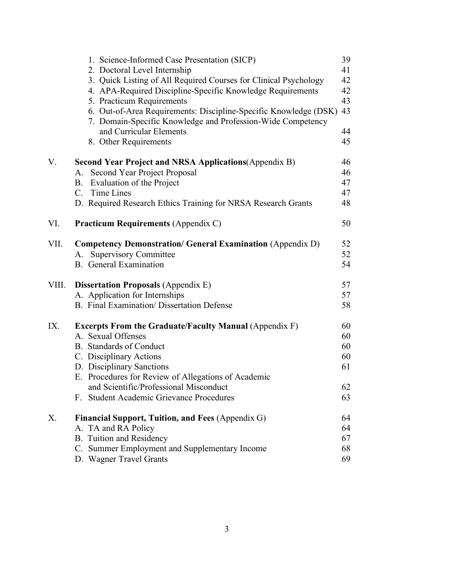|       | 1. Science-Informed Case Presentation (SICP)                                                                                    | 39 |
|-------|---------------------------------------------------------------------------------------------------------------------------------|----|
|       | 2. Doctoral Level Internship                                                                                                    | 41 |
|       | 3. Quick Listing of All Required Courses for Clinical Psychology                                                                | 42 |
|       | 4. APA-Required Discipline-Specific Knowledge Requirements                                                                      | 42 |
|       | 5. Practicum Requirements                                                                                                       | 43 |
|       | 6. Out-of-Area Requirements: Discipline-Specific Knowledge (DSK)<br>7. Domain-Specific Knowledge and Profession-Wide Competency | 43 |
|       | and Curricular Elements                                                                                                         | 44 |
|       | 8. Other Requirements                                                                                                           | 45 |
| V.    | <b>Second Year Project and NRSA Applications (Appendix B)</b>                                                                   | 46 |
|       | Second Year Project Proposal<br>A.                                                                                              | 46 |
|       | B. Evaluation of the Project                                                                                                    | 47 |
|       | C. Time Lines                                                                                                                   | 47 |
|       | D. Required Research Ethics Training for NRSA Research Grants                                                                   | 48 |
| VI.   | <b>Practicum Requirements (Appendix C)</b>                                                                                      | 50 |
| VII.  | <b>Competency Demonstration/ General Examination (Appendix D)</b>                                                               | 52 |
|       | A. Supervisory Committee                                                                                                        | 52 |
|       | <b>B.</b> General Examination                                                                                                   | 54 |
| VIII. | <b>Dissertation Proposals (Appendix E)</b>                                                                                      | 57 |
|       | A. Application for Internships                                                                                                  | 57 |
|       | B. Final Examination/Dissertation Defense                                                                                       | 58 |
| IX.   | <b>Excerpts From the Graduate/Faculty Manual (Appendix F)</b>                                                                   | 60 |
|       | A. Sexual Offenses                                                                                                              | 60 |
|       | <b>B.</b> Standards of Conduct                                                                                                  | 60 |
|       | C. Disciplinary Actions                                                                                                         | 60 |
|       | D. Disciplinary Sanctions                                                                                                       | 61 |
|       | E. Procedures for Review of Allegations of Academic                                                                             |    |
|       | and Scientific/Professional Misconduct                                                                                          | 62 |
|       | F. Student Academic Grievance Procedures                                                                                        | 63 |
| X.    | Financial Support, Tuition, and Fees (Appendix G)                                                                               | 64 |
|       | A. TA and RA Policy                                                                                                             | 64 |
|       | <b>B.</b> Tuition and Residency                                                                                                 | 67 |
|       | C. Summer Employment and Supplementary Income                                                                                   | 68 |
|       | D. Wagner Travel Grants                                                                                                         | 69 |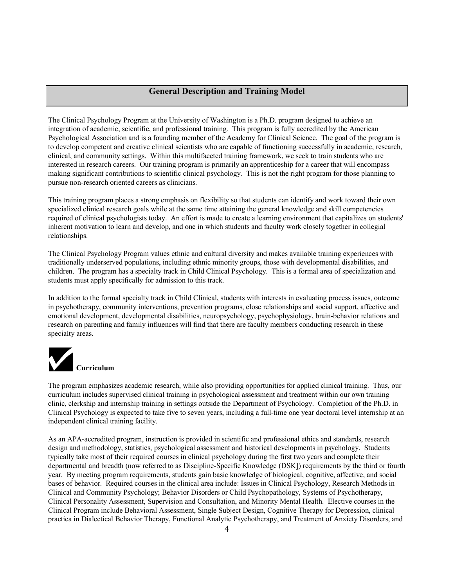#### **General Description and Training Model**

The Clinical Psychology Program at the University of Washington is a Ph.D. program designed to achieve an integration of academic, scientific, and professional training. This program is fully accredited by the American Psychological Association and is a founding member of the Academy for Clinical Science. The goal of the program is to develop competent and creative clinical scientists who are capable of functioning successfully in academic, research, clinical, and community settings. Within this multifaceted training framework, we seek to train students who are interested in research careers. Our training program is primarily an apprenticeship for a career that will encompass making significant contributions to scientific clinical psychology. This is not the right program for those planning to pursue non-research oriented careers as clinicians.

This training program places a strong emphasis on flexibility so that students can identify and work toward their own specialized clinical research goals while at the same time attaining the general knowledge and skill competencies required of clinical psychologists today. An effort is made to create a learning environment that capitalizes on students' inherent motivation to learn and develop, and one in which students and faculty work closely together in collegial relationships.

The Clinical Psychology Program values ethnic and cultural diversity and makes available training experiences with traditionally underserved populations, including ethnic minority groups, those with developmental disabilities, and children. The program has a specialty track in Child Clinical Psychology. This is a formal area of specialization and students must apply specifically for admission to this track.

In addition to the formal specialty track in Child Clinical, students with interests in evaluating process issues, outcome in psychotherapy, community interventions, prevention programs, close relationships and social support, affective and emotional development, developmental disabilities, neuropsychology, psychophysiology, brain-behavior relations and research on parenting and family influences will find that there are faculty members conducting research in these specialty areas.



The program emphasizes academic research, while also providing opportunities for applied clinical training. Thus, our curriculum includes supervised clinical training in psychological assessment and treatment within our own training clinic, clerkship and internship training in settings outside the Department of Psychology. Completion of the Ph.D. in Clinical Psychology is expected to take five to seven years, including a full-time one year doctoral level internship at an independent clinical training facility.

As an APA-accredited program, instruction is provided in scientific and professional ethics and standards, research design and methodology, statistics, psychological assessment and historical developments in psychology. Students typically take most of their required courses in clinical psychology during the first two years and complete their departmental and breadth (now referred to as Discipline-Specific Knowledge (DSK]) requirements by the third or fourth year. By meeting program requirements, students gain basic knowledge of biological, cognitive, affective, and social bases of behavior. Required courses in the clinical area include: Issues in Clinical Psychology, Research Methods in Clinical and Community Psychology; Behavior Disorders or Child Psychopathology, Systems of Psychotherapy, Clinical Personality Assessment, Supervision and Consultation, and Minority Mental Health. Elective courses in the Clinical Program include Behavioral Assessment, Single Subject Design, Cognitive Therapy for Depression, clinical practica in Dialectical Behavior Therapy, Functional Analytic Psychotherapy, and Treatment of Anxiety Disorders, and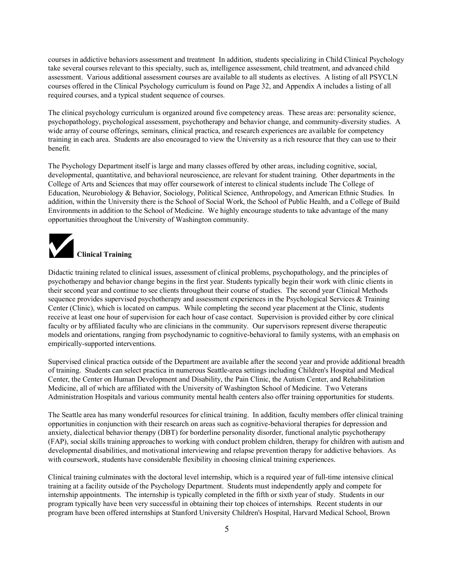courses in addictive behaviors assessment and treatment In addition, students specializing in Child Clinical Psychology take several courses relevant to this specialty, such as, intelligence assessment, child treatment, and advanced child assessment. Various additional assessment courses are available to all students as electives. A listing of all PSYCLN courses offered in the Clinical Psychology curriculum is found on Page 32, and Appendix A includes a listing of all required courses, and a typical student sequence of courses.

The clinical psychology curriculum is organized around five competency areas. These areas are: personality science, psychopathology, psychological assessment, psychotherapy and behavior change, and community-diversity studies. A wide array of course offerings, seminars, clinical practica, and research experiences are available for competency training in each area. Students are also encouraged to view the University as a rich resource that they can use to their benefit.

The Psychology Department itself is large and many classes offered by other areas, including cognitive, social, developmental, quantitative, and behavioral neuroscience, are relevant for student training. Other departments in the College of Arts and Sciences that may offer coursework of interest to clinical students include The College of Education, Neurobiology & Behavior, Sociology, Political Science, Anthropology, and American Ethnic Studies. In addition, within the University there is the School of Social Work, the School of Public Health, and a College of Build Environments in addition to the School of Medicine. We highly encourage students to take advantage of the many opportunities throughout the University of Washington community.



Didactic training related to clinical issues, assessment of clinical problems, psychopathology, and the principles of psychotherapy and behavior change begins in the first year. Students typically begin their work with clinic clients in their second year and continue to see clients throughout their course of studies. The second year Clinical Methods sequence provides supervised psychotherapy and assessment experiences in the Psychological Services & Training Center (Clinic), which is located on campus. While completing the second year placement at the Clinic, students receive at least one hour of supervision for each hour of case contact. Supervision is provided either by core clinical faculty or by affiliated faculty who are clinicians in the community. Our supervisors represent diverse therapeutic models and orientations, ranging from psychodynamic to cognitive-behavioral to family systems, with an emphasis on empirically-supported interventions.

Supervised clinical practica outside of the Department are available after the second year and provide additional breadth of training. Students can select practica in numerous Seattle-area settings including Children's Hospital and Medical Center, the Center on Human Development and Disability, the Pain Clinic, the Autism Center, and Rehabilitation Medicine, all of which are affiliated with the University of Washington School of Medicine. Two Veterans Administration Hospitals and various community mental health centers also offer training opportunities for students.

The Seattle area has many wonderful resources for clinical training. In addition, faculty members offer clinical training opportunities in conjunction with their research on areas such as cognitive-behavioral therapies for depression and anxiety, dialectical behavior therapy (DBT) for borderline personality disorder, functional analytic psychotherapy (FAP), social skills training approaches to working with conduct problem children, therapy for children with autism and developmental disabilities, and motivational interviewing and relapse prevention therapy for addictive behaviors. As with coursework, students have considerable flexibility in choosing clinical training experiences.

Clinical training culminates with the doctoral level internship, which is a required year of full-time intensive clinical training at a facility outside of the Psychology Department. Students must independently apply and compete for internship appointments. The internship is typically completed in the fifth or sixth year of study. Students in our program typically have been very successful in obtaining their top choices of internships. Recent students in our program have been offered internships at Stanford University Children's Hospital, Harvard Medical School, Brown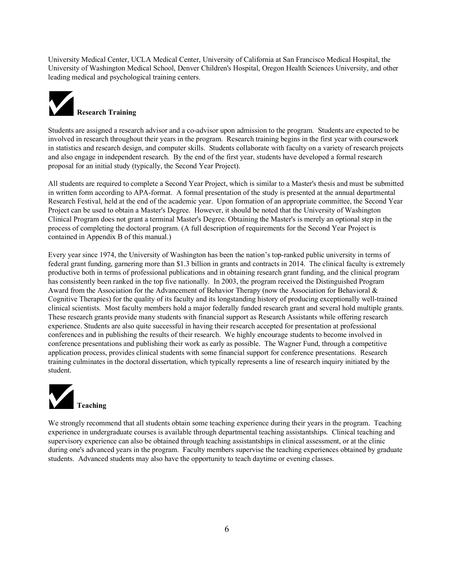University Medical Center, UCLA Medical Center, University of California at San Francisco Medical Hospital, the University of Washington Medical School, Denver Children's Hospital, Oregon Health Sciences University, and other leading medical and psychological training centers.



Students are assigned a research advisor and a co-advisor upon admission to the program. Students are expected to be involved in research throughout their years in the program. Research training begins in the first year with coursework in statistics and research design, and computer skills. Students collaborate with faculty on a variety of research projects and also engage in independent research. By the end of the first year, students have developed a formal research proposal for an initial study (typically, the Second Year Project).

All students are required to complete a Second Year Project, which is similar to a Master's thesis and must be submitted in written form according to APA-format. A formal presentation of the study is presented at the annual departmental Research Festival, held at the end of the academic year. Upon formation of an appropriate committee, the Second Year Project can be used to obtain a Master's Degree. However, it should be noted that the University of Washington Clinical Program does not grant a terminal Master's Degree. Obtaining the Master's is merely an optional step in the process of completing the doctoral program. (A full description of requirements for the Second Year Project is contained in Appendix B of this manual.)

Every year since 1974, the University of Washington has been the nation's top-ranked public university in terms of federal grant funding, garnering more than \$1.3 billion in grants and contracts in 2014. The clinical faculty is extremely productive both in terms of professional publications and in obtaining research grant funding, and the clinical program has consistently been ranked in the top five nationally. In 2003, the program received the Distinguished Program Award from the Association for the Advancement of Behavior Therapy (now the Association for Behavioral  $\&$ Cognitive Therapies) for the quality of its faculty and its longstanding history of producing exceptionally well-trained clinical scientists. Most faculty members hold a major federally funded research grant and several hold multiple grants. These research grants provide many students with financial support as Research Assistants while offering research experience. Students are also quite successful in having their research accepted for presentation at professional conferences and in publishing the results of their research. We highly encourage students to become involved in conference presentations and publishing their work as early as possible. The Wagner Fund, through a competitive application process, provides clinical students with some financial support for conference presentations. Research training culminates in the doctoral dissertation, which typically represents a line of research inquiry initiated by the student.



We strongly recommend that all students obtain some teaching experience during their years in the program. Teaching experience in undergraduate courses is available through departmental teaching assistantships. Clinical teaching and supervisory experience can also be obtained through teaching assistantships in clinical assessment, or at the clinic during one's advanced years in the program. Faculty members supervise the teaching experiences obtained by graduate students. Advanced students may also have the opportunity to teach daytime or evening classes.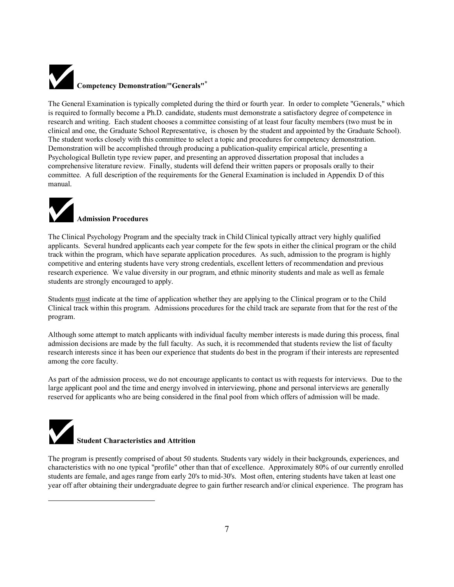# **Competency Demonstration/"Generals"\***

The General Examination is typically completed during the third or fourth year. In order to complete "Generals," which is required to formally become a Ph.D. candidate, students must demonstrate a satisfactory degree of competence in research and writing. Each student chooses a committee consisting of at least four faculty members (two must be in clinical and one, the Graduate School Representative, is chosen by the student and appointed by the Graduate School). The student works closely with this committee to select a topic and procedures for competency demonstration. Demonstration will be accomplished through producing a publication-quality empirical article, presenting a Psychological Bulletin type review paper, and presenting an approved dissertation proposal that includes a comprehensive literature review. Finally, students will defend their written papers or proposals orally to their committee. A full description of the requirements for the General Examination is included in Appendix D of this manual.



The Clinical Psychology Program and the specialty track in Child Clinical typically attract very highly qualified applicants. Several hundred applicants each year compete for the few spots in either the clinical program or the child track within the program, which have separate application procedures. As such, admission to the program is highly competitive and entering students have very strong credentials, excellent letters of recommendation and previous research experience. We value diversity in our program, and ethnic minority students and male as well as female students are strongly encouraged to apply.

Students must indicate at the time of application whether they are applying to the Clinical program or to the Child Clinical track within this program. Admissions procedures for the child track are separate from that for the rest of the program.

Although some attempt to match applicants with individual faculty member interests is made during this process, final admission decisions are made by the full faculty. As such, it is recommended that students review the list of faculty research interests since it has been our experience that students do best in the program if their interests are represented among the core faculty.

As part of the admission process, we do not encourage applicants to contact us with requests for interviews. Due to the large applicant pool and the time and energy involved in interviewing, phone and personal interviews are generally reserved for applicants who are being considered in the final pool from which offers of admission will be made.



 $\overline{a}$ 

The program is presently comprised of about 50 students. Students vary widely in their backgrounds, experiences, and characteristics with no one typical "profile" other than that of excellence. Approximately 80% of our currently enrolled students are female, and ages range from early 20's to mid-30's. Most often, entering students have taken at least one year off after obtaining their undergraduate degree to gain further research and/or clinical experience. The program has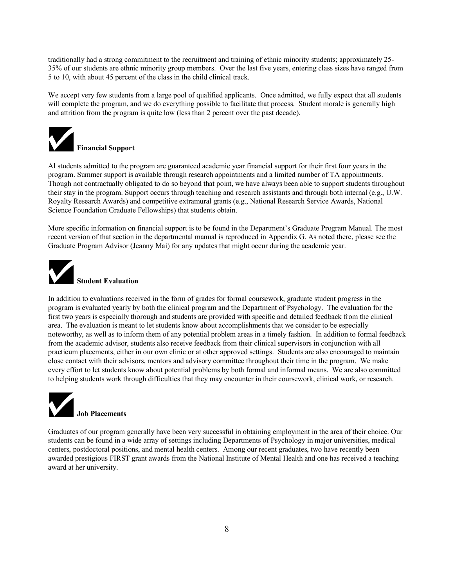traditionally had a strong commitment to the recruitment and training of ethnic minority students; approximately 25- 35% of our students are ethnic minority group members. Over the last five years, entering class sizes have ranged from 5 to 10, with about 45 percent of the class in the child clinical track.

We accept very few students from a large pool of qualified applicants. Once admitted, we fully expect that all students will complete the program, and we do everything possible to facilitate that process. Student morale is generally high and attrition from the program is quite low (less than 2 percent over the past decade).



Al students admitted to the program are guaranteed academic year financial support for their first four years in the program. Summer support is available through research appointments and a limited number of TA appointments. Though not contractually obligated to do so beyond that point, we have always been able to support students throughout their stay in the program. Support occurs through teaching and research assistants and through both internal (e.g., U.W. Royalty Research Awards) and competitive extramural grants (e.g., National Research Service Awards, National Science Foundation Graduate Fellowships) that students obtain.

More specific information on financial support is to be found in the Department's Graduate Program Manual. The most recent version of that section in the departmental manual is reproduced in Appendix G. As noted there, please see the Graduate Program Advisor (Jeanny Mai) for any updates that might occur during the academic year.



In addition to evaluations received in the form of grades for formal coursework, graduate student progress in the program is evaluated yearly by both the clinical program and the Department of Psychology. The evaluation for the first two years is especially thorough and students are provided with specific and detailed feedback from the clinical area. The evaluation is meant to let students know about accomplishments that we consider to be especially noteworthy, as well as to inform them of any potential problem areas in a timely fashion. In addition to formal feedback from the academic advisor, students also receive feedback from their clinical supervisors in conjunction with all practicum placements, either in our own clinic or at other approved settings. Students are also encouraged to maintain close contact with their advisors, mentors and advisory committee throughout their time in the program. We make every effort to let students know about potential problems by both formal and informal means. We are also committed to helping students work through difficulties that they may encounter in their coursework, clinical work, or research.



Graduates of our program generally have been very successful in obtaining employment in the area of their choice. Our students can be found in a wide array of settings including Departments of Psychology in major universities, medical centers, postdoctoral positions, and mental health centers. Among our recent graduates, two have recently been awarded prestigious FIRST grant awards from the National Institute of Mental Health and one has received a teaching award at her university.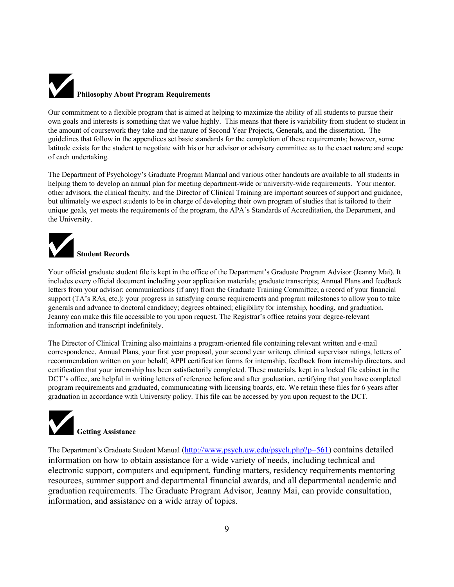# **Philosophy About Program Requirements**

Our commitment to a flexible program that is aimed at helping to maximize the ability of all students to pursue their own goals and interests is something that we value highly. This means that there is variability from student to student in the amount of coursework they take and the nature of Second Year Projects, Generals, and the dissertation. The guidelines that follow in the appendices set basic standards for the completion of these requirements; however, some latitude exists for the student to negotiate with his or her advisor or advisory committee as to the exact nature and scope of each undertaking.

The Department of Psychology's Graduate Program Manual and various other handouts are available to all students in helping them to develop an annual plan for meeting department-wide or university-wide requirements. Your mentor, other advisors, the clinical faculty, and the Director of Clinical Training are important sources of support and guidance, but ultimately we expect students to be in charge of developing their own program of studies that is tailored to their unique goals, yet meets the requirements of the program, the APA's Standards of Accreditation, the Department, and the University.

## **Student Records**

Your official graduate student file is kept in the office of the Department's Graduate Program Advisor (Jeanny Mai). It includes every official document including your application materials; graduate transcripts; Annual Plans and feedback letters from your advisor; communications (if any) from the Graduate Training Committee; a record of your financial support (TA's RAs, etc.); your progress in satisfying course requirements and program milestones to allow you to take generals and advance to doctoral candidacy; degrees obtained; eligibility for internship, hooding, and graduation. Jeanny can make this file accessible to you upon request. The Registrar's office retains your degree-relevant information and transcript indefinitely.

The Director of Clinical Training also maintains a program-oriented file containing relevant written and e-mail correspondence, Annual Plans, your first year proposal, your second year writeup, clinical supervisor ratings, letters of recommendation written on your behalf; APPI certification forms for internship, feedback from internship directors, and certification that your internship has been satisfactorily completed. These materials, kept in a locked file cabinet in the DCT's office, are helpful in writing letters of reference before and after graduation, certifying that you have completed program requirements and graduated, communicating with licensing boards, etc. We retain these files for 6 years after graduation in accordance with University policy. This file can be accessed by you upon request to the DCT.



The Department's Graduate Student Manual (http://www.psych.uw.edu/psych.php?p=561) contains detailed information on how to obtain assistance for a wide variety of needs, including technical and electronic support, computers and equipment, funding matters, residency requirements mentoring resources, summer support and departmental financial awards, and all departmental academic and graduation requirements. The Graduate Program Advisor, Jeanny Mai, can provide consultation, information, and assistance on a wide array of topics.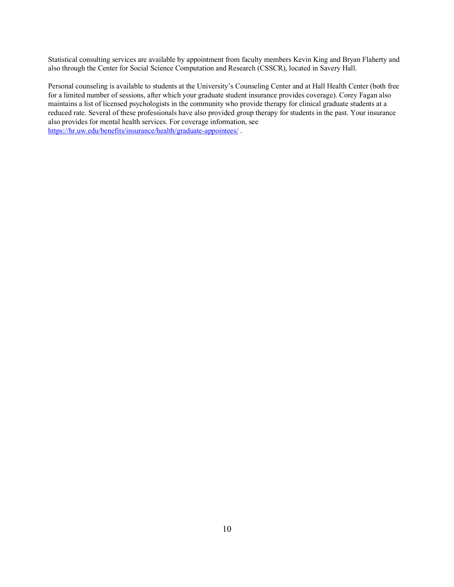Statistical consulting services are available by appointment from faculty members Kevin King and Bryan Flaherty and also through the Center for Social Science Computation and Research (CSSCR), located in Savery Hall.

Personal counseling is available to students at the University's Counseling Center and at Hall Health Center (both free for a limited number of sessions, after which your graduate student insurance provides coverage). Corey Fagan also maintains a list of licensed psychologists in the community who provide therapy for clinical graduate students at a reduced rate. Several of these professionals have also provided group therapy for students in the past. Your insurance also provides for mental health services. For coverage information, see https://hr.uw.edu/benefits/insurance/health/graduate-appointees/ .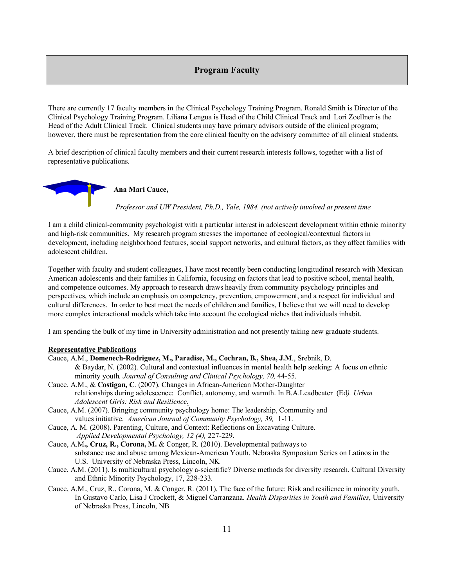#### **Program Faculty**

There are currently 17 faculty members in the Clinical Psychology Training Program. Ronald Smith is Director of the Clinical Psychology Training Program. Liliana Lengua is Head of the Child Clinical Track and Lori Zoellner is the Head of the Adult Clinical Track. Clinical students may have primary advisors outside of the clinical program; however, there must be representation from the core clinical faculty on the advisory committee of all clinical students.

A brief description of clinical faculty members and their current research interests follows, together with a list of representative publications.



I am a child clinical-community psychologist with a particular interest in adolescent development within ethnic minority and high-risk communities. My research program stresses the importance of ecological/contextual factors in development, including neighborhood features, social support networks, and cultural factors, as they affect families with adolescent children.

Together with faculty and student colleagues, I have most recently been conducting longitudinal research with Mexican American adolescents and their families in California, focusing on factors that lead to positive school, mental health, and competence outcomes. My approach to research draws heavily from community psychology principles and perspectives, which include an emphasis on competency, prevention, empowerment, and a respect for individual and cultural differences. In order to best meet the needs of children and families, I believe that we will need to develop more complex interactional models which take into account the ecological niches that individuals inhabit.

I am spending the bulk of my time in University administration and not presently taking new graduate students.

#### **Representative Publications**

- Cauce, A.M., **Domenech-Rodriguez, M., Paradise, M., Cochran, B., Shea, J.M**., Srebnik, D. & Baydar, N. (2002). Cultural and contextual influences in mental health help seeking: A focus on ethnic minority youth*. Journal of Consulting and Clinical Psychology, 70,* 44-55. Cauce. A.M., & **Costigan, C**. (2007). Changes in African-American Mother-Daughter
- relationships during adolescence: Conflict, autonomy, and warmth. In B.A.Leadbeater (Ed*). Urban Adolescent Girls: Risk and Resilience.*
- Cauce, A.M. (2007). Bringing community psychology home: The leadership, Community and values initiative. *American Journal of Community Psychology, 39,* 1-11.
- Cauce, A. M. (2008). Parenting, Culture, and Context: Reflections on Excavating Culture. *Applied Developmental Psychology, 12 (4),* 227-229.
- Cauce, A.M**., Cruz, R., Corona, M.** & Conger, R. (2010). Developmental pathways to substance use and abuse among Mexican-American Youth. Nebraska Symposium Series on Latinos in the U.S. University of Nebraska Press, Lincoln, NK
- Cauce, A.M. (2011). Is multicultural psychology a-scientific? Diverse methods for diversity research. Cultural Diversity and Ethnic Minority Psychology, 17, 228-233.
- Cauce, A.M., Cruz, R., Corona, M. & Conger, R. (2011). The face of the future: Risk and resilience in minority youth. In Gustavo Carlo, Lisa J Crockett, & Miguel Carranzana. *Health Disparities in Youth and Families*, University of Nebraska Press, Lincoln, NB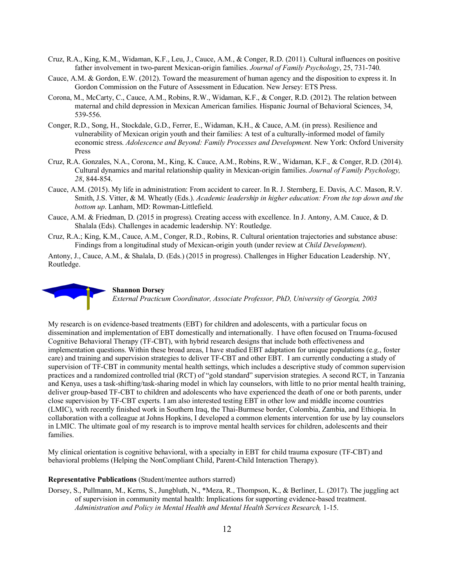- Cruz, R.A., King, K.M., Widaman, K.F., Leu, J., Cauce, A.M., & Conger, R.D. (2011). Cultural influences on positive father involvement in two-parent Mexican-origin families. *Journal of Family Psychology*, 25, 731-740.
- Cauce, A.M. & Gordon, E.W. (2012). Toward the measurement of human agency and the disposition to express it. In Gordon Commission on the Future of Assessment in Education. New Jersey: ETS Press.
- Corona, M., McCarty, C., Cauce, A.M., Robins, R.W., Widaman, K.F., & Conger, R.D. (2012). The relation between maternal and child depression in Mexican American families. Hispanic Journal of Behavioral Sciences, 34, 539-556.
- Conger, R.D., Song, H., Stockdale, G.D., Ferrer, E., Widaman, K.H., & Cauce, A.M. (in press). Resilience and vulnerability of Mexican origin youth and their families: A test of a culturally-informed model of family economic stress. *Adolescence and Beyond: Family Processes and Development.* New York: Oxford University Press
- Cruz, R.A. Gonzales, N.A., Corona, M., King, K. Cauce, A.M., Robins, R.W., Widaman, K.F., & Conger, R.D. (2014). Cultural dynamics and marital relationship quality in Mexican-origin families. *Journal of Family Psychology, 28*, 844-854.
- Cauce, A.M. (2015). My life in administration: From accident to career. In R. J. Sternberg, E. Davis, A.C. Mason, R.V. Smith, J.S. Vitter, & M. Wheatly (Eds.). *Academic leadership in higher education: From the top down and the bottom up*. Lanham, MD: Rowman-Littlefield.
- Cauce, A.M. & Friedman, D. (2015 in progress). Creating access with excellence. In J. Antony, A.M. Cauce, & D. Shalala (Eds). Challenges in academic leadership. NY: Routledge.
- Cruz, R.A.; King, K.M., Cauce, A.M., Conger, R.D., Robins, R. Cultural orientation trajectories and substance abuse: Findings from a longitudinal study of Mexican-origin youth (under review at *Child Development*).

Antony, J., Cauce, A.M., & Shalala, D. (Eds.) (2015 in progress). Challenges in Higher Education Leadership. NY, Routledge.



#### **Shannon Dorsey**

*External Practicum Coordinator, Associate Professor, PhD, University of Georgia, 2003*

My research is on evidence-based treatments (EBT) for children and adolescents, with a particular focus on dissemination and implementation of EBT domestically and internationally. I have often focused on Trauma-focused Cognitive Behavioral Therapy (TF-CBT), with hybrid research designs that include both effectiveness and implementation questions. Within these broad areas, I have studied EBT adaptation for unique populations (e.g., foster care) and training and supervision strategies to deliver TF-CBT and other EBT. I am currently conducting a study of supervision of TF-CBT in community mental health settings, which includes a descriptive study of common supervision practices and a randomized controlled trial (RCT) of "gold standard" supervision strategies. A second RCT, in Tanzania and Kenya, uses a task-shifting/task-sharing model in which lay counselors, with little to no prior mental health training, deliver group-based TF-CBT to children and adolescents who have experienced the death of one or both parents, under close supervision by TF-CBT experts. I am also interested testing EBT in other low and middle income countries (LMIC), with recently finished work in Southern Iraq, the Thai-Burmese border, Colombia, Zambia, and Ethiopia. In collaboration with a colleague at Johns Hopkins, I developed a common elements intervention for use by lay counselors in LMIC. The ultimate goal of my research is to improve mental health services for children, adolescents and their families.

My clinical orientation is cognitive behavioral, with a specialty in EBT for child trauma exposure (TF-CBT) and behavioral problems (Helping the NonCompliant Child, Parent-Child Interaction Therapy).

#### **Representative Publications** (Student/mentee authors starred)

Dorsey, S., Pullmann, M., Kerns, S., Jungbluth, N., \*Meza, R., Thompson, K., & Berliner, L. (2017). The juggling act of supervision in community mental health: Implications for supporting evidence-based treatment. *Administration and Policy in Mental Health and Mental Health Services Research,* 1-15.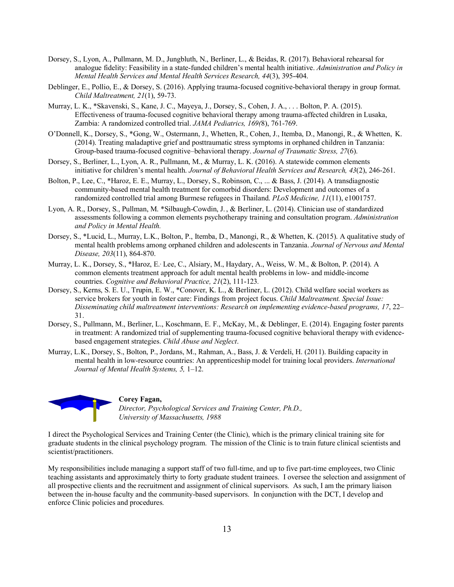- Dorsey, S., Lyon, A., Pullmann, M. D., Jungbluth, N., Berliner, L., & Beidas, R. (2017). Behavioral rehearsal for analogue fidelity: Feasibility in a state-funded children's mental health initiative. *Administration and Policy in Mental Health Services and Mental Health Services Research, 44*(3), 395-404.
- Deblinger, E., Pollio, E., & Dorsey, S. (2016). Applying trauma-focused cognitive-behavioral therapy in group format. *Child Maltreatment, 21*(1), 59-73.
- Murray, L. K., \*Skavenski, S., Kane, J. C., Mayeya, J., Dorsey, S., Cohen, J. A., . . . Bolton, P. A. (2015). Effectiveness of trauma-focused cognitive behavioral therapy among trauma-affected children in Lusaka, Zambia: A randomized controlled trial. *JAMA Pediatrics, 169(*8), 761-769.
- O'Donnell, K., Dorsey, S., \*Gong, W., Ostermann, J., Whetten, R., Cohen, J., Itemba, D., Manongi, R., & Whetten, K. (2014). Treating maladaptive grief and posttraumatic stress symptoms in orphaned children in Tanzania: Group-based trauma-focused cognitive–behavioral therapy. *Journal of Traumatic Stress, 27*(6).
- Dorsey, S., Berliner, L., Lyon, A. R., Pullmann, M., & Murray, L. K. (2016). A statewide common elements initiative for children's mental health. *Journal of Behavioral Health Services and Research, 43*(2), 246-261.
- Bolton, P., Lee, C., \*Haroz, E. E., Murray, L., Dorsey, S., Robinson, C., ... & Bass, J. (2014). A transdiagnostic community-based mental health treatment for comorbid disorders: Development and outcomes of a randomized controlled trial among Burmese refugees in Thailand. *PLoS Medicine, 11*(11), e1001757.
- Lyon, A. R., Dorsey, S., Pullman, M. \*Silbaugh-Cowdin, J. , & Berliner, L. (2014). Clinician use of standardized assessments following a common elements psychotherapy training and consultation program. *Administration and Policy in Mental Health.*
- Dorsey, S., \*Lucid, L., Murray, L.K., Bolton, P., Itemba, D., Manongi, R., & Whetten, K. (2015). A qualitative study of mental health problems among orphaned children and adolescents in Tanzania. *Journal of Nervous and Mental Disease, 203*(11), 864-870.
- Murray, L. K., Dorsey, S., \*Haroz, E.<sup>,</sup> Lee, C., Alsiary, M., Haydary, A., Weiss, W. M., & Bolton, P. (2014). A common elements treatment approach for adult mental health problems in low- and middle-income countries. *Cognitive and Behavioral Practice, 21*(2), 111-123*.*
- Dorsey, S., Kerns, S. E. U., Trupin, E. W., \*Conover, K. L., & Berliner, L. (2012). Child welfare social workers as service brokers for youth in foster care: Findings from project focus. *Child Maltreatment. Special Issue: Disseminating child maltreatment interventions: Research on implementing evidence-based programs, 17*, 22– 31.
- Dorsey, S., Pullmann, M., Berliner, L., Koschmann, E. F., McKay, M., & Deblinger, E. (2014). Engaging foster parents in treatment: A randomized trial of supplementing trauma-focused cognitive behavioral therapy with evidencebased engagement strategies. *Child Abuse and Neglect*.
- Murray, L.K., Dorsey, S., Bolton, P., Jordans, M., Rahman, A., Bass, J. & Verdeli, H. (2011). Building capacity in mental health in low-resource countries: An apprenticeship model for training local providers. *International Journal of Mental Health Systems, 5,* 1–12.



#### **Corey Fagan,**

*Director, Psychological Services and Training Center, Ph.D., University of Massachusetts, 1988*

I direct the Psychological Services and Training Center (the Clinic), which is the primary clinical training site for graduate students in the clinical psychology program. The mission of the Clinic is to train future clinical scientists and scientist/practitioners.

My responsibilities include managing a support staff of two full-time, and up to five part-time employees, two Clinic teaching assistants and approximately thirty to forty graduate student trainees. I oversee the selection and assignment of all prospective clients and the recruitment and assignment of clinical supervisors. As such, I am the primary liaison between the in-house faculty and the community-based supervisors. In conjunction with the DCT, I develop and enforce Clinic policies and procedures.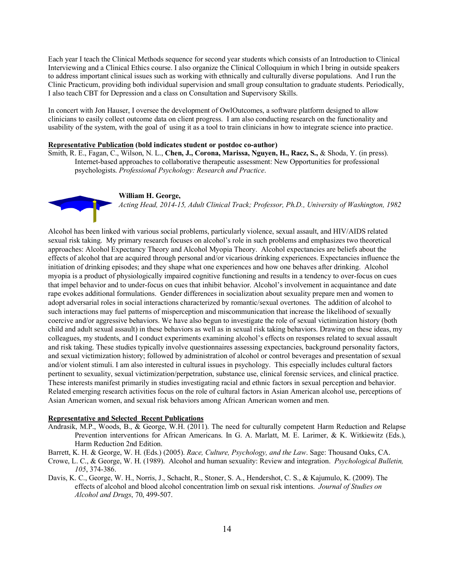Each year I teach the Clinical Methods sequence for second year students which consists of an Introduction to Clinical Interviewing and a Clinical Ethics course. I also organize the Clinical Colloquium in which I bring in outside speakers to address important clinical issues such as working with ethnically and culturally diverse populations. And I run the Clinic Practicum, providing both individual supervision and small group consultation to graduate students. Periodically, I also teach CBT for Depression and a class on Consultation and Supervisory Skills.

In concert with Jon Hauser, I oversee the development of OwlOutcomes, a software platform designed to allow clinicians to easily collect outcome data on client progress. I am also conducting research on the functionality and usability of the system, with the goal of using it as a tool to train clinicians in how to integrate science into practice.

#### **Representative Publication (bold indicates student or postdoc co-author)**

Smith, R. E., Fagan, C., Wilson, N. L., **Chen, J., Corona, Marissa, Nguyen, H., Racz, S.,** & Shoda, Y. (in press). Internet-based approaches to collaborative therapeutic assessment: New Opportunities for professional psychologists. *Professional Psychology: Research and Practice*.

#### **William H. George,**

*Acting Head, 2014-15, Adult Clinical Track; Professor, Ph.D., University of Washington, 1982*

Alcohol has been linked with various social problems, particularly violence, sexual assault, and HIV/AIDS related sexual risk taking. My primary research focuses on alcohol's role in such problems and emphasizes two theoretical approaches: Alcohol Expectancy Theory and Alcohol Myopia Theory. Alcohol expectancies are beliefs about the effects of alcohol that are acquired through personal and/or vicarious drinking experiences. Expectancies influence the initiation of drinking episodes; and they shape what one experiences and how one behaves after drinking. Alcohol myopia is a product of physiologically impaired cognitive functioning and results in a tendency to over-focus on cues that impel behavior and to under-focus on cues that inhibit behavior. Alcohol's involvement in acquaintance and date rape evokes additional formulations. Gender differences in socialization about sexuality prepare men and women to adopt adversarial roles in social interactions characterized by romantic/sexual overtones. The addition of alcohol to such interactions may fuel patterns of misperception and miscommunication that increase the likelihood of sexually coercive and/or aggressive behaviors. We have also begun to investigate the role of sexual victimization history (both child and adult sexual assault) in these behaviors as well as in sexual risk taking behaviors. Drawing on these ideas, my colleagues, my students, and I conduct experiments examining alcohol's effects on responses related to sexual assault and risk taking. These studies typically involve questionnaires assessing expectancies, background personality factors, and sexual victimization history; followed by administration of alcohol or control beverages and presentation of sexual and/or violent stimuli. I am also interested in cultural issues in psychology. This especially includes cultural factors pertinent to sexuality, sexual victimization/perpetration, substance use, clinical forensic services, and clinical practice. These interests manifest primarily in studies investigating racial and ethnic factors in sexual perception and behavior. Related emerging research activities focus on the role of cultural factors in Asian American alcohol use, perceptions of Asian American women, and sexual risk behaviors among African American women and men.

#### **Representative and Selected Recent Publications**

Andrasik, M.P., Woods, B., & George, W.H. (2011). The need for culturally competent Harm Reduction and Relapse Prevention interventions for African Americans. In G. A. Marlatt, M. E. Larimer, & K. Witkiewitz (Eds.), Harm Reduction 2nd Edition.

Barrett, K. H. & George, W. H. (Eds.) (2005). *Race, Culture, Psychology, and the Law*. Sage: Thousand Oaks, CA.

- Crowe, L. C., & George, W. H. (1989). Alcohol and human sexuality: Review and integration. *Psychological Bulletin, 105*, 374-386.
- Davis, K. C., George, W. H., Norris, J., Schacht, R., Stoner, S. A., Hendershot, C. S., & Kajumulo, K. (2009). The effects of alcohol and blood alcohol concentration limb on sexual risk intentions. *Journal of Studies on Alcohol and Drugs*, 70, 499-507.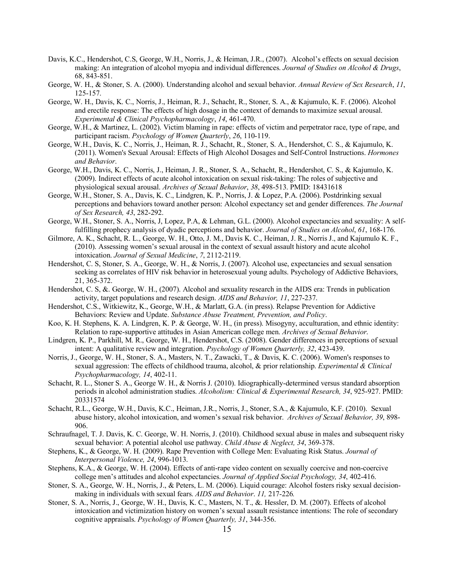- Davis, K.C., Hendershot, C.S, George, W.H., Norris, J., & Heiman, J.R., (2007). Alcohol's effects on sexual decision making: An integration of alcohol myopia and individual differences. *Journal of Studies on Alcohol & Drugs*, 68, 843-851.
- George, W. H., & Stoner, S. A. (2000). Understanding alcohol and sexual behavior. *Annual Review of Sex Research*, *11*, 125-157.
- George, W. H., Davis, K. C., Norris, J., Heiman, R. J., Schacht, R., Stoner, S. A., & Kajumulo, K. F. (2006). Alcohol and erectile response: The effects of high dosage in the context of demands to maximize sexual arousal. *Experimental & Clinical Psychopharmacology*, *14*, 461-470.
- George, W.H., & Martinez, L. (2002). Victim blaming in rape: effects of victim and perpetrator race, type of rape, and participant racism. *Psychology of Women Quarterly*, *26*, 110-119.
- George, W.H., Davis, K. C., Norris, J., Heiman, R. J., Schacht, R., Stoner, S. A., Hendershot, C. S., & Kajumulo, K. (2011). Women's Sexual Arousal: Effects of High Alcohol Dosages and Self-Control Instructions. *Hormones and Behavior*.
- George, W.H., Davis, K. C., Norris, J., Heiman, J. R., Stoner, S. A., Schacht, R., Hendershot, C. S., & Kajumulo, K. (2009). Indirect effects of acute alcohol intoxication on sexual risk-taking: The roles of subjective and physiological sexual arousal. *Archives of Sexual Behavior*, *38*, 498-513. PMID: 18431618
- George, W.H., Stoner, S. A., Davis, K. C., Lindgren, K. P., Norris, J. & Lopez, P.A. (2006). Postdrinking sexual perceptions and behaviors toward another person: Alcohol expectancy set and gender differences. *The Journal of Sex Research, 43*, 282-292.
- George, W.H., Stoner, S. A., Norris, J, Lopez, P.A, & Lehman, G.L. (2000). Alcohol expectancies and sexuality: A selffulfilling prophecy analysis of dyadic perceptions and behavior. *Journal of Studies on Alcohol*, *61*, 168-176.
- Gilmore, A. K., Schacht, R. L., George, W. H., Otto, J. M., Davis K. C., Heiman, J. R., Norris J., and Kajumulo K. F., (2010). Assessing women's sexual arousal in the context of sexual assault history and acute alcohol intoxication. *Journal of Sexual Medicine*, *7*, 2112-2119.
- Hendershot, C. S, Stoner, S. A., George, W. H., & Norris, J. (2007). Alcohol use, expectancies and sexual sensation seeking as correlates of HIV risk behavior in heterosexual young adults. Psychology of Addictive Behaviors, 21, 365-372.
- Hendershot, C. S, &. George, W. H., (2007). Alcohol and sexuality research in the AIDS era: Trends in publication activity, target populations and research design. *AIDS and Behavior, 11*, 227-237.
- Hendershot, C.S., Witkiewitz, K., George, W.H., & Marlatt, G.A. (in press). Relapse Prevention for Addictive Behaviors: Review and Update. *Substance Abuse Treatment, Prevention, and Policy*.
- Koo, K. H. Stephens, K. A. Lindgren, K. P. & George, W. H., (in press). Misogyny, acculturation, and ethnic identity: Relation to rape-supportive attitudes in Asian American college men. *Archives of Sexual Behavior*.
- Lindgren, K. P., Parkhill, M. R., George, W. H., Hendershot, C.S. (2008). Gender differences in perceptions of sexual intent: A qualitative review and integration. *Psychology of Women Quarterly, 32*, 423-439.
- Norris, J., George, W. H., Stoner, S. A., Masters, N. T., Zawacki, T., & Davis, K. C. (2006). Women's responses to sexual aggression: The effects of childhood trauma, alcohol, & prior relationship. *Experimental & Clinical Psychopharmacology, 14*, 402-11.
- Schacht, R. L., Stoner S. A., George W. H., & Norris J. (2010). Idiographically-determined versus standard absorption periods in alcohol administration studies. *Alcoholism: Clinical & Experimental Research, 34*, 925-927. PMID: 20331574
- Schacht, R.L., George, W.H., Davis, K.C., Heiman, J.R., Norris, J., Stoner, S.A., & Kajumulo, K.F. (2010). Sexual abuse history, alcohol intoxication, and women's sexual risk behavior. *Archives of Sexual Behavior, 39*, 898- 906.
- Schraufnagel, T. J. Davis, K. C. George, W. H. Norris, J. (2010). Childhood sexual abuse in males and subsequent risky sexual behavior: A potential alcohol use pathway. *Child Abuse & Neglect, 34*, 369-378.
- Stephens, K., & George, W. H. (2009). Rape Prevention with College Men: Evaluating Risk Status. *Journal of Interpersonal Violence, 24*, 996-1013.
- Stephens, K.A., & George, W. H. (2004). Effects of anti-rape video content on sexually coercive and non-coercive college men's attitudes and alcohol expectancies. *Journal of Applied Social Psychology, 34*, 402-416.
- Stoner, S. A., George, W. H., Norris, J., & Peters, L. M. (2006). Liquid courage: Alcohol fosters risky sexual decisionmaking in individuals with sexual fears. *AIDS and Behavior*. *11,* 217-226*.*
- Stoner, S. A., Norris, J., George, W. H., Davis, K. C., Masters, N. T., &. Hessler, D. M. (2007). Effects of alcohol intoxication and victimization history on women's sexual assault resistance intentions: The role of secondary cognitive appraisals. *Psychology of Women Quarterly, 31*, 344-356.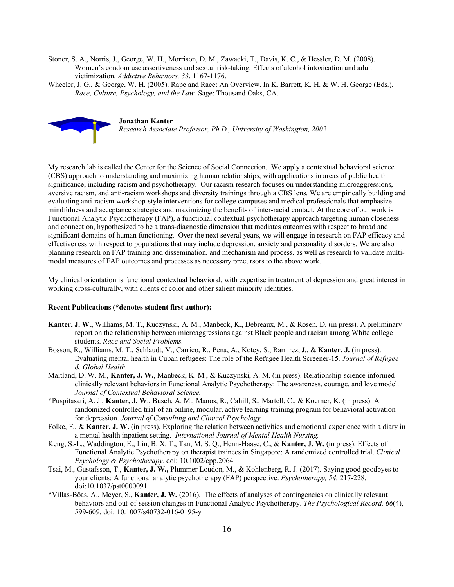Stoner, S. A., Norris, J., George, W. H., Morrison, D. M., Zawacki, T., Davis, K. C., & Hessler, D. M. (2008). Women's condom use assertiveness and sexual risk-taking: Effects of alcohol intoxication and adult victimization. *Addictive Behaviors, 33*, 1167-1176.

Wheeler, J. G., & George, W. H. (2005). Rape and Race: An Overview. In K. Barrett, K. H. & W. H. George (Eds.). *Race, Culture, Psychology, and the Law*. Sage: Thousand Oaks, CA.



My research lab is called the Center for the Science of Social Connection. We apply a contextual behavioral science (CBS) approach to understanding and maximizing human relationships, with applications in areas of public health significance, including racism and psychotherapy. Our racism research focuses on understanding microaggressions, aversive racism, and anti-racism workshops and diversity trainings through a CBS lens. We are empirically building and evaluating anti-racism workshop-style interventions for college campuses and medical professionals that emphasize mindfulness and acceptance strategies and maximizing the benefits of inter-racial contact. At the core of our work is Functional Analytic Psychotherapy (FAP), a functional contextual psychotherapy approach targeting human closeness and connection, hypothesized to be a trans-diagnostic dimension that mediates outcomes with respect to broad and significant domains of human functioning. Over the next several years, we will engage in research on FAP efficacy and effectiveness with respect to populations that may include depression, anxiety and personality disorders. We are also planning research on FAP training and dissemination, and mechanism and process, as well as research to validate multimodal measures of FAP outcomes and processes as necessary precursors to the above work.

My clinical orientation is functional contextual behavioral, with expertise in treatment of depression and great interest in working cross-culturally, with clients of color and other salient minority identities.

#### **Recent Publications (\*denotes student first author):**

- **Kanter, J. W.,** Williams, M. T., Kuczynski, A. M., Manbeck, K., Debreaux, M., & Rosen, D. (in press). A preliminary report on the relationship between microaggressions against Black people and racism among White college students. *Race and Social Problems.*
- Bosson, R., Williams, M. T., Schlaudt, V., Carrico, R., Pena, A., Kotey, S., Ramirez, J., & **Kanter, J.** (in press). Evaluating mental health in Cuban refugees: The role of the Refugee Health Screener-15. *Journal of Refugee & Global Health.*
- Maitland, D. W. M., **Kanter, J. W.**, Manbeck, K. M., & Kuczynski, A. M. (in press). Relationship-science informed clinically relevant behaviors in Functional Analytic Psychotherapy: The awareness, courage, and love model. *Journal of Contextual Behavioral Science.*
- \*Puspitasari, A. J., **Kanter, J. W**., Busch, A. M., Manos, R., Cahill, S., Martell, C., & Koerner, K. (in press). A randomized controlled trial of an online, modular, active learning training program for behavioral activation for depression. *Journal of Consulting and Clinical Psychology.*
- Folke, F., & **Kanter, J. W.** (in press). Exploring the relation between activities and emotional experience with a diary in a mental health inpatient setting. *International Journal of Mental Health Nursing.*
- Keng, S.-L., Waddington, E., Lin, B. X. T., Tan, M. S. Q., Henn-Haase, C., & **Kanter, J. W.** (in press). Effects of Functional Analytic Psychotherapy on therapist trainees in Singapore: A randomized controlled trial. *Clinical Psychology & Psychotherapy.* doi: 10.1002/cpp.2064
- Tsai, M., Gustafsson, T., **Kanter, J. W.,** Plummer Loudon, M., & Kohlenberg, R. J. (2017). Saying good goodbyes to your clients: A functional analytic psychotherapy (FAP) perspective. *Psychotherapy, 54,* 217-228. doi:10.1037/pst0000091
- \*Villas-Bôas, A., Meyer, S., **Kanter, J. W.** (2016). The effects of analyses of contingencies on clinically relevant behaviors and out-of-session changes in Functional Analytic Psychotherapy. *The Psychological Record, 66*(4), 599-609. doi: 10.1007/s40732-016-0195-y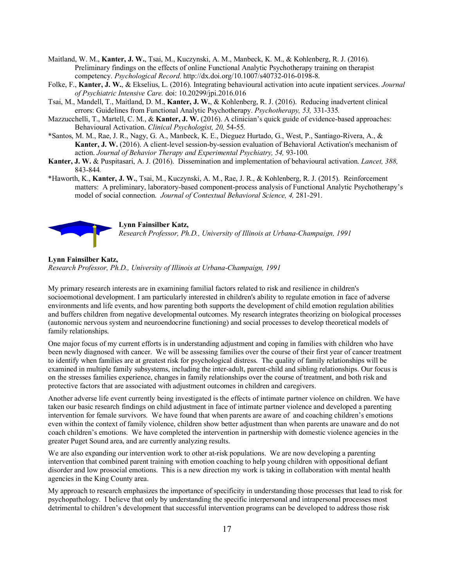- Maitland, W. M., **Kanter, J. W.**, Tsai, M., Kuczynski, A. M., Manbeck, K. M., & Kohlenberg, R. J. (2016). Preliminary findings on the effects of online Functional Analytic Psychotherapy training on therapist competency. *Psychological Record*. http://dx.doi.org/10.1007/s40732-016-0198-8.
- Folke, F., **Kanter, J. W.**, & Ekselius, L. (2016). Integrating behavioural activation into acute inpatient services. *Journal of Psychiatric Intensive Care.* doi: 10.20299/jpi.2016.016
- Tsai, M., Mandell, T., Maitland, D. M., **Kanter, J. W.**, & Kohlenberg, R. J. (2016). Reducing inadvertent clinical errors: Guidelines from Functional Analytic Psychotherapy. *Psychotherapy, 53,* 331-335*.*
- Mazzucchelli, T., Martell, C. M., & **Kanter, J. W.** (2016). A clinician's quick guide of evidence-based approaches: Behavioural Activation. *Clinical Psychologist, 20,* 54-55*.*
- \*Santos, M. M., Rae, J. R., Nagy, G. A., Manbeck, K. E., Dieguez Hurtado, G., West, P., Santiago-Rivera, A., & **Kanter, J. W.** (2016). A client-level session-by-session evaluation of Behavioral Activation's mechanism of action. *Journal of Behavior Therapy and Experimental Psychiatry, 54,* 93-100*.*
- **Kanter, J. W.** & Puspitasari, A. J. (2016). Dissemination and implementation of behavioural activation. *Lancet, 388,*  843-844*.*
- \*Haworth, K., **Kanter, J. W.**, Tsai, M., Kuczynski, A. M., Rae, J. R., & Kohlenberg, R. J. (2015). Reinforcement matters: A preliminary, laboratory-based component-process analysis of Functional Analytic Psychotherapy's model of social connection. *Journal of Contextual Behavioral Science, 4,* 281-291.



#### **Lynn Fainsilber Katz,**

*Research Professor, Ph.D., University of Illinois at Urbana-Champaign, 1991*

#### **Lynn Fainsilber Katz,**

*Research Professor, Ph.D., University of Illinois at Urbana-Champaign, 1991*

My primary research interests are in examining familial factors related to risk and resilience in children's socioemotional development. I am particularly interested in children's ability to regulate emotion in face of adverse environments and life events, and how parenting both supports the development of child emotion regulation abilities and buffers children from negative developmental outcomes. My research integrates theorizing on biological processes (autonomic nervous system and neuroendocrine functioning) and social processes to develop theoretical models of family relationships.

One major focus of my current efforts is in understanding adjustment and coping in families with children who have been newly diagnosed with cancer. We will be assessing families over the course of their first year of cancer treatment to identify when families are at greatest risk for psychological distress. The quality of family relationships will be examined in multiple family subsystems, including the inter-adult, parent-child and sibling relationships. Our focus is on the stresses families experience, changes in family relationships over the course of treatment, and both risk and protective factors that are associated with adjustment outcomes in children and caregivers.

Another adverse life event currently being investigated is the effects of intimate partner violence on children. We have taken our basic research findings on child adjustment in face of intimate partner violence and developed a parenting intervention for female survivors. We have found that when parents are aware of and coaching children's emotions even within the context of family violence, children show better adjustment than when parents are unaware and do not coach children's emotions. We have completed the intervention in partnership with domestic violence agencies in the greater Puget Sound area, and are currently analyzing results.

We are also expanding our intervention work to other at-risk populations. We are now developing a parenting intervention that combined parent training with emotion coaching to help young children with oppositional defiant disorder and low prosocial emotions. This is a new direction my work is taking in collaboration with mental health agencies in the King County area.

My approach to research emphasizes the importance of specificity in understanding those processes that lead to risk for psychopathology. I believe that only by understanding the specific interpersonal and intrapersonal processes most detrimental to children's development that successful intervention programs can be developed to address those risk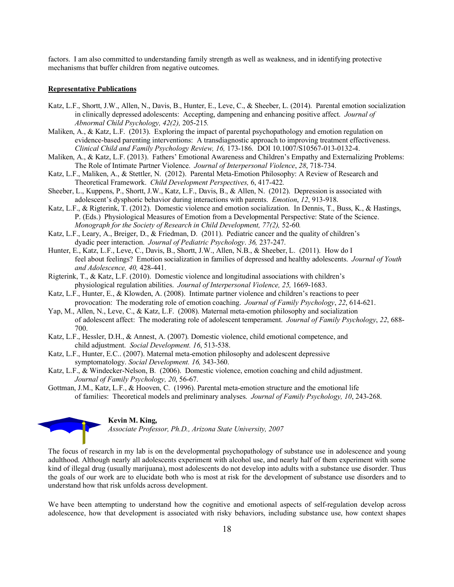factors. I am also committed to understanding family strength as well as weakness, and in identifying protective mechanisms that buffer children from negative outcomes.

#### **Representative Publications**

- Katz, L.F., Shortt, J.W., Allen, N., Davis, B., Hunter, E., Leve, C., & Sheeber, L. (2014). Parental emotion socialization in clinically depressed adolescents: Accepting, dampening and enhancing positive affect. *Journal of Abnormal Child Psychology, 42(2),* 205-215*.*
- Maliken, A., & Katz, L.F. (2013). Exploring the impact of parental psychopathology and emotion regulation on evidence-based parenting interventions: A transdiagnostic approach to improving treatment effectiveness. *Clinical Child and Family Psychology Review, 16,* 173-186. DOI 10.1007/S10567-013-0132-4.
- Maliken, A., & Katz, L.F. (2013). Fathers' Emotional Awareness and Children's Empathy and Externalizing Problems: The Role of Intimate Partner Violence. *Journal of Interpersonal Violence*, *28*, 718-734.
- Katz, L.F., Maliken, A., & Stettler, N. (2012). Parental Meta-Emotion Philosophy: A Review of Research and Theoretical Framework. *Child Development Perspectives,* 6, 417-422*.*
- Sheeber, L., Kuppens, P., Shortt, J.W., Katz, L.F., Davis, B., & Allen, N. (2012). Depression is associated with adolescent's dysphoric behavior during interactions with parents. *Emotion*, *12*, 913-918.
- Katz, L.F., & Rigterink, T. (2012). Domestic violence and emotion socialization. In Dennis, T., Buss, K., & Hastings, P. (Eds.) Physiological Measures of Emotion from a Developmental Perspective: State of the Science. *Monograph for the Society of Research in Child Development, 77(2),* 52-60*.*
- Katz, L.F., Leary, A., Breiger, D., & Friedman, D. (2011). Pediatric cancer and the quality of children's dyadic peer interaction. *Journal of Pediatric Psychology*. *36,* 237-247.
- Hunter, E., Katz, L.F., Leve, C., Davis, B., Shortt, J.W., Allen, N.B., & Sheeber, L. (2011). How do I feel about feelings? Emotion socialization in families of depressed and healthy adolescents. *Journal of Youth and Adolescence, 40,* 428-441.
- Rigterink, T., & Katz, L.F. (2010). Domestic violence and longitudinal associations with children's physiological regulation abilities. *Journal of Interpersonal Violence, 25,* 1669-1683.
- Katz, L.F., Hunter, E., & Klowden, A. (2008). Intimate partner violence and children's reactions to peer provocation: The moderating role of emotion coaching. *Journal of Family Psychology*, *22*, 614-621.
- Yap, M., Allen, N., Leve, C., & Katz, L.F. (2008). Maternal meta-emotion philosophy and socialization of adolescent affect: The moderating role of adolescent temperament. *Journal of Family Psychology*, *22*, 688- 700.
- Katz, L.F., Hessler, D.H., & Annest, A. (2007). Domestic violence, child emotional competence, and child adjustment. *Social Development. 16*, 513-538.
- Katz, L.F., Hunter, E.C.. (2007). Maternal meta-emotion philosophy and adolescent depressive symptomatology. *Social Development. 16,* 343-360.
- Katz, L.F., & Windecker-Nelson, B. (2006). Domestic violence, emotion coaching and child adjustment. *Journal of Family Psychology, 20*, 56-67.
- Gottman, J.M., Katz, L.F., & Hooven, C. (1996). Parental meta-emotion structure and the emotional life of families: Theoretical models and preliminary analyses. *Journal of Family Psychology, 10*, 243-268.



#### **Kevin M. King,**

*Associate Professor, Ph.D., Arizona State University, 2007*

The focus of research in my lab is on the developmental psychopathology of substance use in adolescence and young adulthood. Although nearly all adolescents experiment with alcohol use, and nearly half of them experiment with some kind of illegal drug (usually marijuana), most adolescents do not develop into adults with a substance use disorder. Thus the goals of our work are to elucidate both who is most at risk for the development of substance use disorders and to understand how that risk unfolds across development.

We have been attempting to understand how the cognitive and emotional aspects of self-regulation develop across adolescence, how that development is associated with risky behaviors, including substance use, how context shapes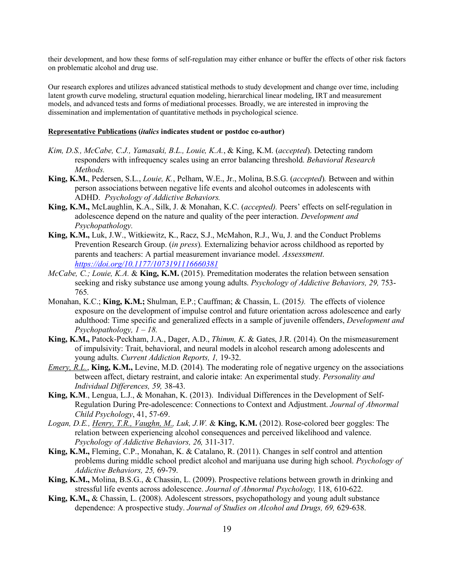their development, and how these forms of self-regulation may either enhance or buffer the effects of other risk factors on problematic alcohol and drug use.

Our research explores and utilizes advanced statistical methods to study development and change over time, including latent growth curve modeling, structural equation modeling, hierarchical linear modeling, IRT and measurement models, and advanced tests and forms of mediational processes. Broadly, we are interested in improving the dissemination and implementation of quantitative methods in psychological science.

#### **Representative Publications (***italics* **indicates student or postdoc co-author)**

- *Kim, D.S., McCabe, C.J., Yamasaki, B.L., Louie, K.A.*, & King, K.M. (*accepted*). Detecting random responders with infrequency scales using an error balancing threshold. *Behavioral Research Methods.*
- **King, K.M.**, Pedersen, S.L., *Louie, K.*, Pelham, W.E., Jr., Molina, B.S.G. (*accepted*)*.* Between and within person associations between negative life events and alcohol outcomes in adolescents with ADHD. *Psychology of Addictive Behaviors.*
- **King, K.M.,** McLaughlin, K.A., Silk, J. & Monahan, K.C. (*accepted).* Peers' effects on self-regulation in adolescence depend on the nature and quality of the peer interaction. *Development and Psychopathology.*
- **King, K.M.,** Luk, J.W., Witkiewitz, K., Racz, S.J., McMahon, R.J., Wu, J. and the Conduct Problems Prevention Research Group. (*in press*). Externalizing behavior across childhood as reported by parents and teachers: A partial measurement invariance model. *Assessment. https://doi.org/10.1177/1073191116660381*
- *McCabe, C.; Louie, K.A.* & **King, K.M.** (2015). Premeditation moderates the relation between sensation seeking and risky substance use among young adults. *Psychology of Addictive Behaviors, 29,* 753- 765*.*
- Monahan, K.C.; **King, K.M.;** Shulman, E.P.; Cauffman; & Chassin, L. (2015*).* The effects of violence exposure on the development of impulse control and future orientation across adolescence and early adulthood: Time specific and generalized effects in a sample of juvenile offenders, *Development and Psychopathology, 1 – 18.*
- **King, K.M.,** Patock-Peckham, J.A., Dager, A.D., *Thimm, K*. & Gates, J.R. (2014). On the mismeasurement of impulsivity: Trait, behavioral, and neural models in alcohol research among adolescents and young adults. *Current Addiction Reports, 1,* 19-32.
- *Emery, R.L.*, **King, K.M.,** Levine, M.D. (2014)*.* The moderating role of negative urgency on the associations between affect, dietary restraint, and calorie intake: An experimental study. *Personality and Individual Differences, 59,* 38-43.
- **King, K.M**., Lengua, L.J., & Monahan, K. (2013). Individual Differences in the Development of Self-Regulation During Pre-adolescence: Connections to Context and Adjustment. *Journal of Abnormal Child Psychology*, 41, 57-69.
- *Logan, D.E., Henry, T.R., Vaughn, M., Luk, J.W.* & **King, K.M.** (2012). Rose-colored beer goggles: The relation between experiencing alcohol consequences and perceived likelihood and valence. *Psychology of Addictive Behaviors, 26,* 311-317.
- **King, K.M.,** Fleming, C.P., Monahan, K. & Catalano, R. (2011). Changes in self control and attention problems during middle school predict alcohol and marijuana use during high school. *Psychology of Addictive Behaviors, 25,* 69-79.
- **King, K.M.,** Molina, B.S.G., & Chassin, L. (2009). Prospective relations between growth in drinking and stressful life events across adolescence. *Journal of Abnormal Psychology,* 118, 610-622.
- **King, K.M.,** & Chassin, L. (2008). Adolescent stressors, psychopathology and young adult substance dependence: A prospective study. *Journal of Studies on Alcohol and Drugs, 69,* 629-638.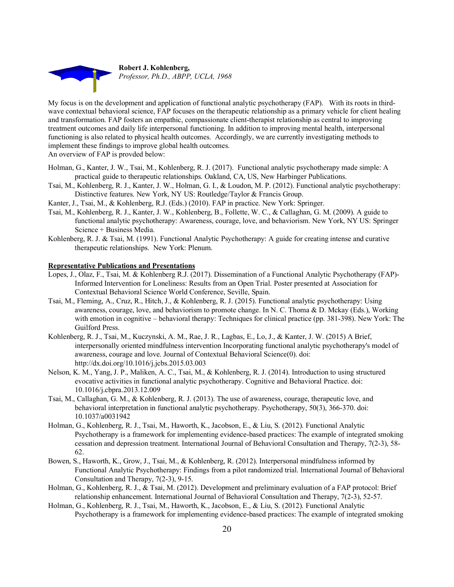

My focus is on the development and application of functional analytic psychotherapy (FAP). With its roots in thirdwave contextual behavioral science, FAP focuses on the therapeutic relationship as a primary vehicle for client healing and transformation. FAP fosters an empathic, compassionate client-therapist relationship as central to improving treatment outcomes and daily life interpersonal functioning. In addition to improving mental health, interpersonal functioning is also related to physical health outcomes. Accordingly, we are currently investigating methods to implement these findings to improve global health outcomes. An overview of FAP is provded below:

- Holman, G., Kanter, J. W., Tsai, M., Kohlenberg, R. J. (2017). Functional analytic psychotherapy made simple: A practical guide to therapeutic relationships. Oakland, CA, US, New Harbinger Publications.
- Tsai, M., Kohlenberg, R. J., Kanter, J. W., Holman, G. I., & Loudon, M. P. (2012). Functional analytic psychotherapy: Distinctive features. New York, NY US: Routledge/Taylor & Francis Group.
- Kanter, J., Tsai, M., & Kohlenberg, R.J. (Eds.) (2010). FAP in practice. New York: Springer.
- Tsai, M., Kohlenberg, R. J., Kanter, J. W., Kohlenberg, B., Follette, W. C., & Callaghan, G. M. (2009). A guide to functional analytic psychotherapy: Awareness, courage, love, and behaviorism. New York, NY US: Springer Science + Business Media.
- Kohlenberg, R. J. & Tsai, M. (1991). Functional Analytic Psychotherapy: A guide for creating intense and curative therapeutic relationships. New York: Plenum.

#### **Representative Publications and Presentations**

- Lopes, J., Olaz, F., Tsai, M. & Kohlenberg R.J. (2017). Dissemination of a Functional Analytic Psychotherapy (FAP)- Informed Intervention for Loneliness: Results from an Open Trial. Poster presented at Association for Contextual Behavioral Science World Conference, Seville, Spain.
- Tsai, M., Fleming, A., Cruz, R., Hitch, J., & Kohlenberg, R. J. (2015). Functional analytic psychotherapy: Using awareness, courage, love, and behaviorism to promote change. In N. C. Thoma & D. Mckay (Eds.), Working with emotion in cognitive – behavioral therapy: Techniques for clinical practice (pp. 381-398). New York: The Guilford Press.
- Kohlenberg, R. J., Tsai, M., Kuczynski, A. M., Rae, J. R., Lagbas, E., Lo, J., & Kanter, J. W. (2015) A Brief, interpersonally oriented mindfulness intervention Incorporating functional analytic psychotherapy's model of awareness, courage and love. Journal of Contextual Behavioral Science(0). doi: http://dx.doi.org/10.1016/j.jcbs.2015.03.003
- Nelson, K. M., Yang, J. P., Maliken, A. C., Tsai, M., & Kohlenberg, R. J. (2014). Introduction to using structured evocative activities in functional analytic psychotherapy. Cognitive and Behavioral Practice. doi: 10.1016/j.cbpra.2013.12.009
- Tsai, M., Callaghan, G. M., & Kohlenberg, R. J. (2013). The use of awareness, courage, therapeutic love, and behavioral interpretation in functional analytic psychotherapy. Psychotherapy, 50(3), 366-370. doi: 10.1037/a0031942
- Holman, G., Kohlenberg, R. J., Tsai, M., Haworth, K., Jacobson, E., & Liu, S. (2012). Functional Analytic Psychotherapy is a framework for implementing evidence-based practices: The example of integrated smoking cessation and depression treatment. International Journal of Behavioral Consultation and Therapy, 7(2-3), 58- 62.
- Bowen, S., Haworth, K., Grow, J., Tsai, M., & Kohlenberg, R. (2012). Interpersonal mindfulness informed by Functional Analytic Psychotherapy: Findings from a pilot randomized trial. International Journal of Behavioral Consultation and Therapy, 7(2-3), 9-15.
- Holman, G., Kohlenberg, R. J., & Tsai, M. (2012). Development and preliminary evaluation of a FAP protocol: Brief relationship enhancement. International Journal of Behavioral Consultation and Therapy, 7(2-3), 52-57.
- Holman, G., Kohlenberg, R. J., Tsai, M., Haworth, K., Jacobson, E., & Liu, S. (2012). Functional Analytic Psychotherapy is a framework for implementing evidence-based practices: The example of integrated smoking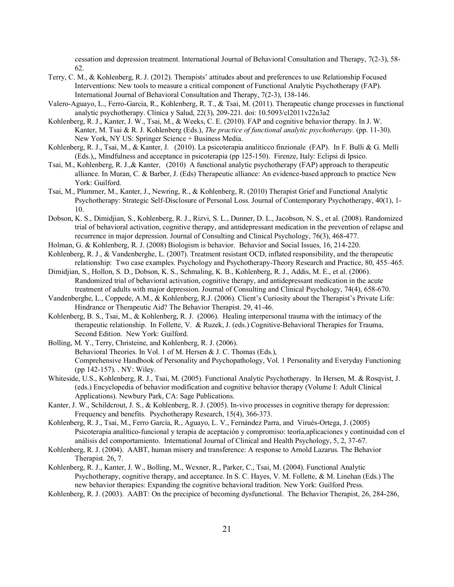cessation and depression treatment. International Journal of Behavioral Consultation and Therapy, 7(2-3), 58- 62.

- Terry, C. M., & Kohlenberg, R. J. (2012). Therapists' attitudes about and preferences to use Relationship Focused Interventions: New tools to measure a critical component of Functional Analytic Psychotherapy (FAP). International Journal of Behavioral Consultation and Therapy, 7(2-3), 138-146.
- Valero-Aguayo, L., Ferro-Garcia, R., Kohlenberg, R. T., & Tsai, M. (2011). Therapeutic change processes in functional analytic psychotherapy. Clínica y Salud, 22(3), 209-221. doi: 10.5093/cl2011v22n3a2
- Kohlenberg, R. J., Kanter, J. W., Tsai, M., & Weeks, C. E. (2010). FAP and cognitive behavior therapy. In J. W. Kanter, M. Tsai & R. J. Kohlenberg (Eds.), *The practice of functional analytic psychotherapy.* (pp. 11-30). New York, NY US: Springer Science + Business Media.
- Kohlenberg, R. J., Tsai, M., & Kanter, J. (2010). La psicoterapia analiticco finzionale (FAP). In F. Bulli & G. Melli (Eds.),, Mindfulness and acceptance in psicoterapia (pp 125-150). Firenze, Italy: Eclipsi di Ipsico.
- Tsai, M., Kohlenberg, R. J.,& Kanter, (2010) A functional analytic psychotherapy (FAP) approach to therapeutic alliance. In Muran, C. & Barber, J. (Eds) Therapeutic alliance: An evidence-based approach to practice New York: Guilford.
- Tsai, M., Plummer, M., Kanter, J., Newring, R., & Kohlenberg, R. (2010) Therapist Grief and Functional Analytic Psychotherapy: Strategic Self-Disclosure of Personal Loss. Journal of Contemporary Psychotherapy, 40(1), 1- 10.
- Dobson, K. S., Dimidjian, S., Kohlenberg, R. J., Rizvi, S. L., Dunner, D. L., Jacobson, N. S., et al. (2008). Randomized trial of behavioral activation, cognitive therapy, and antidepressant medication in the prevention of relapse and recurrence in major depression. Journal of Consulting and Clinical Psychology, 76(3), 468-477.
- Holman, G. & Kohlenberg, R. J. (2008) Biologism is behavior. Behavior and Social Issues, 16, 214-220.
- Kohlenberg, R. J., & Vandenberghe, L. (2007). Treatment resistant OCD, inflated responsibility, and the therapeutic relationship: Two case examples. Psychology and Psychotherapy-Theory Research and Practice, 80, 455–465.
- Dimidjian, S., Hollon, S. D., Dobson, K. S., Schmaling, K. B., Kohlenberg, R. J., Addis, M. E., et al. (2006). Randomized trial of behavioral activation, cognitive therapy, and antidepressant medication in the acute treatment of adults with major depression. Journal of Consulting and Clinical Psychology, 74(4), 658-670.
- Vandenberghe, L., Coppede, A.M., & Kohlenberg, R.J. (2006). Client's Curiosity about the Therapist's Private Life: Hindrance or Therapeutic Aid? The Behavior Therapist. 29, 41-46.
- Kohlenberg, B. S., Tsai, M., & Kohlenberg, R. J. (2006). Healing interpersonal trauma with the intimacy of the therapeutic relationship. In Follette, V. & Ruzek, J. (eds.) Cognitive-Behavioral Therapies for Trauma, Second Edition. New York: Guilford.
- Bolling, M. Y., Terry, Christeine, and Kohlenberg, R. J. (2006). Behavioral Theories. In Vol. 1 of M. Hersen & J. C. Thomas (Eds.), Comprehensive Handbook of Personality and Psychopathology, Vol. 1 Personality and Everyday Functioning (pp 142-157). . NY: Wiley.
- Whiteside, U.S., Kohlenberg, R. J., Tsai, M. (2005). Functional Analytic Psychotherapy. In Hersen, M. & Rosqvist, J. (eds.) Encyclopedia of behavior modification and cognitive behavior therapy (Volume I: Adult Clinical Applications). Newbury Park, CA: Sage Publications.
- Kanter, J. W., Schildcrout, J. S., & Kohlenberg, R. J. (2005). In-vivo processes in cognitive therapy for depression: Frequency and benefits. Psychotherapy Research, 15(4), 366-373.
- Kohlenberg, R. J., Tsai, M., Ferro García, R., Aguayo, L. V., Fernández Parra, and Virués-Ortega, J. (2005) Psicoterapia analítico-funcional y terapia de aceptación y compromiso: teoría,aplicaciones y continuidad con el análisis del comportamiento. International Journal of Clinical and Health Psychology, 5, 2, 37-67.
- Kohlenberg, R. J. (2004). AABT, human misery and transference: A response to Arnold Lazarus. The Behavior Therapist. 26, 7.
- Kohlenberg, R. J., Kanter, J. W., Bolling, M., Wexner, R., Parker, C., Tsai, M. (2004). Functional Analytic Psychotherapy, cognitive therapy, and acceptance. In S. C. Hayes, V. M. Follette, & M. Linehan (Eds.) The new behavior therapies: Expanding the cognitive behavioral tradition. New York: Guilford Press.
- Kohlenberg, R. J. (2003). AABT: On the precipice of becoming dysfunctional. The Behavior Therapist, 26, 284-286,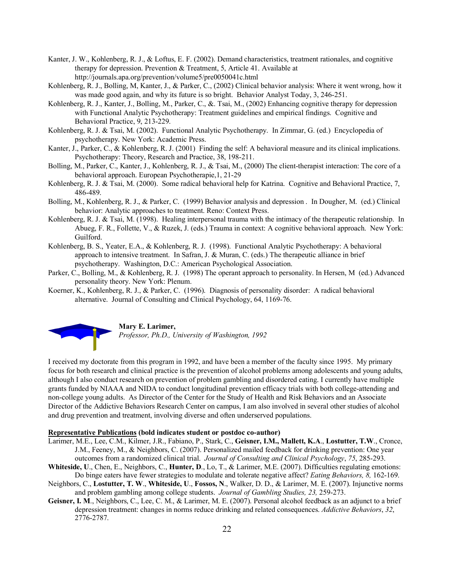- Kanter, J. W., Kohlenberg, R. J., & Loftus, E. F. (2002). Demand characteristics, treatment rationales, and cognitive therapy for depression. Prevention & Treatment, 5, Article 41. Available at http://journals.apa.org/prevention/volume5/pre0050041c.html
- Kohlenberg, R. J., Bolling, M, Kanter, J., & Parker, C., (2002) Clinical behavior analysis: Where it went wrong, how it was made good again, and why its future is so bright. Behavior Analyst Today, 3, 246-251.
- Kohlenberg, R. J., Kanter, J., Bolling, M., Parker, C., &. Tsai, M., (2002) Enhancing cognitive therapy for depression with Functional Analytic Psychotherapy: Treatment guidelines and empirical findings. Cognitive and Behavioral Practice, 9, 213-229.
- Kohlenberg, R. J. & Tsai, M. (2002). Functional Analytic Psychotherapy. In Zimmar, G. (ed.) Encyclopedia of psychotherapy. New York: Academic Press.
- Kanter, J., Parker, C., & Kohlenberg, R. J. (2001) Finding the self: A behavioral measure and its clinical implications. Psychotherapy: Theory, Research and Practice, 38, 198-211.
- Bolling, M., Parker, C., Kanter, J., Kohlenberg, R. J., & Tsai, M., (2000) The client-therapist interaction: The core of a behavioral approach. European Psychotherapie,1, 21-29
- Kohlenberg, R. J. & Tsai, M. (2000). Some radical behavioral help for Katrina. Cognitive and Behavioral Practice, 7, 486-489.
- Bolling, M., Kohlenberg, R. J., & Parker, C. (1999) Behavior analysis and depression . In Dougher, M. (ed.) Clinical behavior: Analytic approaches to treatment. Reno: Context Press.
- Kohlenberg, R. J. & Tsai, M. (1998). Healing interpersonal trauma with the intimacy of the therapeutic relationship. In Abueg, F. R., Follette, V., & Ruzek, J. (eds.) Trauma in context: A cognitive behavioral approach. New York: Guilford.
- Kohlenberg, B. S., Yeater, E.A., & Kohlenberg, R. J. (1998). Functional Analytic Psychotherapy: A behavioral approach to intensive treatment. In Safran, J. & Muran, C. (eds.) The therapeutic alliance in brief psychotherapy. Washington, D.C.: American Psychological Association.
- Parker, C., Bolling, M., & Kohlenberg, R. J. (1998) The operant approach to personality. In Hersen, M (ed.) Advanced personality theory. New York: Plenum.
- Koerner, K., Kohlenberg, R. J., & Parker, C. (1996). Diagnosis of personality disorder: A radical behavioral alternative. Journal of Consulting and Clinical Psychology, 64, 1169-76.



#### **Mary E. Larimer,**

*Professor, Ph.D., University of Washington, 1992*

I received my doctorate from this program in 1992, and have been a member of the faculty since 1995. My primary focus for both research and clinical practice is the prevention of alcohol problems among adolescents and young adults, although I also conduct research on prevention of problem gambling and disordered eating. I currently have multiple grants funded by NIAAA and NIDA to conduct longitudinal prevention efficacy trials with both college-attending and non-college young adults. As Director of the Center for the Study of Health and Risk Behaviors and an Associate Director of the Addictive Behaviors Research Center on campus, I am also involved in several other studies of alcohol and drug prevention and treatment, involving diverse and often underserved populations.

#### **Representative Publications (bold indicates student or postdoc co-author)**

- Larimer, M.E., Lee, C.M., Kilmer, J.R., Fabiano, P., Stark, C., **Geisner, I.M., Mallett, K.A**., **Lostutter, T.W**., Cronce, J.M., Feeney, M., & Neighbors, C. (2007). Personalized mailed feedback for drinking prevention: One year outcomes from a randomized clinical trial. *Journal of Consulting and Clinical Psychology*, *75*, 285-293.
- **Whiteside, U**., Chen, E., Neighbors, C., **Hunter, D**., Lo, T., & Larimer, M.E. (2007). Difficulties regulating emotions: Do binge eaters have fewer strategies to modulate and tolerate negative affect? *Eating Behaviors, 8,* 162-169.
- Neighbors, C., **Lostutter, T. W**., **Whiteside, U**., **Fossos, N**., Walker, D. D., & Larimer, M. E. (2007). Injunctive norms and problem gambling among college students. *Journal of Gambling Studies, 23,* 259-273.
- **Geisner, I. M**., Neighbors, C., Lee, C. M., & Larimer, M. E. (2007). Personal alcohol feedback as an adjunct to a brief depression treatment: changes in norms reduce drinking and related consequences. *Addictive Behaviors*, *32*, 2776-2787.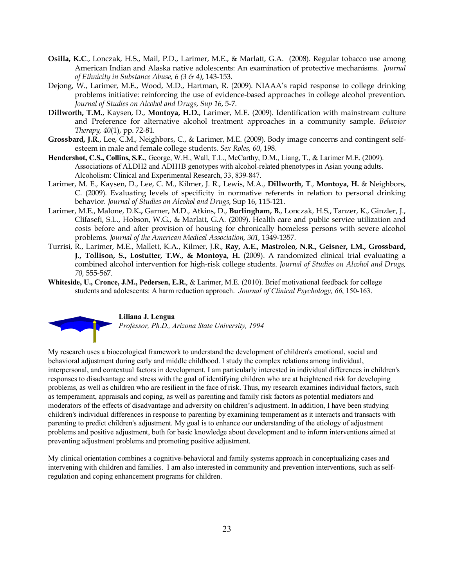- **Osilla, K.C**., Lonczak, H.S., Mail, P.D., Larimer, M.E., & Marlatt, G.A. (2008). Regular tobacco use among American Indian and Alaska native adolescents: An examination of protective mechanisms. *Journal of Ethnicity in Substance Abuse, 6 (3 & 4)*, 143-153.
- Dejong, W., Larimer, M.E., Wood, M.D., Hartman, R. (2009). NIAAA's rapid response to college drinking problems initiative: reinforcing the use of evidence-based approaches in college alcohol prevention. *Journal of Studies on Alcohol and Drugs, Sup 16*, 5-7.
- **Dillworth, T.M.**, Kaysen, D., **Montoya, H.D.**, Larimer, M.E. (2009). Identification with mainstream culture and Preference for alternative alcohol treatment approaches in a community sample. *Behavior Therapy, 40*(1), pp. 72-81.
- **Grossbard, J.R**., Lee, C.M., Neighbors, C., & Larimer, M.E. (2009). Body image concerns and contingent selfesteem in male and female college students. *Sex Roles, 60*, 198.
- **Hendershot, C.S., Collins, S.E.**, George, W.H., Wall, T.L., McCarthy, D.M., Liang, T., & Larimer M.E. (2009). Associations of ALDH2 and ADH1B genotypes with alcohol-related phenotypes in Asian young adults. Alcoholism: Clinical and Experimental Research, 33, 839-847.
- Larimer, M. E., Kaysen, D., Lee, C. M., Kilmer, J. R., Lewis, M.A., **Dillworth, T**., **Montoya, H.** & Neighbors, C. (2009). Evaluating levels of specificity in normative referents in relation to personal drinking behavior. *Journal of Studies on Alcohol and Drugs,* Sup 16, 115-121.
- Larimer, M.E., Malone, D.K**.,** Garner, M.D., Atkins, D., **Burlingham, B.**, Lonczak, H.S., Tanzer, K., Ginzler, J., Clifasefi, S.L., Hobson, W.G., & Marlatt, G.A. (2009). Health care and public service utilization and costs before and after provision of housing for chronically homeless persons with severe alcohol problems. *Journal of the American Medical Association, 301,* 1349-1357.
- Turrisi, R., Larimer, M.E., Mallett, K.A., Kilmer, J.R., **Ray, A.E., Mastroleo, N.R., Geisner, I.M., Grossbard, J., Tollison, S., Lostutter, T.W., & Montoya, H.** (2009). A randomized clinical trial evaluating a combined alcohol intervention for high-risk college students. *Journal of Studies on Alcohol and Drugs, 70,* 555-567.
- **Whiteside, U., Cronce, J.M., Pedersen, E.R.**, & Larimer, M.E. (2010). Brief motivational feedback for college students and adolescents: A harm reduction approach. *Journal of Clinical Psychology, 66*, 150-163.



**Liliana J. Lengua** *Professor, Ph.D., Arizona State University, 1994*

My research uses a bioecological framework to understand the development of children's emotional, social and behavioral adjustment during early and middle childhood. I study the complex relations among individual, interpersonal, and contextual factors in development. I am particularly interested in individual differences in children's responses to disadvantage and stress with the goal of identifying children who are at heightened risk for developing problems, as well as children who are resilient in the face of risk. Thus, my research examines individual factors, such as temperament, appraisals and coping, as well as parenting and family risk factors as potential mediators and moderators of the effects of disadvantage and adversity on children's adjustment. In addition, I have been studying children's individual differences in response to parenting by examining temperament as it interacts and transacts with parenting to predict children's adjustment. My goal is to enhance our understanding of the etiology of adjustment problems and positive adjustment, both for basic knowledge about development and to inform interventions aimed at preventing adjustment problems and promoting positive adjustment.

My clinical orientation combines a cognitive-behavioral and family systems approach in conceptualizing cases and intervening with children and families. I am also interested in community and prevention interventions, such as selfregulation and coping enhancement programs for children.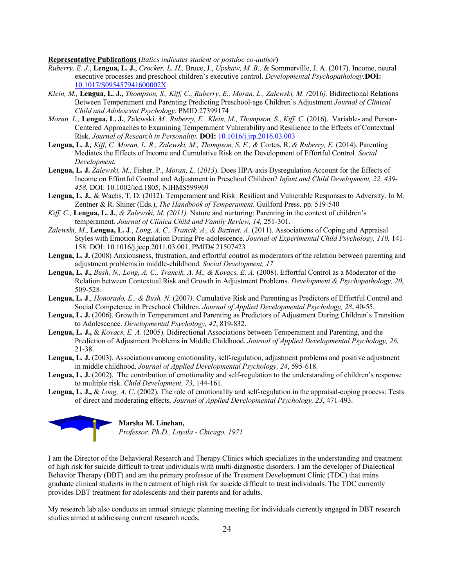#### **Representative Publications (***Italics indicates student or postdoc co-author***)**

- *Ruberry, E. J.*, **Lengua, L. J.**, *Crocker, L. H.,* Bruce, J., *Upshaw, M. B.,* & Sommerville, J. A. (2017). Income, neural executive processes and preschool children's executive control. *Developmental Psychopathology.***DOI:** 10.1017/S095457941600002X
- *Klein, M.,* **Lengua, L. J.,** *Thompson, S., Kiff, C., Ruberry, E., Moran, L., Zalewski, M. (*2016*).* Bidirectional Relations Between Temperament and Parenting Predicting Preschool-age Children's Adjustment *Journal of Clinical Child and Adolescent Psychology.* PMID:27399174
- *Moran, L.,* **Lengua, L. J.**, Zalewski*, M., Ruberry, E., Klein, M., Thompson, S., Kiff, C*. (2016). Variable- and Person-Centered Approaches to Examining Temperament Vulnerability and Resilience to the Effects of Contextual Risk. *Journal of Research in Personality.* **DOI:** 10.1016/j.jrp.2016.03.003
- **Lengua, L. J***., Kiff, C. Moran, L. R., Zalewski, M., Thompson, S. F., &* Cortes, R. *& Ruberry, E.* (2014). Parenting Mediates the Effects of Income and Cumulative Risk on the Development of Effortful Control*. Social Development.*
- **Lengua, L. J.** *Zalewski, M.,* Fisher, P., *Moran, L.* (*2013*). Does HPA-axis Dysregulation Account for the Effects of Income on Effortful Control and Adjustment in Preschool Children? *Infant and Child Development, 22, 439- 458.* DOI: 10.1002/icd.1805, NIHMS599969
- **Lengua, L. J.**, & Wachs, T. D. (2012). Temperament and Risk: Resilient and Vulnerable Responses to Adversity. In M. Zentner & R. Shiner (Eds.), *The Handbook of Temperament.* Guilford Press. pp. 519-540
- *Kiff, C.,* **Lengua, L. J.**, *& Zalewski, M. (2011).* Nature and nurturing: Parenting in the context of children's temperament. *Journal of Clinica Child and Family Review, 14,* 251-301.
- *Zalewski, M*., **Lengua, L. J**., *Long, A. C., Trancik, A., & Bazinet. A*. (2011). Associations of Coping and Appraisal Styles with Emotion Regulation During Pre-adolescence. *Journal of Experimental Child Psychology, 110,* 141- 158. DOI: 10.1016/j.jecp.2011.03.001, PMID# 21507423
- **Lengua, L. J.** (2008) Anxiousness, frustration, and effortful control as moderators of the relation between parenting and adjustment problems in middle-childhood. *Social Development, 17*.
- **Lengua, L. J.,** *Bush, N., Long, A. C., Trancik, A. M., & Kovacs, E. A.* (2008). Effortful Control as a Moderator of the Relation between Contextual Risk and Growth in Adjustment Problems. *Development & Psychopathology, 20*, 509-528*.*
- **Lengua, L. J**., *Honorado, E., & Bush, N.* (2007*).* Cumulative Risk and Parenting as Predictors of Effortful Control and Social Competence in Preschool Children. *Journal of Applied Developmental Psychology, 28*, 40-55.
- **Lengua, L. J.** (2006). Growth in Temperament and Parenting as Predictors of Adjustment During Children's Transition to Adolescence. *Developmental Psychology, 42*, 819-832.
- **Lengua, L. J.,** & *Kovacs, E. A.* (2005). Bidirectional Associations between Temperament and Parenting, and the Prediction of Adjustment Problems in Middle Childhood. *Journal of Applied Developmental Psychology, 26*, 21-38.
- **Lengua, L. J.** (2003). Associations among emotionality, self-regulation, adjustment problems and positive adjustment in middle childhood. *Journal of Applied Developmental Psychology, 24*, 595-618.
- Lengua, L. J. (2002). The contribution of emotionality and self-regulation to the understanding of children's response to multiple risk. *Child Development, 73*, 144-161.
- **Lengua, L. J.,** & *Long, A. C*. (2002). The role of emotionality and self-regulation in the appraisal-coping process: Tests of direct and moderating effects. *Journal of Applied Developmental Psychology, 23*, 471-493.



I am the Director of the Behavioral Research and Therapy Clinics which specializes in the understanding and treatment of high risk for suicide difficult to treat individuals with multi-diagnostic disorders. I am the developer of Dialectical Behavior Therapy (DBT) and am the primary professor of the Treatment Development Clinic (TDC) that trains graduate clinical students in the treatment of high risk for suicide difficult to treat individuals. The TDC currently provides DBT treatment for adolescents and their parents and for adults.

My research lab also conducts an annual strategic planning meeting for individuals currently engaged in DBT research studies aimed at addressing current research needs.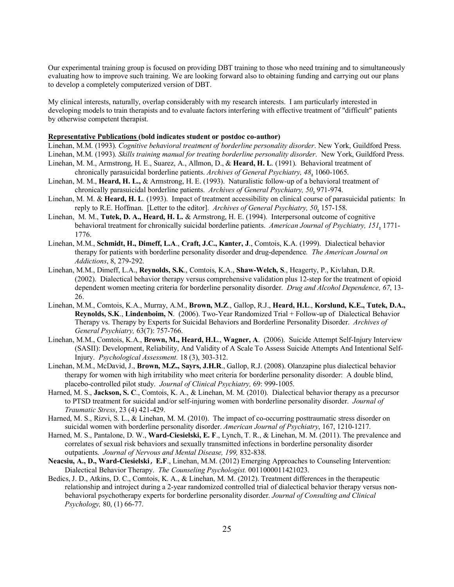Our experimental training group is focused on providing DBT training to those who need training and to simultaneously evaluating how to improve such training. We are looking forward also to obtaining funding and carrying out our plans to develop a completely computerized version of DBT.

My clinical interests, naturally, overlap considerably with my research interests. I am particularly interested in developing models to train therapists and to evaluate factors interfering with effective treatment of "difficult" patients by otherwise competent therapist.

#### **Representative Publications (bold indicates student or postdoc co-author)**

Linehan, M.M. (1993). *Cognitive behavioral treatment of borderline personality disorder*. New York, Guildford Press. Linehan, M.M. (1993). *Skills training manual for treating borderline personality disorder*. New York, Guildford Press. Linehan, M. M., Armstrong, H. E., Suarez, A., Allmon, D., & **Heard, H. L**. (1991). Behavioral treatment of

- chronically parasuicidal borderline patients. *Archives of General Psychiatry, 48*, 1060-1065.
- Linehan, M. M., **Heard, H. L.,** & Armstrong, H. E. (1993). Naturalistic follow-up of a behavioral treatment of chronically parasuicidal borderline patients. *Archives of General Psychiatry, 50*, 971-974.
- Linehan, M. M. & **Heard, H. L**. (1993). Impact of treatment accessibility on clinical course of parasuicidal patients: In reply to R.E. Hoffman. [Letter to the editor]. *Archives of General Psychiatry, 50*, 157-158.
- Linehan, M. M., **Tutek, D. A., Heard, H. L.** & Armstrong, H. E. (1994). Interpersonal outcome of cognitive behavioral treatment for chronically suicidal borderline patients. *American Journal of Psychiatry, 151*, 1771- 1776.
- Linehan, M.M., **Schmidt, H., Dimeff, L.A**., **Craft, J.C., Kanter, J**., Comtois, K.A. (1999). Dialectical behavior therapy for patients with borderline personality disorder and drug-dependence*. The American Journal on Addictions*, 8, 279-292.
- Linehan, M.M., Dimeff, L.A., **Reynolds, S.K**., Comtois, K.A., **Shaw-Welch, S**., Heagerty, P., Kivlahan, D.R. (2002). Dialectical behavior therapy versus comprehensive validation plus 12-step for the treatment of opioid dependent women meeting criteria for borderline personality disorder. *Drug and Alcohol Dependence, 67*, 13- 26.
- Linehan, M.M., Comtois, K.A., Murray, A.M., **Brown, M.Z**., Gallop, R.J., **Heard, H.L**., **Korslund, K.E., Tutek, D.A., Reynolds, S.K**., **Lindenboim, N**. (2006). Two-Year Randomized Trial + Follow-up of Dialectical Behavior Therapy vs. Therapy by Experts for Suicidal Behaviors and Borderline Personality Disorder. *Archives of General Psychiatry,* 63(7): 757-766.
- Linehan, M.M., Comtois, K.A., **Brown, M., Heard, H.L**., **Wagner, A**. (2006). Suicide Attempt Self-Injury Interview (SASII): Development, Reliability, And Validity of A Scale To Assess Suicide Attempts And Intentional Self-Injury. *Psychological Assessment.* 18 (3), 303-312.
- Linehan, M.M., McDavid, J., **Brown, M.Z., Sayrs, J.H.R**., Gallop, R.J. (2008). Olanzapine plus dialectical behavior therapy for women with high irritability who meet criteria for borderline personality disorder: A double blind, placebo-controlled pilot study. *Journal of Clinical Psychiatry,* 69: 999-1005.
- Harned, M. S., **Jackson, S. C**., Comtois, K. A., & Linehan, M. M. (2010). Dialectical behavior therapy as a precursor to PTSD treatment for suicidal and/or self-injuring women with borderline personality disorder. *Journal of Traumatic Stress*, 23 (4) 421-429.
- Harned, M. S., Rizvi, S. L., & Linehan, M. M. (2010). The impact of co-occurring posttraumatic stress disorder on suicidal women with borderline personality disorder. *American Journal of Psychiatry*, 167, 1210-1217.
- Harned, M. S., Pantalone, D. W., **Ward-Ciesielski, E. F**., Lynch, T. R., & Linehan, M. M. (2011). The prevalence and correlates of sexual risk behaviors and sexually transmitted infections in borderline personality disorder outpatients. *Journal of Nervous and Mental Disease, 199,* 832-838.
- **Neacsiu, A., D., Ward-Ciesielski**, **E.F**., Linehan, M.M. (2012) Emerging Approaches to Counseling Intervention: Dialectical Behavior Therapy. *The Counseling Psychologist.* 0011000011421023.
- Bedics, J. D., Atkins, D. C., Comtois, K. A., & Linehan, M. M. (2012). Treatment differences in the therapeutic relationship and introject during a 2-year randomized controlled trial of dialectical behavior therapy versus nonbehavioral psychotherapy experts for borderline personality disorder. *Journal of Consulting and Clinical Psychology,* 80, (1) 66-77.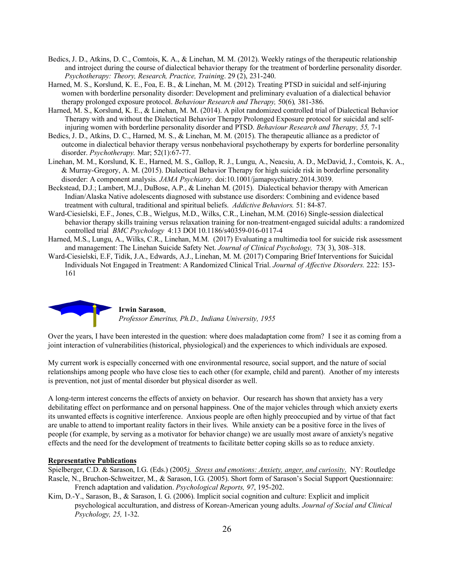- Bedics, J. D., Atkins, D. C., Comtois, K. A., & Linehan, M. M. (2012). Weekly ratings of the therapeutic relationship and introject during the course of dialectical behavior therapy for the treatment of borderline personality disorder. *Psychotherapy: Theory, Research, Practice, Training*. 29 (2), 231-240.
- Harned, M. S., Korslund, K. E., Foa, E. B., & Linehan, M. M. (2012). Treating PTSD in suicidal and self-injuring women with borderline personality disorder: Development and preliminary evaluation of a dialectical behavior therapy prolonged exposure protocol. *Behaviour Research and Therapy,* 50(6)*,* 381-386.
- Harned, M. S., Korslund, K. E., & Linehan, M. M. (2014). A pilot randomized controlled trial of Dialectical Behavior Therapy with and without the Dialectical Behavior Therapy Prolonged Exposure protocol for suicidal and selfinjuring women with borderline personality disorder and PTSD. *Behaviour Research and Therapy, 55,* 7-1
- Bedics, J. D., Atkins, D. C., Harned, M. S., & Linehan, M. M. (2015). The therapeutic alliance as a predictor of outcome in dialectical behavior therapy versus nonbehavioral psychotherapy by experts for borderline personality disorder. *Psychotherapy.* Mar; 52(1):67-77.
- Linehan, M. M., Korslund, K. E., Harned, M. S., Gallop, R. J., Lungu, A., Neacsiu, A. D., McDavid, J., Comtois, K. A., & Murray-Gregory, A. M. (2015). Dialectical Behavior Therapy for high suicide risk in borderline personality disorder: A component analysis. *JAMA Psychiatry.* doi:10.1001/jamapsychiatry.2014.3039.
- Beckstead, D.J.; Lambert, M.J., DuBose, A.P., & Linehan M. (2015). Dialectical behavior therapy with American Indian/Alaska Native adolescents diagnosed with substance use disorders: Combining and evidence based treatment with cultural, traditional and spiritual beliefs. *Addictive Behaviors.* 51: 84-87.
- Ward-Ciesielski, E.F., Jones, C.B., Wielgus, M.D., Wilks, C.R., Linehan, M.M. (2016) Single-session dialectical behavior therapy skills training versus relaxation training for non-treatment-engaged suicidal adults: a randomized controlled trial *BMC Psychology* 4:13 DOI 10.1186/s40359-016-0117-4
- Harned, M.S., Lungu, A., Wilks, C.R., Linehan, M.M. (2017) Evaluating a multimedia tool for suicide risk assessment and management: The Linehan Suicide Safety Net. *Journal of Clinical Psychology,* 73( 3), 308–318.
- Ward-Ciesielski, E.F, Tidik, J.A., Edwards, A.J., Linehan, M. M. (2017) Comparing Brief Interventions for Suicidal Individuals Not Engaged in Treatment: A Randomized Clinical Trial. *Journal of Affective Disorders.* 222: 153- 161



**Irwin Sarason**, *Professor Emeritus, Ph.D., Indiana University, 1955*

Over the years, I have been interested in the question: where does maladaptation come from? I see it as coming from a joint interaction of vulnerabilities (historical, physiological) and the experiences to which individuals are exposed.

My current work is especially concerned with one environmental resource, social support, and the nature of social relationships among people who have close ties to each other (for example, child and parent). Another of my interests is prevention, not just of mental disorder but physical disorder as well.

A long-term interest concerns the effects of anxiety on behavior. Our research has shown that anxiety has a very debilitating effect on performance and on personal happiness. One of the major vehicles through which anxiety exerts its unwanted effects is cognitive interference. Anxious people are often highly preoccupied and by virtue of that fact are unable to attend to important reality factors in their lives. While anxiety can be a positive force in the lives of people (for example, by serving as a motivator for behavior change) we are usually most aware of anxiety's negative effects and the need for the development of treatments to facilitate better coping skills so as to reduce anxiety.

#### **Representative Publications**

Spielberger, C.D. & Sarason, I.G. (Eds.) (2005*). Stress and emotions: Anxiety, anger, and curiosity*. NY: Routledge Rascle, N., Bruchon-Schweitzer, M., & Sarason, I.G. (2005). Short form of Sarason's Social Support Questionnaire: French adaptation and validation. *Psychological Reports, 97*, 195-202.

Kim, D.-Y., Sarason, B., & Sarason, I. G. (2006). Implicit social cognition and culture: Explicit and implicit psychological acculturation, and distress of Korean-American young adults. *Journal of Social and Clinical Psychology, 25,* 1-32.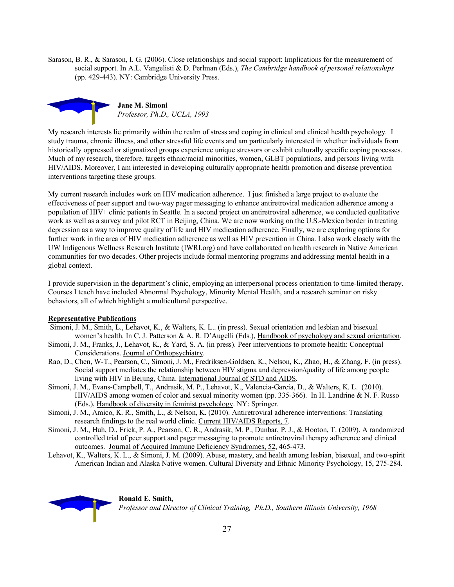Sarason, B. R., & Sarason, I. G. (2006). Close relationships and social support: Implications for the measurement of social support. In A.L. Vangelisti & D. Perlman (Eds.), *The Cambridge handbook of personal relationships* (pp. 429-443). NY: Cambridge University Press.



My research interests lie primarily within the realm of stress and coping in clinical and clinical health psychology. I study trauma, chronic illness, and other stressful life events and am particularly interested in whether individuals from historically oppressed or stigmatized groups experience unique stressors or exhibit culturally specific coping processes. Much of my research, therefore, targets ethnic/racial minorities, women, GLBT populations, and persons living with HIV/AIDS. Moreover, I am interested in developing culturally appropriate health promotion and disease prevention interventions targeting these groups.

My current research includes work on HIV medication adherence. I just finished a large project to evaluate the effectiveness of peer support and two-way pager messaging to enhance antiretroviral medication adherence among a population of HIV+ clinic patients in Seattle. In a second project on antiretroviral adherence, we conducted qualitative work as well as a survey and pilot RCT in Beijing, China. We are now working on the U.S.-Mexico border in treating depression as a way to improve quality of life and HIV medication adherence. Finally, we are exploring options for further work in the area of HIV medication adherence as well as HIV prevention in China. I also work closely with the UW Indigenous Wellness Research Institute (IWRI.org) and have collaborated on health research in Native American communities for two decades. Other projects include formal mentoring programs and addressing mental health in a global context.

I provide supervision in the department's clinic, employing an interpersonal process orientation to time-limited therapy. Courses I teach have included Abnormal Psychology, Minority Mental Health, and a research seminar on risky behaviors, all of which highlight a multicultural perspective.

#### **Representative Publications**

- Simoni, J. M., Smith, L., Lehavot, K., & Walters, K. L.. (in press). Sexual orientation and lesbian and bisexual women's health. In C. J. Patterson & A. R. D'Augelli (Eds.), Handbook of psychology and sexual orientation.
- Simoni, J. M., Franks, J., Lehavot, K., & Yard, S. A. (in press). Peer interventions to promote health: Conceptual Considerations. Journal of Orthopsychiatry.
- Rao, D., Chen, W-T., Pearson, C., Simoni, J. M., Fredriksen-Goldsen, K., Nelson, K., Zhao, H., & Zhang, F. (in press). Social support mediates the relationship between HIV stigma and depression/quality of life among people living with HIV in Beijing, China. International Journal of STD and AIDS.
- Simoni, J. M., Evans-Campbell, T., Andrasik, M. P., Lehavot, K., Valencia-Garcia, D., & Walters, K. L. (2010). HIV/AIDS among women of color and sexual minority women (pp. 335-366). In H. Landrine & N. F. Russo (Eds.), Handbook of diversity in feminist psychology. NY: Springer.
- Simoni, J. M., Amico, K. R., Smith, L., & Nelson, K. (2010). Antiretroviral adherence interventions: Translating research findings to the real world clinic*.* Current HIV/AIDS Reports, 7*.*
- Simoni, J. M., Huh, D., Frick, P. A., Pearson, C. R., Andrasik, M. P., Dunbar, P. J., & Hooton, T. (2009). A randomized controlled trial of peer support and pager messaging to promote antiretroviral therapy adherence and clinical outcomes. Journal of Acquired Immune Deficiency Syndromes, 52, 465-473.
- Lehavot, K., Walters, K. L., & Simoni, J. M. (2009). Abuse, mastery, and health among lesbian, bisexual, and two-spirit American Indian and Alaska Native women. Cultural Diversity and Ethnic Minority Psychology, 15, 275-284.



**Ronald E. Smith,** *Professor and Director of Clinical Training, Ph.D., Southern Illinois University, 1968*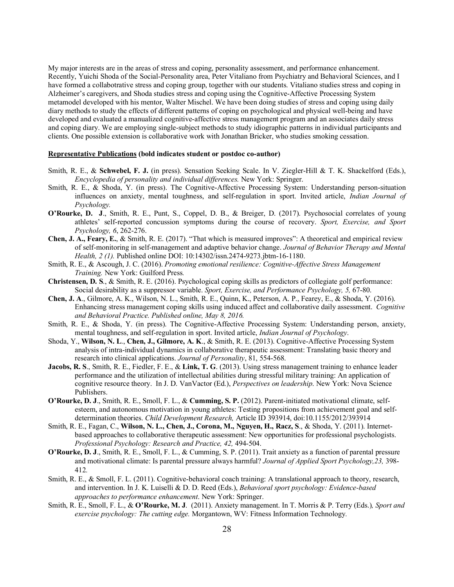My major interests are in the areas of stress and coping, personality assessment, and performance enhancement. Recently, Yuichi Shoda of the Social-Personality area, Peter Vitaliano from Psychiatry and Behavioral Sciences, and I have formed a collabotrative stress and coping group, together with our students. Vitaliano studies stress and coping in Alzheimer's caregivers, and Shoda studies stress and coping using the Cognitive-Affective Processing System metamodel developed with his mentor, Walter Mischel. We have been doing studies of stress and coping using daily diary methods to study the effects of different patterns of coping on psychological and physical well-being and have developed and evaluated a manualized cognitive-affective stress management program and an associates daily stress and coping diary. We are employing single-subject methods to study idiographic patterns in individual participants and clients. One possible extension is collaborative work with Jonathan Bricker, who studies smoking cessation.

#### **Representative Publications (bold indicates student or postdoc co-author)**

- Smith, R. E., & **Schwebel, F. J.** (in press). Sensation Seeking Scale. In V. Ziegler-Hill & T. K. Shackelford (Eds.), *Encyclopedia of personality and individual differences.* New York: Springer.
- Smith, R. E., & Shoda, Y. (in press). The Cognitive-Affective Processing System: Understanding person-situation influences on anxiety, mental toughness, and self-regulation in sport. Invited article, *Indian Journal of Psychology.*
- **O'Rourke, D. J**., Smith, R. E., Punt, S., Coppel, D. B., & Breiger, D. (2017). Psychosocial correlates of young athletes' self-reported concussion symptoms during the course of recovery. *Sport, Exercise, and Sport Psychology, 6*, 262-276.
- **Chen, J. A., Feary, E.**, & Smith, R. E. (2017). "That which is measured improves": A theoretical and empirical review of self-monitoring in self-management and adaptive behavior change. *Journal of Behavior Therapy and Mental Health, 2 (1).* Published online DOI: 10:14302/issn.2474-9273.jbtm-16-1180.
- Smith, R. E., & Ascough, J. C. (2016). *Promoting emotional resilience: Cognitive-Affective Stress Management Training.* New York: Guilford Press*.*
- **Christensen, D. S**., & Smith, R. E. (2016). Psychological coping skills as predictors of collegiate golf performance: Social desirability as a suppressor variable. *Sport, Exercise, and Performance Psychology, 5,* 67-80.
- **Chen, J. A**., Gilmore, A. K., Wilson, N. L., Smith, R. E., Quinn, K., Peterson, A. P., Fearey, E., & Shoda, Y. (2016). Enhancing stress management coping skills using induced affect and collaborative daily assessment. *Cognitive and Behavioral Practice. Published online, May 8, 2016.*
- Smith, R. E., & Shoda, Y. (in press). The Cognitive-Affective Processing System: Understanding person, anxiety, mental toughness, and self-regulation in sport. Invited article, *Indian Journal of Psychology*.
- Shoda, Y., **Wilson, N. L**., **Chen, J., Gilmore, A. K**., & Smith, R. E. (2013). Cognitive-Affective Processing System analysis of intra-individual dynamics in collaborative therapeutic assessment: Translating basic theory and research into clinical applications. *Journal of Personality*, 81, 554-568.
- **Jacobs, R. S**., Smith, R. E., Fiedler, F. E., & **Link, T. G**. (2013). Using stress management training to enhance leader performance and the utilization of intellectual abilities during stressful military training: An application of cognitive resource theory. In J. D. VanVactor (Ed.), *Perspectives on leadership*. New York: Nova Science Publishers.
- **O'Rourke, D. J**., Smith, R. E., Smoll, F. L., & **Cumming, S. P.** (2012). Parent-initiated motivational climate, selfesteem, and autonomous motivation in young athletes: Testing propositions from achievement goal and selfdetermination theories. *Child Development Research,* Article ID 393914, doi:10.1155/2012/393914
- Smith, R. E., Fagan, C., **Wilson, N. L., Chen, J., Corona, M., Nguyen, H., Racz, S**., & Shoda, Y. (2011). Internetbased approaches to collaborative therapeutic assessment: New opportunities for professional psychologists. *Professional Psychology: Research and Practice, 42,* 494-504.
- **O'Rourke, D. J**., Smith, R. E., Smoll, F. L., & Cumming, S. P. (2011). Trait anxiety as a function of parental pressure and motivational climate: Is parental pressure always harmful? *Journal of Applied Sport Psychology,23,* 398- 412*.*
- Smith, R. E., & Smoll, F. L. (2011). Cognitive-behavioral coach training: A translational approach to theory, research, and intervention. In J. K. Luiselli & D. D. Reed (Eds.), *Behavioral sport psychology: Evidence-based approaches to performance enhancement*. New York: Springer.
- Smith, R. E., Smoll, F. L., & **O'Rourke, M. J**. (2011). Anxiety management. In T. Morris & P. Terry (Eds.)*, Sport and exercise psychology: The cutting edge.* Morgantown, WV: Fitness Information Technology*.*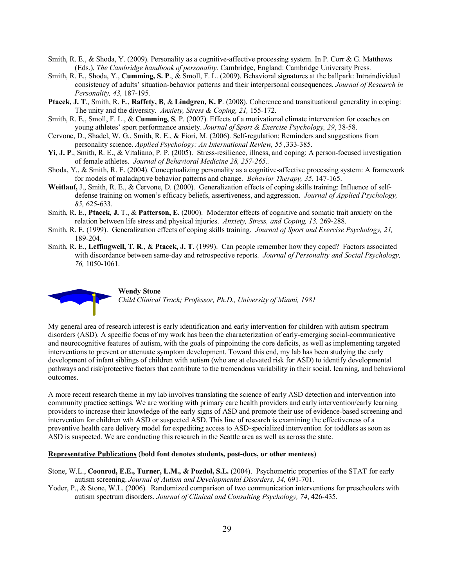- Smith, R. E., & Shoda, Y. (2009). Personality as a cognitive-affective processing system. In P. Corr & G. Matthews (Eds.), *The Cambridge handbook of personality*. Cambridge, England: Cambridge University Press.
- Smith, R. E., Shoda, Y., **Cumming, S. P**., & Smoll, F. L. (2009). Behavioral signatures at the ballpark: Intraindividual consistency of adults' situation-behavior patterns and their interpersonal consequences. *Journal of Research in Personality, 43,* 187-195*.*
- **Ptacek, J. T**., Smith, R. E., **Raffety, B**, & **Lindgren, K. P**. (2008). Coherence and transituational generality in coping: The unity and the diversity. *Anxiety, Stress & Coping, 21,* 155-172.
- Smith, R. E., Smoll, F. L., & **Cumming, S**. P. (2007). Effects of a motivational climate intervention for coaches on young athletes' sport performance anxiety. *Journal of Sport & Exercise Psychology, 29*, 38-58.
- Cervone, D., Shadel, W. G., Smith, R. E., & Fiori, M. (2006). Self-regulation: Reminders and suggestions from personality science. *Applied Psychology: An International Review, 55 ,*333-385.
- **Yi, J. P**., Smith, R. E., & Vitaliano, P. P. (2005). Stress-resilience, illness, and coping: A person-focused investigation of female athletes. *Journal of Behavioral Medicine 28, 257-265..*
- Shoda, Y., & Smith, R. E. (2004). Conceptualizing personality as a cognitive-affective processing system: A framework for models of maladaptive behavior patterns and change. *Behavior Therapy, 35,* 147-165.
- **Weitlauf,** J., Smith, R. E., & Cervone, D. (2000). Generalization effects of coping skills training: Influence of selfdefense training on women's efficacy beliefs, assertiveness, and aggression. *Journal of Applied Psychology, 85,* 625-633*.*
- Smith, R. E., **Ptacek, J.** T., & **Patterson, E**. (2000). Moderator effects of cognitive and somatic trait anxiety on the relation between life stress and physical injuries. *Anxiety, Stress, and Coping, 13,* 269-288.
- Smith, R. E. (1999). Generalization effects of coping skills training. *Journal of Sport and Exercise Psychology, 21,* 189-204.
- Smith, R. E., **Leffingwell, T. R**., & **Ptacek, J. T**. (1999). Can people remember how they coped? Factors associated with discordance between same-day and retrospective reports. *Journal of Personality and Social Psychology, 76,* 1050-1061.



**Wendy Stone** *Child Clinical Track; Professor, Ph.D., University of Miami, 1981*

My general area of research interest is early identification and early intervention for children with autism spectrum disorders (ASD). A specific focus of my work has been the characterization of early-emerging social-communicative and neurocognitive features of autism, with the goals of pinpointing the core deficits, as well as implementing targeted interventions to prevent or attenuate symptom development. Toward this end, my lab has been studying the early development of infant siblings of children with autism (who are at elevated risk for ASD) to identify developmental pathways and risk/protective factors that contribute to the tremendous variability in their social, learning, and behavioral outcomes.

A more recent research theme in my lab involves translating the science of early ASD detection and intervention into community practice settings. We are working with primary care health providers and early intervention/early learning providers to increase their knowledge of the early signs of ASD and promote their use of evidence-based screening and intervention for children wth ASD or suspected ASD. This line of research is examining the effectiveness of a preventive health care delivery model for expediting access to ASD-specialized intervention for toddlers as soon as ASD is suspected. We are conducting this research in the Seattle area as well as across the state.

#### **Representative Publications** (**bold font denotes students, post-docs, or other mentees**)

- Stone, W.L., **Coonrod, E.E., Turner, L.M., & Pozdol, S.L.** (2004). Psychometric properties of the STAT for early autism screening. *Journal of Autism and Developmental Disorders, 34,* 691-701.
- Yoder, P., & Stone, W.L. (2006). Randomized comparison of two communication interventions for preschoolers with autism spectrum disorders. *Journal of Clinical and Consulting Psychology, 74*, 426-435.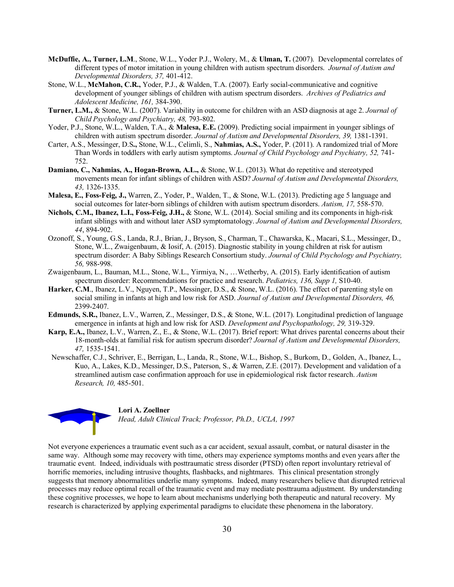- **McDuffie, A., Turner, L.M**., Stone, W.L., Yoder P.J., Wolery, M., & **Ulman, T.** (2007). Developmental correlates of different types of motor imitation in young children with autism spectrum disorders. *Journal of Autism and Developmental Disorders, 37,* 401-412.
- Stone, W.L., **McMahon, C.R.,** Yoder, P.J., & Walden, T.A. (2007). Early social-communicative and cognitive development of younger siblings of children with autism spectrum disorders. *Archives of Pediatrics and Adolescent Medicine, 161,* 384-390.
- **Turner, L.M.,** & Stone, W.L. (2007). Variability in outcome for children with an ASD diagnosis at age 2. *Journal of Child Psychology and Psychiatry, 48,* 793-802.
- Yoder, P.J., Stone, W.L., Walden, T.A., & **Malesa, E.E.** (2009). Predicting social impairment in younger siblings of children with autism spectrum disorder. *Journal of Autism and Developmental Disorders, 39,* 1381-1391.
- Carter, A.S., Messinger, D.S**.,** Stone, W.L., Celimli, S., **Nahmias, A.S.,** Yoder, P. (2011). A randomized trial of More Than Words in toddlers with early autism symptoms. *Journal of Child Psychology and Psychiatry, 52,* 741- 752.
- **Damiano, C., Nahmias, A., Hogan-Brown, A.L.,** & Stone, W.L. (2013). What do repetitive and stereotyped movements mean for infant siblings of children with ASD? *Journal of Autism and Developmental Disorders, 43,* 1326-1335.
- **Malesa, E., Foss-Feig, J.,** Warren, Z., Yoder, P., Walden, T., & Stone, W.L. (2013). Predicting age 5 language and social outcomes for later-born siblings of children with autism spectrum disorders. *Autism, 17,* 558-570.
- **Nichols, C.M., Ibanez, L.I., Foss-Feig, J.H.,** & Stone, W.L. (2014). Social smiling and its components in high-risk infant siblings with and without later ASD symptomatology. *Journal of Autism and Developmental Disorders, 44*, 894-902.
- Ozonoff, S., Young, G.S., Landa, R.J., Brian, J., Bryson, S., Charman, T., Chawarska, K., Macari, S.L., Messinger, D., Stone, W.L., Zwaigenbaum, & Iosif, A. (2015). Diagnostic stability in young children at risk for autism spectrum disorder: A Baby Siblings Research Consortium study. *Journal of Child Psychology and Psychiatry, 56,* 988-998.
- Zwaigenbaum, L., Bauman, M.L., Stone, W.L., Yirmiya, N., …Wetherby, A. (2015). Early identification of autism spectrum disorder: Recommendations for practice and research. *Pediatrics, 136, Supp 1,* S10-40.
- **Harker, C.M**., Ibanez, L.V., Nguyen, T.P., Messinger, D.S., & Stone, W.L. (2016). The effect of parenting style on social smiling in infants at high and low risk for ASD. *Journal of Autism and Developmental Disorders, 46,* 2399-2407.
- **Edmunds, S.R.,** Ibanez, L.V., Warren, Z., Messinger, D.S., & Stone, W.L. (2017). Longitudinal prediction of language emergence in infants at high and low risk for ASD. *Development and Psychopathology, 29,* 319-329.
- **Karp, E.A.,** Ibanez, L.V., Warren, Z., E., & Stone, W.L. (2017). Brief report: What drives parental concerns about their 18-month-olds at familial risk for autism specrum disorder? *Journal of Autism and Developmental Disorders, 47,* 1535-1541.
- Newschaffer, C.J., Schriver, E., Berrigan, L., Landa, R., Stone, W.L., Bishop, S., Burkom, D., Golden, A., Ibanez, L., Kuo, A., Lakes, K.D., Messinger, D.S., Paterson, S., & Warren, Z.E. (2017). Development and validation of a streamlined autism case confirmation approach for use in epidemiological risk factor research. *Autism Research, 10,* 485-501.

#### **Lori A. Zoellner**

*Head, Adult Clinical Track; Professor, Ph.D., UCLA, 1997*

Not everyone experiences a traumatic event such as a car accident, sexual assault, combat, or natural disaster in the same way. Although some may recovery with time, others may experience symptoms months and even years after the traumatic event. Indeed, individuals with posttraumatic stress disorder (PTSD) often report involuntary retrieval of horrific memories, including intrusive thoughts, flashbacks, and nightmares. This clinical presentation strongly suggests that memory abnormalities underlie many symptoms. Indeed, many researchers believe that disrupted retrieval processes may reduce optimal recall of the traumatic event and may mediate posttrauma adjustment. By understanding these cognitive processes, we hope to learn about mechanisms underlying both therapeutic and natural recovery. My research is characterized by applying experimental paradigms to elucidate these phenomena in the laboratory.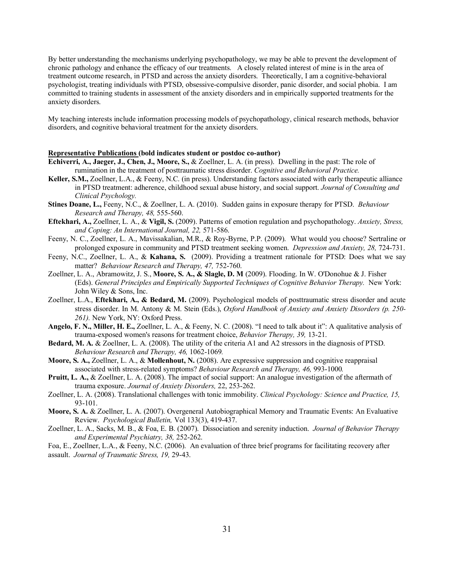By better understanding the mechanisms underlying psychopathology, we may be able to prevent the development of chronic pathology and enhance the efficacy of our treatments. A closely related interest of mine is in the area of treatment outcome research, in PTSD and across the anxiety disorders. Theoretically, I am a cognitive-behavioral psychologist, treating individuals with PTSD, obsessive-compulsive disorder, panic disorder, and social phobia. I am committed to training students in assessment of the anxiety disorders and in empirically supported treatments for the anxiety disorders.

My teaching interests include information processing models of psychopathology, clinical research methods, behavior disorders, and cognitive behavioral treatment for the anxiety disorders.

#### **Representative Publications (bold indicates student or postdoc co-author)**

- **Echiverri, A., Jaeger, J., Chen, J., Moore, S.,** & Zoellner, L. A. (in press). Dwelling in the past: The role of rumination in the treatment of posttraumatic stress disorder. *Cognitive and Behavioral Practice.*
- **Keller, S.M.,** Zoellner, L.A., & Feeny, N.C. (in press). Understanding factors associated with early therapeutic alliance in PTSD treatment: adherence, childhood sexual abuse history, and social support. *Journal of Consulting and Clinical Psychology.*
- **Stines Doane, L.,** Feeny, N.C., & Zoellner, L. A. (2010). Sudden gains in exposure therapy for PTSD. *Behaviour Research and Therapy, 48,* 555-560.
- **Eftekhari, A.,** Zoellner, L. A., & **Vigil, S.** (2009). Patterns of emotion regulation and psychopathology. *Anxiety, Stress, and Coping: An International Journal, 22,* 571-586.
- Feeny, N. C., Zoellner, L. A., Mavissakalian, M.R., & Roy-Byrne, P.P. (2009). What would you choose? Sertraline or prolonged exposure in community and PTSD treatment seeking women. *Depression and Anxiety, 28,* 724-731.
- Feeny, N.C., Zoellner, L. A., & **Kahana, S.** (2009). Providing a treatment rationale for PTSD: Does what we say matter? *Behaviour Research and Therapy, 47,* 752-760.
- Zoellner, L. A., Abramowitz, J. S., **Moore, S. A., & Slagle, D. M** (2009). Flooding. In W. O'Donohue & J. Fisher (Eds). *General Principles and Empirically Supported Techniques of Cognitive Behavior Therapy.* New York: John Wiley & Sons, Inc.
- Zoellner, L.A., **Eftekhari, A., & Bedard, M.** (2009). Psychological models of posttraumatic stress disorder and acute stress disorder. In M. Antony & M. Stein (Eds.), *Oxford Handbook of Anxiety and Anxiety Disorders (p. 250- 261).* New York, NY: Oxford Press.
- **Angelo, F. N., Miller, H. E.,** Zoellner, L. A., & Feeny, N. C. (2008). "I need to talk about it": A qualitative analysis of trauma-exposed women's reasons for treatment choice, *Behavior Therapy, 39,* 13-21.
- **Bedard, M. A.** & Zoellner, L. A. (2008). The utility of the criteria A1 and A2 stressors in the diagnosis of PTSD. *Behaviour Research and Therapy, 46,* 1062-1069*.*
- **Moore, S. A.,** Zoellner, L. A., & **Mollenhout, N.** (2008). Are expressive suppression and cognitive reappraisal associated with stress-related symptoms? *Behaviour Research and Therapy, 46,* 993-1000*.*
- **Pruitt, L. A.,** & Zoellner, L. A. (2008). The impact of social support: An analogue investigation of the aftermath of trauma exposure. *Journal of Anxiety Disorders,* 22, 253-262.
- Zoellner, L. A. (2008). Translational challenges with tonic immobility. *Clinical Psychology: Science and Practice, 15,*  93-101.
- **Moore, S. A.** & Zoellner, L. A. (2007). Overgeneral Autobiographical Memory and Traumatic Events: An Evaluative Review. *Psychological Bulletin,* Vol 133(3), 419-437.
- Zoellner, L. A., Sacks, M. B., & Foa, E. B. (2007). Dissociation and serenity induction. *Journal of Behavior Therapy and Experimental Psychiatry, 38,* 252-262.

Foa, E., Zoellner, L.A., & Feeny, N.C. (2006). An evaluation of three brief programs for facilitating recovery after assault. *Journal of Traumatic Stress, 19,* 29-43.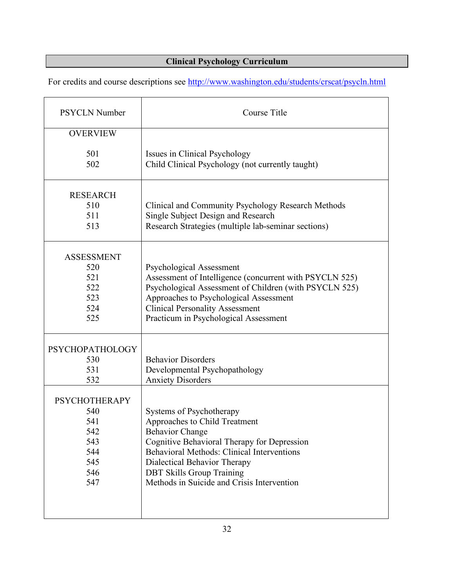#### **Clinical Psychology Curriculum**

For credits and course descriptions see http://www.washington.edu/students/crscat/psycln.html

| <b>PSYCLN Number</b>                                                         | Course Title                                                                                                                                                                                                                                                                                       |  |
|------------------------------------------------------------------------------|----------------------------------------------------------------------------------------------------------------------------------------------------------------------------------------------------------------------------------------------------------------------------------------------------|--|
| <b>OVERVIEW</b>                                                              |                                                                                                                                                                                                                                                                                                    |  |
| 501<br>502                                                                   | Issues in Clinical Psychology<br>Child Clinical Psychology (not currently taught)                                                                                                                                                                                                                  |  |
| <b>RESEARCH</b><br>510<br>511<br>513                                         | Clinical and Community Psychology Research Methods<br>Single Subject Design and Research<br>Research Strategies (multiple lab-seminar sections)                                                                                                                                                    |  |
| <b>ASSESSMENT</b><br>520<br>521<br>522<br>523<br>524<br>525                  | <b>Psychological Assessment</b><br>Assessment of Intelligence (concurrent with PSYCLN 525)<br>Psychological Assessment of Children (with PSYCLN 525)<br>Approaches to Psychological Assessment<br><b>Clinical Personality Assessment</b><br>Practicum in Psychological Assessment                  |  |
| <b>PSYCHOPATHOLOGY</b><br>530<br>531<br>532                                  | <b>Behavior Disorders</b><br>Developmental Psychopathology<br><b>Anxiety Disorders</b>                                                                                                                                                                                                             |  |
| <b>PSYCHOTHERAPY</b><br>540<br>541<br>542<br>543<br>544<br>545<br>546<br>547 | Systems of Psychotherapy<br>Approaches to Child Treatment<br><b>Behavior Change</b><br>Cognitive Behavioral Therapy for Depression<br>Behavioral Methods: Clinical Interventions<br>Dialectical Behavior Therapy<br><b>DBT Skills Group Training</b><br>Methods in Suicide and Crisis Intervention |  |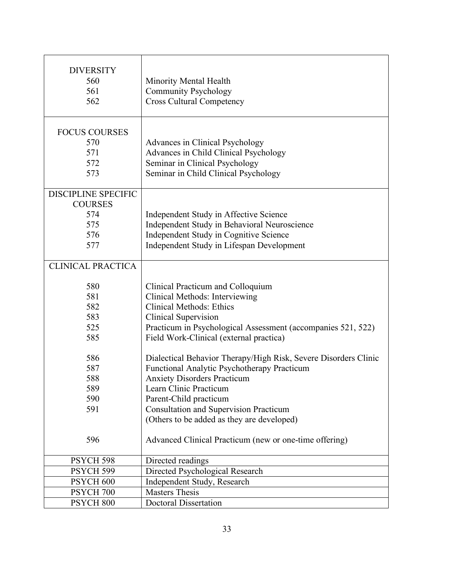| <b>DIVERSITY</b><br>560<br>561<br>562                                    | Minority Mental Health<br><b>Community Psychology</b><br><b>Cross Cultural Competency</b>                                                                                                                                                                                                               |  |
|--------------------------------------------------------------------------|---------------------------------------------------------------------------------------------------------------------------------------------------------------------------------------------------------------------------------------------------------------------------------------------------------|--|
| <b>FOCUS COURSES</b><br>570<br>571<br>572<br>573                         | Advances in Clinical Psychology<br>Advances in Child Clinical Psychology<br>Seminar in Clinical Psychology<br>Seminar in Child Clinical Psychology                                                                                                                                                      |  |
| <b>DISCIPLINE SPECIFIC</b><br><b>COURSES</b><br>574<br>575<br>576<br>577 | Independent Study in Affective Science<br>Independent Study in Behavioral Neuroscience<br>Independent Study in Cognitive Science<br>Independent Study in Lifespan Development                                                                                                                           |  |
| <b>CLINICAL PRACTICA</b>                                                 |                                                                                                                                                                                                                                                                                                         |  |
| 580<br>581<br>582<br>583<br>525<br>585                                   | Clinical Practicum and Colloquium<br>Clinical Methods: Interviewing<br><b>Clinical Methods: Ethics</b><br><b>Clinical Supervision</b><br>Practicum in Psychological Assessment (accompanies 521, 522)<br>Field Work-Clinical (external practica)                                                        |  |
| 586<br>587<br>588<br>589<br>590<br>591                                   | Dialectical Behavior Therapy/High Risk, Severe Disorders Clinic<br>Functional Analytic Psychotherapy Practicum<br><b>Anxiety Disorders Practicum</b><br>Learn Clinic Practicum<br>Parent-Child practicum<br><b>Consultation and Supervision Practicum</b><br>(Others to be added as they are developed) |  |
| 596                                                                      | Advanced Clinical Practicum (new or one-time offering)                                                                                                                                                                                                                                                  |  |
| PSYCH 598                                                                | Directed readings                                                                                                                                                                                                                                                                                       |  |
| PSYCH 599                                                                | Directed Psychological Research                                                                                                                                                                                                                                                                         |  |
| PSYCH <sub>600</sub>                                                     | Independent Study, Research                                                                                                                                                                                                                                                                             |  |
| PSYCH <sub>700</sub>                                                     | <b>Masters Thesis</b>                                                                                                                                                                                                                                                                                   |  |
| PSYCH <sub>800</sub>                                                     | <b>Doctoral Dissertation</b>                                                                                                                                                                                                                                                                            |  |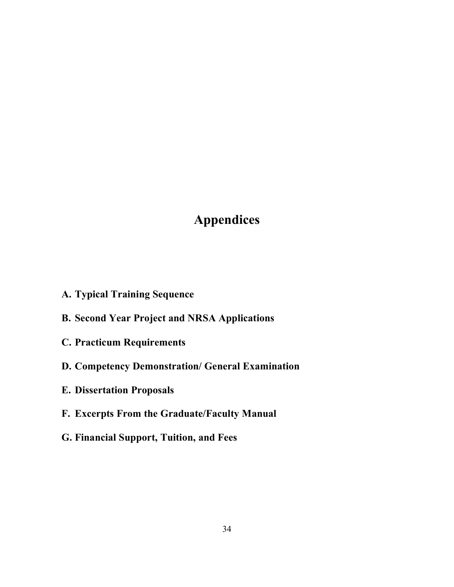### **Appendices**

- **A. Typical Training Sequence**
- **B. Second Year Project and NRSA Applications**
- **C. Practicum Requirements**
- **D. Competency Demonstration/ General Examination**
- **E. Dissertation Proposals**
- **F. Excerpts From the Graduate/Faculty Manual**
- **G. Financial Support, Tuition, and Fees**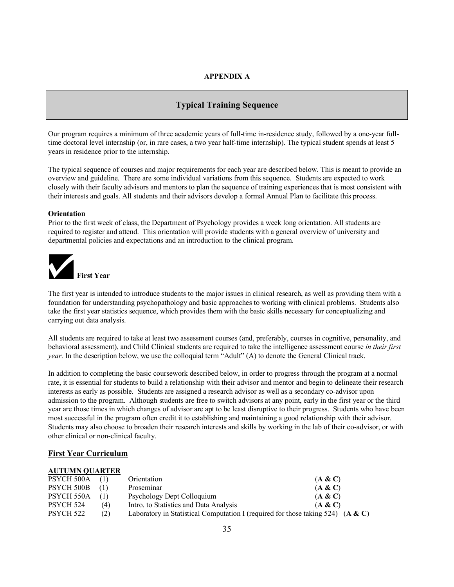#### **APPENDIX A**

#### **Typical Training Sequence**

Our program requires a minimum of three academic years of full-time in-residence study, followed by a one-year fulltime doctoral level internship (or, in rare cases, a two year half-time internship). The typical student spends at least 5 years in residence prior to the internship.

The typical sequence of courses and major requirements for each year are described below. This is meant to provide an overview and guideline. There are some individual variations from this sequence. Students are expected to work closely with their faculty advisors and mentors to plan the sequence of training experiences that is most consistent with their interests and goals. All students and their advisors develop a formal Annual Plan to facilitate this process.

#### **Orientation**

Prior to the first week of class, the Department of Psychology provides a week long orientation. All students are required to register and attend. This orientation will provide students with a general overview of university and departmental policies and expectations and an introduction to the clinical program.



The first year is intended to introduce students to the major issues in clinical research, as well as providing them with a foundation for understanding psychopathology and basic approaches to working with clinical problems. Students also take the first year statistics sequence, which provides them with the basic skills necessary for conceptualizing and carrying out data analysis.

All students are required to take at least two assessment courses (and, preferably, courses in cognitive, personality, and behavioral assessment), and Child Clinical students are required to take the intelligence assessment course *in their first year*. In the description below, we use the colloquial term "Adult" (A) to denote the General Clinical track.

In addition to completing the basic coursework described below, in order to progress through the program at a normal rate, it is essential for students to build a relationship with their advisor and mentor and begin to delineate their research interests as early as possible. Students are assigned a research advisor as well as a secondary co-advisor upon admission to the program. Although students are free to switch advisors at any point, early in the first year or the third year are those times in which changes of advisor are apt to be least disruptive to their progress. Students who have been most successful in the program often credit it to establishing and maintaining a good relationship with their advisor. Students may also choose to broaden their research interests and skills by working in the lab of their co-advisor, or with other clinical or non-clinical faculty.

#### **First Year Curriculum**

#### **AUTUMN QUARTER**

| $PSYCH 500A$ (1) |     | Orientation                                                                       | (A & C) |
|------------------|-----|-----------------------------------------------------------------------------------|---------|
| PSYCH 500B       | (1) | Proseminar                                                                        | (A & C) |
| PSYCH 550A       | (I) | Psychology Dept Colloquium                                                        | (A & C) |
| PSYCH 524        | (4) | Intro. to Statistics and Data Analysis                                            | (A & C) |
| PSYCH 522        | (2) | Laboratory in Statistical Computation I (required for those taking 524) $(A & C)$ |         |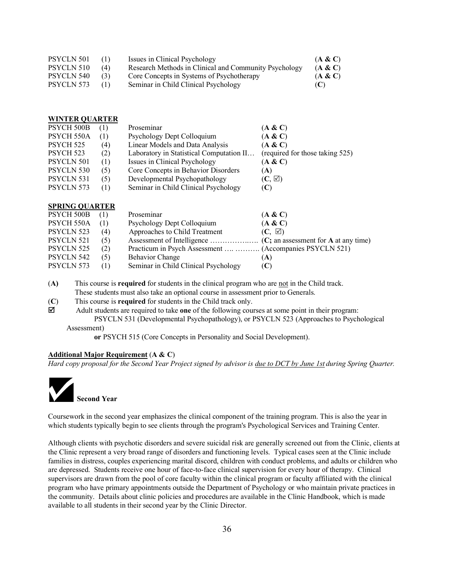| PSYCLN 501 | (1) | Issues in Clinical Psychology                         | (A & C) |
|------------|-----|-------------------------------------------------------|---------|
| PSYCLN 510 | (4) | Research Methods in Clinical and Community Psychology | (A & C) |
| PSYCLN 540 | (3) | Core Concepts in Systems of Psychotherapy             | (A & C) |
| PSYCLN 573 | (1) | Seminar in Child Clinical Psychology                  | (C)     |

| <b>WINTER QUARTER</b> |  |
|-----------------------|--|
| ------------          |  |

| <b>PSYCH 500B</b> | (1) | Proseminar                               | (A & C)                         |
|-------------------|-----|------------------------------------------|---------------------------------|
| PSYCH 550A        | (1) | Psychology Dept Colloquium               | (A & C)                         |
| PSYCH 525         | (4) | Linear Models and Data Analysis          | (A & C)                         |
| PSYCH 523         | (2) | Laboratory in Statistical Computation II | (required for those taking 525) |
| PSYCLN 501        | (1) | Issues in Clinical Psychology            | (A & C)                         |
| PSYCLN 530        | (5) | Core Concepts in Behavior Disorders      | (A)                             |
| PSYCLN 531        | (5) | Developmental Psychopathology            | $(C, \boxtimes)$                |
| PSYCLN 573        | (1) | Seminar in Child Clinical Psychology     | $(\mathbf{C})$                  |

#### **SPRING QUARTER**

| PSYCH 500B |     | Proseminar                                               | (A & C)       |
|------------|-----|----------------------------------------------------------|---------------|
| PSYCH 550A | (1) | Psychology Dept Colloquium                               | (A & C)       |
| PSYCLN 523 | (4) | Approaches to Child Treatment                            | $(C, \nabla)$ |
| PSYCLN 521 | (5) |                                                          |               |
| PSYCLN 525 | (2) | Practicum in Psych Assessment   (Accompanies PSYCLN 521) |               |
| PSYCLN 542 | (5) | <b>Behavior Change</b>                                   | (A)           |
| PSYCLN 573 | (1) | Seminar in Child Clinical Psychology                     | (C)           |
|            |     |                                                          |               |

(**A)** This course is **required** for students in the clinical program who are not in the Child track.

These students must also take an optional course in assessment prior to Generals.

(**C**) This course is **required** for students in the Child track only.

R Adult students are required to take **one** of the following courses at some point in their program: PSYCLN 531 (Developmental Psychopathology), or PSYCLN 523 (Approaches to Psychological Assessment)

**or** PSYCH 515 (Core Concepts in Personality and Social Development).

#### **Additional Major Requirement** (**A & C**)

*Hard copy proposal for the Second Year Project signed by advisor is due to DCT by June 1st during Spring Quarter.*



Coursework in the second year emphasizes the clinical component of the training program. This is also the year in which students typically begin to see clients through the program's Psychological Services and Training Center.

Although clients with psychotic disorders and severe suicidal risk are generally screened out from the Clinic, clients at the Clinic represent a very broad range of disorders and functioning levels. Typical cases seen at the Clinic include families in distress, couples experiencing marital discord, children with conduct problems, and adults or children who are depressed. Students receive one hour of face-to-face clinical supervision for every hour of therapy. Clinical supervisors are drawn from the pool of core faculty within the clinical program or faculty affiliated with the clinical program who have primary appointments outside the Department of Psychology or who maintain private practices in the community. Details about clinic policies and procedures are available in the Clinic Handbook, which is made available to all students in their second year by the Clinic Director.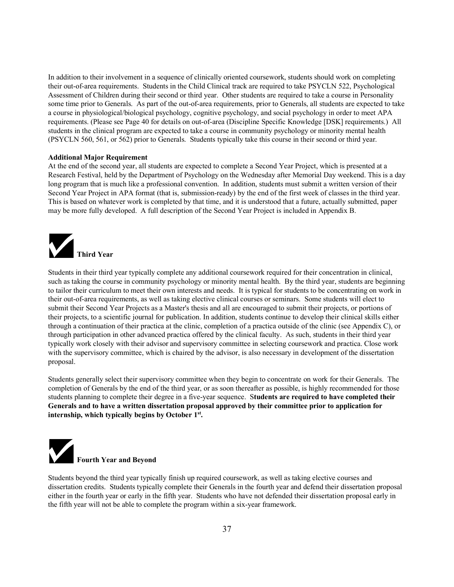In addition to their involvement in a sequence of clinically oriented coursework, students should work on completing their out-of-area requirements. Students in the Child Clinical track are required to take PSYCLN 522, Psychological Assessment of Children during their second or third year. Other students are required to take a course in Personality some time prior to Generals. As part of the out-of-area requirements, prior to Generals, all students are expected to take a course in physiological/biological psychology, cognitive psychology, and social psychology in order to meet APA requirements. (Please see Page 40 for details on out-of-area (Discipline Specific Knowledge [DSK] requirements.) All students in the clinical program are expected to take a course in community psychology or minority mental health (PSYCLN 560, 561, or 562) prior to Generals. Students typically take this course in their second or third year.

#### **Additional Major Requirement**

At the end of the second year, all students are expected to complete a Second Year Project, which is presented at a Research Festival, held by the Department of Psychology on the Wednesday after Memorial Day weekend. This is a day long program that is much like a professional convention. In addition, students must submit a written version of their Second Year Project in APA format (that is, submission-ready) by the end of the first week of classes in the third year. This is based on whatever work is completed by that time, and it is understood that a future, actually submitted, paper may be more fully developed. A full description of the Second Year Project is included in Appendix B.



Students in their third year typically complete any additional coursework required for their concentration in clinical, such as taking the course in community psychology or minority mental health. By the third year, students are beginning to tailor their curriculum to meet their own interests and needs. It is typical for students to be concentrating on work in their out-of-area requirements, as well as taking elective clinical courses or seminars. Some students will elect to submit their Second Year Projects as a Master's thesis and all are encouraged to submit their projects, or portions of their projects, to a scientific journal for publication. In addition, students continue to develop their clinical skills either through a continuation of their practica at the clinic, completion of a practica outside of the clinic (see Appendix C), or through participation in other advanced practica offered by the clinical faculty. As such, students in their third year typically work closely with their advisor and supervisory committee in selecting coursework and practica. Close work with the supervisory committee, which is chaired by the advisor, is also necessary in development of the dissertation proposal.

Students generally select their supervisory committee when they begin to concentrate on work for their Generals. The completion of Generals by the end of the third year, or as soon thereafter as possible, is highly recommended for those students planning to complete their degree in a five-year sequence. S**tudents are required to have completed their Generals and to have a written dissertation proposal approved by their committee prior to application for internship, which typically begins by October 1st.**



Students beyond the third year typically finish up required coursework, as well as taking elective courses and dissertation credits. Students typically complete their Generals in the fourth year and defend their dissertation proposal either in the fourth year or early in the fifth year. Students who have not defended their dissertation proposal early in the fifth year will not be able to complete the program within a six-year framework.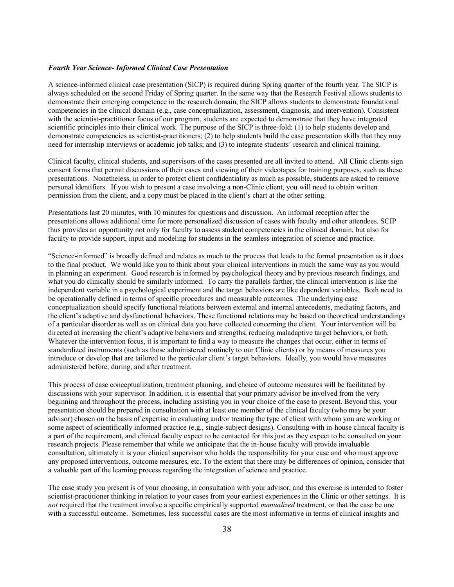#### *Fourth Year Science- Informed Clinical Case Presentation*

A science-informed clinical case presentation (SICP) is required during Spring quarter of the fourth year. The SICP is always scheduled on the second Friday of Spring quarter. In the same way that the Research Festival allows students to demonstrate their emerging competence in the research domain, the SICP allows students to demonstrate foundational competencies in the clinical domain (e.g., case conceptualization, assessment, diagnosis, and intervention). Consistent with the scientist-practitioner focus of our program, students are expected to demonstrate that they have integrated scientific principles into their clinical work. The purpose of the SICP is three-fold: (1) to help students develop and demonstrate competencies as scientist-practitioners; (2) to help students build the case presentation skills that they may need for internship interviews or academic job talks; and (3) to integrate students' research and clinical training.

Clinical faculty, clinical students, and supervisors of the cases presented are all invited to attend. All Clinic clients sign consent forms that permit discussions of their cases and viewing of their videotapes for training purposes, such as these presentations. Nonetheless, in order to protect client confidentiality as much as possible, students are asked to remove personal identifiers. If you wish to present a case involving a non-Clinic client, you will need to obtain written permission from the client, and a copy must be placed in the client's chart at the other setting.

Presentations last 20 minutes, with 10 minutes for questions and discussion. An informal reception after the presentations allows additional time for more personalized discussion of cases with faculty and other attendees. SCIP thus provides an opportunity not only for faculty to assess student competencies in the clinical domain, but also for faculty to provide support, input and modeling for students in the seamless integration of science and practice.

"Science-informed" is broadly defined and relates as much to the process that leads to the formal presentation as it does to the final product. We would like you to think about your clinical interventions in much the same way as you would in planning an experiment. Good research is informed by psychological theory and by previous research findings, and what you do clinically should be similarly informed. To carry the parallels farther, the clinical intervention is like the independent variable in a psychological experiment and the target behaviors are like dependent variables. Both need to be operationally defined in terms of specific procedures and measurable outcomes. The underlying case conceptualization should specify functional relations between external and internal antecedents, mediating factors, and the client's adaptive and dysfunctional behaviors. These functional relations may be based on theoretical understandings of a particular disorder as well as on clinical data you have collected concerning the client. Your intervention will be directed at increasing the client's adaptive behaviors and strengths, reducing maladaptive target behaviors, or both. Whatever the intervention focus, it is important to find a way to measure the changes that occur, either in terms of standardized instruments (such as those administered routinely to our Clinic clients) or by means of measures you introduce or develop that are tailored to the particular client's target behaviors. Ideally, you would have measures administered before, during, and after treatment.

This process of case conceptualization, treatment planning, and choice of outcome measures will be facilitated by discussions with your supervisor. In addition, it is essential that your primary advisor be involved from the very beginning and throughout the process, including assisting you in your choice of the case to present. Beyond this, your presentation should be prepared in consultation with at least one member of the clinical faculty (who may be your advisor) chosen on the basis of expertise in evaluating and/or treating the type of client with whom you are working or some aspect of scientifically informed practice (e.g., single-subject designs). Consulting with in-house clinical faculty is a part of the requirement, and clinical faculty expect to be contacted for this just as they expect to be consulted on your research projects. Please remember that while we anticipate that the in-house faculty will provide invaluable consultation, ultimately it is your clinical supervisor who holds the responsibility for your case and who must approve any proposed interventions, outcome measures, etc. To the extent that there may be differences of opinion, consider that a valuable part of the learning process regarding the integration of science and practice.

The case study you present is of your choosing, in consultation with your advisor, and this exercise is intended to foster scientist-practitioner thinking in relation to your cases from your earliest experiences in the Clinic or other settings. It is *not* required that the treatment involve a specific empirically supported *manualized* treatment, or that the case be one with a successful outcome. Sometimes, less successful cases are the most informative in terms of clinical insights and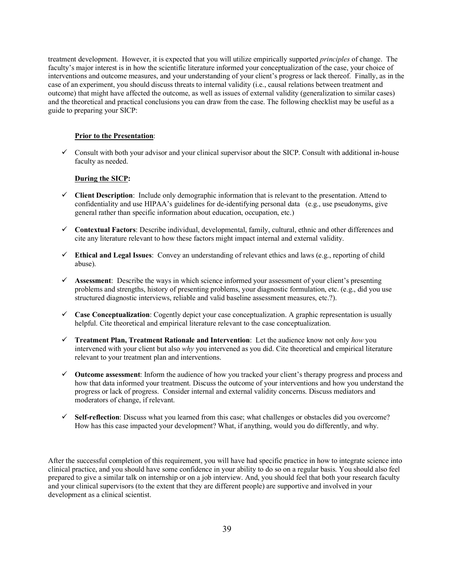treatment development. However, it is expected that you will utilize empirically supported *principles* of change. The faculty's major interest is in how the scientific literature informed your conceptualization of the case, your choice of interventions and outcome measures, and your understanding of your client's progress or lack thereof. Finally, as in the case of an experiment, you should discuss threats to internal validity (i.e., causal relations between treatment and outcome) that might have affected the outcome, as well as issues of external validity (generalization to similar cases) and the theoretical and practical conclusions you can draw from the case. The following checklist may be useful as a guide to preparing your SICP:

#### **Prior to the Presentation**:

 $\checkmark$  Consult with both your advisor and your clinical supervisor about the SICP. Consult with additional in-house faculty as needed.

#### **During the SICP:**

- $\checkmark$  Client Description: Include only demographic information that is relevant to the presentation. Attend to confidentiality and use HIPAA's guidelines for de-identifying personal data (e.g., use pseudonyms, give general rather than specific information about education, occupation, etc.)
- ü **Contextual Factors**: Describe individual, developmental, family, cultural, ethnic and other differences and cite any literature relevant to how these factors might impact internal and external validity.
- $\checkmark$  **Ethical and Legal Issues**: Convey an understanding of relevant ethics and laws (e.g., reporting of child abuse).
- $\checkmark$  Assessment: Describe the ways in which science informed your assessment of your client's presenting problems and strengths, history of presenting problems, your diagnostic formulation, etc. (e.g., did you use structured diagnostic interviews, reliable and valid baseline assessment measures, etc.?).
- $\checkmark$  **Case Conceptualization**: Cogently depict your case conceptualization. A graphic representation is usually helpful. Cite theoretical and empirical literature relevant to the case conceptualization.
- ü **Treatment Plan, Treatment Rationale and Intervention**: Let the audience know not only *how* you intervened with your client but also *why* you intervened as you did. Cite theoretical and empirical literature relevant to your treatment plan and interventions.
- ü **Outcome assessment**: Inform the audience of how you tracked your client's therapy progress and process and how that data informed your treatment. Discuss the outcome of your interventions and how you understand the progress or lack of progress. Consider internal and external validity concerns. Discuss mediators and moderators of change, if relevant.
- $\checkmark$  Self-reflection: Discuss what you learned from this case; what challenges or obstacles did you overcome? How has this case impacted your development? What, if anything, would you do differently, and why.

After the successful completion of this requirement, you will have had specific practice in how to integrate science into clinical practice, and you should have some confidence in your ability to do so on a regular basis. You should also feel prepared to give a similar talk on internship or on a job interview. And, you should feel that both your research faculty and your clinical supervisors (to the extent that they are different people) are supportive and involved in your development as a clinical scientist.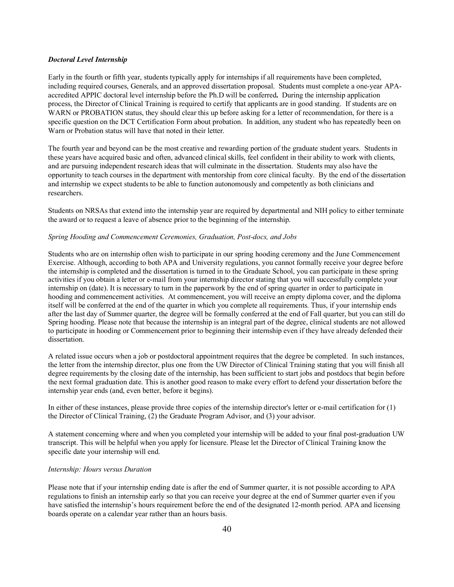#### *Doctoral Level Internship*

Early in the fourth or fifth year, students typically apply for internships if all requirements have been completed, including required courses, Generals, and an approved dissertation proposal. Students must complete a one-year APAaccredited APPIC doctoral level internship before the Ph.D will be conferred**.** During the internship application process, the Director of Clinical Training is required to certify that applicants are in good standing. If students are on WARN or PROBATION status, they should clear this up before asking for a letter of recommendation, for there is a specific question on the DCT Certification Form about probation. In addition, any student who has repeatedly been on Warn or Probation status will have that noted in their letter.

The fourth year and beyond can be the most creative and rewarding portion of the graduate student years. Students in these years have acquired basic and often, advanced clinical skills, feel confident in their ability to work with clients, and are pursuing independent research ideas that will culminate in the dissertation. Students may also have the opportunity to teach courses in the department with mentorship from core clinical faculty. By the end of the dissertation and internship we expect students to be able to function autonomously and competently as both clinicians and researchers.

Students on NRSAs that extend into the internship year are required by departmental and NIH policy to either terminate the award or to request a leave of absence prior to the beginning of the internship.

#### *Spring Hooding and Commencement Ceremonies, Graduation, Post-docs, and Jobs*

Students who are on internship often wish to participate in our spring hooding ceremony and the June Commencement Exercise. Although, according to both APA and University regulations, you cannot formally receive your degree before the internship is completed and the dissertation is turned in to the Graduate School, you can participate in these spring activities if you obtain a letter or e-mail from your internship director stating that you will successfully complete your internship on (date). It is necessary to turn in the paperwork by the end of spring quarter in order to participate in hooding and commencement activities. At commencement, you will receive an empty diploma cover, and the diploma itself will be conferred at the end of the quarter in which you complete all requirements. Thus, if your internship ends after the last day of Summer quarter, the degree will be formally conferred at the end of Fall quarter, but you can still do Spring hooding. Please note that because the internship is an integral part of the degree, clinical students are not allowed to participate in hooding or Commencement prior to beginning their internship even if they have already defended their dissertation.

A related issue occurs when a job or postdoctoral appointment requires that the degree be completed. In such instances, the letter from the internship director, plus one from the UW Director of Clinical Training stating that you will finish all degree requirements by the closing date of the internship, has been sufficient to start jobs and postdocs that begin before the next formal graduation date. This is another good reason to make every effort to defend your dissertation before the internship year ends (and, even better, before it begins).

In either of these instances, please provide three copies of the internship director's letter or e-mail certification for (1) the Director of Clinical Training, (2) the Graduate Program Advisor, and (3) your advisor.

A statement concerning where and when you completed your internship will be added to your final post-graduation UW transcript. This will be helpful when you apply for licensure. Please let the Director of Clinical Training know the specific date your internship will end.

#### *Internship: Hours versus Duration*

Please note that if your internship ending date is after the end of Summer quarter, it is not possible according to APA regulations to finish an internship early so that you can receive your degree at the end of Summer quarter even if you have satisfied the internship's hours requirement before the end of the designated 12-month period. APA and licensing boards operate on a calendar year rather than an hours basis.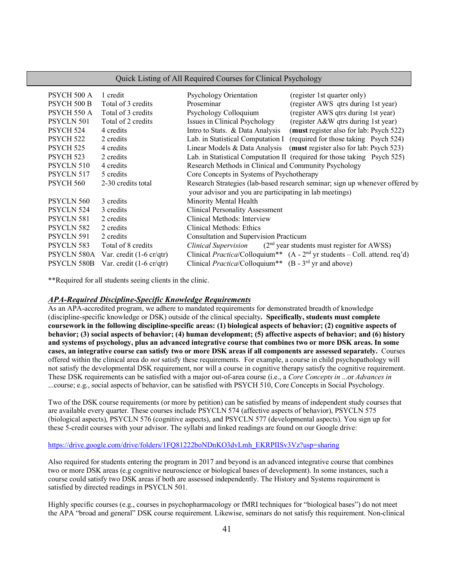| <b>Quick Listing of All Required Courses for Clinical Psychology</b> |                                           |                                                                                      |  |  |
|----------------------------------------------------------------------|-------------------------------------------|--------------------------------------------------------------------------------------|--|--|
| PSYCH 500 A                                                          | 1 credit                                  | Psychology Orientation<br>(register 1st quarter only)                                |  |  |
| <b>PSYCH 500 B</b>                                                   | Total of 3 credits                        | Proseminar<br>(register AWS qtrs during 1st year)                                    |  |  |
| PSYCH 550 A                                                          | Total of 3 credits                        | (register AWS qtrs during 1st year)<br>Psychology Colloquium                         |  |  |
| <b>PSYCLN 501</b>                                                    | Total of 2 credits                        | Issues in Clinical Psychology<br>(register A&W qtrs during 1st year)                 |  |  |
| PSYCH 524                                                            | 4 credits                                 | Intro to Stats. & Data Analysis<br>(must register also for lab: Psych 522)           |  |  |
| PSYCH 522                                                            | 2 credits                                 | Lab. in Statistical Computation I (required for those taking Psych 524)              |  |  |
| PSYCH <sub>525</sub>                                                 | 4 credits                                 | Linear Models & Data Analysis<br>(must register also for lab: Psych 523)             |  |  |
| PSYCH <sub>523</sub>                                                 | 2 credits                                 | Lab. in Statistical Computation II (required for those taking Psych 525)             |  |  |
| PSYCLN 510                                                           | 4 credits                                 | Research Methods in Clinical and Community Psychology                                |  |  |
| PSYCLN 517                                                           | 5 credits                                 | Core Concepts in Systems of Psychotherapy                                            |  |  |
| PSYCH 560                                                            | 2-30 credits total                        | Research Strategies (lab-based research seminar; sign up whenever offered by         |  |  |
|                                                                      |                                           | your advisor and you are participating in lab meetings)                              |  |  |
| PSYCLN 560                                                           | 3 credits                                 | Minority Mental Health                                                               |  |  |
| PSYCLN 524                                                           | 3 credits                                 | <b>Clinical Personality Assessment</b>                                               |  |  |
| <b>PSYCLN 581</b>                                                    | 2 credits                                 | Clinical Methods: Interview                                                          |  |  |
| PSYCLN 582                                                           | 2 credits                                 | Clinical Methods: Ethics                                                             |  |  |
| PSYCLN 591                                                           | 2 credits                                 | <b>Consultation and Supervision Practicum</b>                                        |  |  |
| PSYCLN 583                                                           | Total of 8 credits                        | $(2nd$ year students must register for AWSS)<br><i>Clinical Supervision</i>          |  |  |
| PSYCLN 580A                                                          | Var. credit $(1-6 \text{ cr}/\text{qtr})$ | Clinical <i>Practica</i> /Colloquium** $(A - 2nd$ yr students – Coll. attend. req'd) |  |  |
| <b>PSYCLN 580B</b>                                                   | Var. credit $(1-6 \text{ cr/gtr})$        | Clinical <i>Practica</i> /Colloquium** $(B - 3rd$ yr and above)                      |  |  |

\*\*Required for all students seeing clients in the clinic.

#### *APA-Required Discipline-Specific Knowledge Requirements*

As an APA-accredited program, we adhere to mandated requirements for demonstrated breadth of knowledge (discipline-specific knowledge or DSK) outside of the clinical specialty**. Specifically, students must complete coursework in the following discipline-specific areas: (1) biological aspects of behavior; (2) cognitive aspects of behavior; (3) social aspects of behavior; (4) human development; (5) affective aspects of behavior; and (6) history and systems of psychology, plus an advanced integrative course that combines two or more DSK areas. In some cases, an integrative course can satisfy two or more DSK areas if all components are assessed separately.** Courses offered within the clinical area do *not* satisfy these requirements. For example, a course in child psychopathology will not satisfy the developmental DSK requirement, nor will a course in cognitive therapy satisfy the cognitive requirement. These DSK requirements can be satisfied with a major out-of-area course (i.e., a *Core Concepts in* ...or *Advances in* ...course; e.g., social aspects of behavior, can be satisfied with PSYCH 510, Core Concepts in Social Psychology.

Two of the DSK course requirements (or more by petition) can be satisfied by means of independent study courses that are available every quarter. These courses include PSYCLN 574 (affective aspects of behavior), PSYCLN 575 (biological aspects), PSYCLN 576 (cognitive aspects), and PSYCLN 577 (developmental aspects). You sign up for these 5-credit courses with your advisor. The syllabi and linked readings are found on our Google drive:

#### https://drive.google.com/drive/folders/1FQ81222boNDnKO3dvLmh\_EKRPIISv3Vz?usp=sharing

Also required for students entering the program in 2017 and beyond is an advanced integrative course that combines two or more DSK areas (e.g cognitive neuroscience or biological bases of development). In some instances, such a course could satisfy two DSK areas if both are assessed independently. The History and Systems requirement is satisfied by directed readings in PSYCLN 501.

Highly specific courses (e.g., courses in psychopharmacology or fMRI techniques for "biological bases") do not meet the APA "broad and general" DSK course requirement. Likewise, seminars do not satisfy this requirement. Non-clinical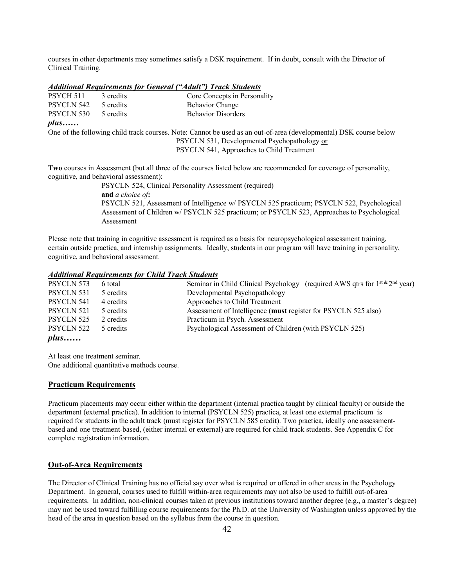courses in other departments may sometimes satisfy a DSK requirement. If in doubt, consult with the Director of Clinical Training.

#### *Additional Requirements for General ("Adult") Track Students*

| PSYCH 511         | 3 credits | Core Concepts in Personality |
|-------------------|-----------|------------------------------|
| PSYCLN 542        | 5 credits | <b>Behavior Change</b>       |
| <b>PSYCLN 530</b> | 5 credits | <b>Behavior Disorders</b>    |

#### *plus……*

One of the following child track courses. Note: Cannot be used as an out-of-area (developmental) DSK course below PSYCLN 531, Developmental Psychopathology or PSYCLN 541, Approaches to Child Treatment

**Two** courses in Assessment (but all three of the courses listed below are recommended for coverage of personality, cognitive, and behavioral assessment):

> PSYCLN 524, Clinical Personality Assessment (required) **and** *a choice of***:**  PSYCLN 521, Assessment of Intelligence w/ PSYCLN 525 practicum; PSYCLN 522, Psychological Assessment of Children w/ PSYCLN 525 practicum; or PSYCLN 523, Approaches to Psychological Assessment

Please note that training in cognitive assessment is required as a basis for neuropsychological assessment training, certain outside practica, and internship assignments. Ideally, students in our program will have training in personality, cognitive, and behavioral assessment.

#### *Additional Requirements for Child Track Students*

| PSYCLN 573        | 6 total   | Seminar in Child Clinical Psychology (required AWS qtrs for $1^{st \& 2^{nd}}$ year) |
|-------------------|-----------|--------------------------------------------------------------------------------------|
| PSYCLN 531        | 5 credits | Developmental Psychopathology                                                        |
| <b>PSYCLN 541</b> | 4 credits | Approaches to Child Treatment                                                        |
| PSYCLN 521        | 5 credits | Assessment of Intelligence (must register for PSYCLN 525 also)                       |
| PSYCLN 525        | 2 credits | Practicum in Psych. Assessment                                                       |
| PSYCLN 522        | 5 credits | Psychological Assessment of Children (with PSYCLN 525)                               |
| $plus \dots$      |           |                                                                                      |

At least one treatment seminar. One additional quantitative methods course.

#### **Practicum Requirements**

Practicum placements may occur either within the department (internal practica taught by clinical faculty) or outside the department (external practica). In addition to internal (PSYCLN 525) practica, at least one external practicum is required for students in the adult track (must register for PSYCLN 585 credit). Two practica, ideally one assessmentbased and one treatment-based, (either internal or external) are required for child track students. See Appendix C for complete registration information.

#### **Out-of-Area Requirements**

The Director of Clinical Training has no official say over what is required or offered in other areas in the Psychology Department. In general, courses used to fulfill within-area requirements may not also be used to fulfill out-of-area requirements. In addition, non-clinical courses taken at previous institutions toward another degree (e.g., a master's degree) may not be used toward fulfilling course requirements for the Ph.D. at the University of Washington unless approved by the head of the area in question based on the syllabus from the course in question.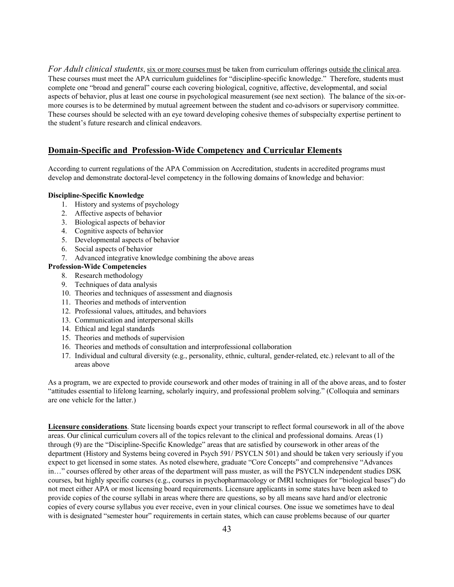*For Adult clinical students*, six or more courses must be taken from curriculum offerings outside the clinical area. These courses must meet the APA curriculum guidelines for "discipline-specific knowledge." Therefore, students must complete one "broad and general" course each covering biological, cognitive, affective, developmental, and social aspects of behavior, plus at least one course in psychological measurement (see next section). The balance of the six-ormore courses is to be determined by mutual agreement between the student and co-advisors or supervisory committee. These courses should be selected with an eye toward developing cohesive themes of subspecialty expertise pertinent to the student's future research and clinical endeavors.

#### **Domain-Specific and Profession-Wide Competency and Curricular Elements**

According to current regulations of the APA Commission on Accreditation, students in accredited programs must develop and demonstrate doctoral-level competency in the following domains of knowledge and behavior:

#### **Discipline-Specific Knowledge**

- 1. History and systems of psychology
- 2. Affective aspects of behavior
- 3. Biological aspects of behavior
- 4. Cognitive aspects of behavior
- 5. Developmental aspects of behavior
- 6. Social aspects of behavior
- 7. Advanced integrative knowledge combining the above areas

#### **Profession-Wide Competencies**

- 8. Research methodology
- 9. Techniques of data analysis
- 10. Theories and techniques of assessment and diagnosis
- 11. Theories and methods of intervention
- 12. Professional values, attitudes, and behaviors
- 13. Communication and interpersonal skills
- 14. Ethical and legal standards
- 15. Theories and methods of supervision
- 16. Theories and methods of consultation and interprofessional collaboration
- 17. Individual and cultural diversity (e.g., personality, ethnic, cultural, gender-related, etc.) relevant to all of the areas above

As a program, we are expected to provide coursework and other modes of training in all of the above areas, and to foster "attitudes essential to lifelong learning, scholarly inquiry, and professional problem solving." (Colloquia and seminars are one vehicle for the latter.)

**Licensure considerations**. State licensing boards expect your transcript to reflect formal coursework in all of the above areas. Our clinical curriculum covers all of the topics relevant to the clinical and professional domains. Areas (1) through (9) are the "Discipline-Specific Knowledge" areas that are satisfied by coursework in other areas of the department (History and Systems being covered in Psych 591/ PSYCLN 501) and should be taken very seriously if you expect to get licensed in some states. As noted elsewhere, graduate "Core Concepts" and comprehensive "Advances in…" courses offered by other areas of the department will pass muster, as will the PSYCLN independent studies DSK courses, but highly specific courses (e.g., courses in psychopharmacology or fMRI techniques for "biological bases") do not meet either APA or most licensing board requirements. Licensure applicants in some states have been asked to provide copies of the course syllabi in areas where there are questions, so by all means save hard and/or electronic copies of every course syllabus you ever receive, even in your clinical courses. One issue we sometimes have to deal with is designated "semester hour" requirements in certain states, which can cause problems because of our quarter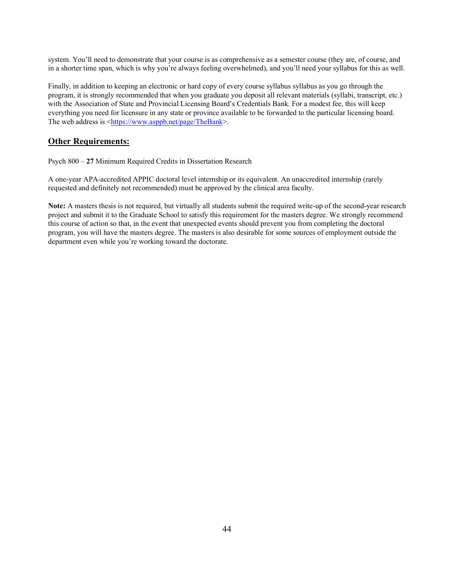system. You'll need to demonstrate that your course is as comprehensive as a semester course (they are, of course, and in a shorter time span, which is why you're always feeling overwhelmed), and you'll need your syllabus for this as well.

Finally, in addition to keeping an electronic or hard copy of every course syllabus syllabus as you go through the program, it is strongly recommended that when you graduate you deposit all relevant materials (syllabi, transcript, etc.) with the Association of State and Provincial Licensing Board's Credentials Bank. For a modest fee, this will keep everything you need for licensure in any state or province available to be forwarded to the particular licensing board. The web address is <https://www.asppb.net/page/TheBank>.

#### **Other Requirements:**

Psych 800 – **27** Minimum Required Credits in Dissertation Research

A one-year APA-accredited APPIC doctoral level internship or its equivalent. An unaccredited internship (rarely requested and definitely not recommended) must be approved by the clinical area faculty.

**Note:** A masters thesis is not required, but virtually all students submit the required write-up of the second-year research project and submit it to the Graduate School to satisfy this requirement for the masters degree. We strongly recommend this course of action so that, in the event that unexpected events should prevent you from completing the doctoral program, you will have the masters degree. The masters is also desirable for some sources of employment outside the department even while you're working toward the doctorate.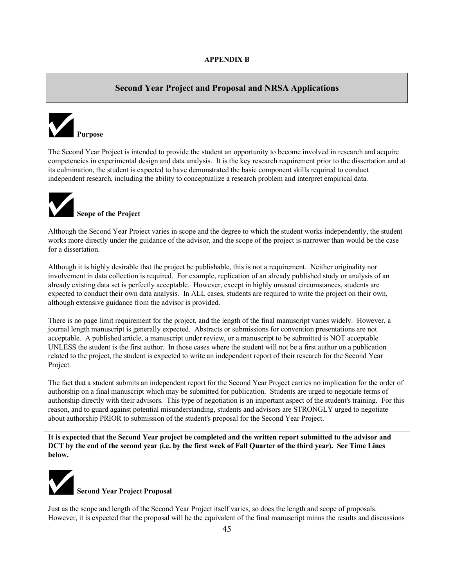#### **Second Year Project and Proposal and NRSA Applications**



The Second Year Project is intended to provide the student an opportunity to become involved in research and acquire competencies in experimental design and data analysis. It is the key research requirement prior to the dissertation and at its culmination, the student is expected to have demonstrated the basic component skills required to conduct independent research, including the ability to conceptualize a research problem and interpret empirical data.



Although the Second Year Project varies in scope and the degree to which the student works independently, the student works more directly under the guidance of the advisor, and the scope of the project is narrower than would be the case for a dissertation.

Although it is highly desirable that the project be publishable, this is not a requirement. Neither originality nor involvement in data collection is required. For example, replication of an already published study or analysis of an already existing data set is perfectly acceptable. However, except in highly unusual circumstances, students are expected to conduct their own data analysis. In ALL cases, students are required to write the project on their own, although extensive guidance from the advisor is provided.

There is no page limit requirement for the project, and the length of the final manuscript varies widely. However, a journal length manuscript is generally expected. Abstracts or submissions for convention presentations are not acceptable. A published article, a manuscript under review, or a manuscript to be submitted is NOT acceptable UNLESS the student is the first author. In those cases where the student will not be a first author on a publication related to the project, the student is expected to write an independent report of their research for the Second Year Project.

The fact that a student submits an independent report for the Second Year Project carries no implication for the order of authorship on a final manuscript which may be submitted for publication. Students are urged to negotiate terms of authorship directly with their advisors. This type of negotiation is an important aspect of the student's training. For this reason, and to guard against potential misunderstanding, students and advisors are STRONGLY urged to negotiate about authorship PRIOR to submission of the student's proposal for the Second Year Project.

**It is expected that the Second Year project be completed and the written report submitted to the advisor and DCT by the end of the second year (i.e. by the first week of Fall Quarter of the third year). See Time Lines below.**



Just as the scope and length of the Second Year Project itself varies, so does the length and scope of proposals. However, it is expected that the proposal will be the equivalent of the final manuscript minus the results and discussions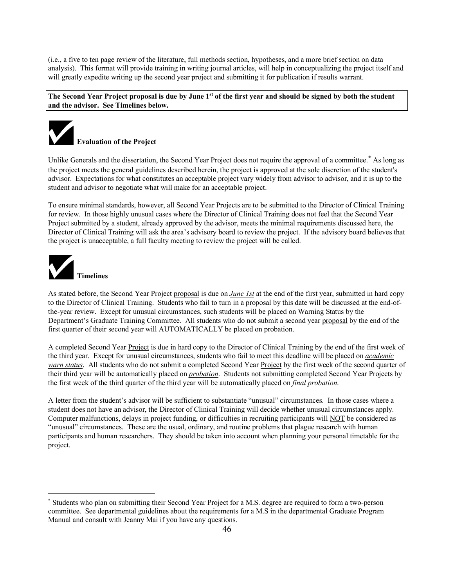(i.e., a five to ten page review of the literature, full methods section, hypotheses, and a more brief section on data analysis). This format will provide training in writing journal articles, will help in conceptualizing the project itself and will greatly expedite writing up the second year project and submitting it for publication if results warrant.

**The Second Year Project proposal is due by June 1st of the first year and should be signed by both the student and the advisor. See Timelines below.**



Unlike Generals and the dissertation, the Second Year Project does not require the approval of a committee.<sup>\*</sup> As long as the project meets the general guidelines described herein, the project is approved at the sole discretion of the student's advisor. Expectations for what constitutes an acceptable project vary widely from advisor to advisor, and it is up to the student and advisor to negotiate what will make for an acceptable project.

To ensure minimal standards, however, all Second Year Projects are to be submitted to the Director of Clinical Training for review. In those highly unusual cases where the Director of Clinical Training does not feel that the Second Year Project submitted by a student, already approved by the advisor, meets the minimal requirements discussed here, the Director of Clinical Training will ask the area's advisory board to review the project. If the advisory board believes that the project is unacceptable, a full faculty meeting to review the project will be called.



As stated before, the Second Year Project proposal is due on *June 1st* at the end of the first year, submitted in hard copy to the Director of Clinical Training. Students who fail to turn in a proposal by this date will be discussed at the end-ofthe-year review. Except for unusual circumstances, such students will be placed on Warning Status by the Department's Graduate Training Committee. All students who do not submit a second year proposal by the end of the first quarter of their second year will AUTOMATICALLY be placed on probation.

A completed Second Year Project is due in hard copy to the Director of Clinical Training by the end of the first week of the third year. Except for unusual circumstances, students who fail to meet this deadline will be placed on *academic warn status*. All students who do not submit a completed Second Year Project by the first week of the second quarter of their third year will be automatically placed on *probation*. Students not submitting completed Second Year Projects by the first week of the third quarter of the third year will be automatically placed on *final probation*.

A letter from the student's advisor will be sufficient to substantiate "unusual" circumstances. In those cases where a student does not have an advisor, the Director of Clinical Training will decide whether unusual circumstances apply. Computer malfunctions, delays in project funding, or difficulties in recruiting participants will NOT be considered as "unusual" circumstances. These are the usual, ordinary, and routine problems that plague research with human participants and human researchers. They should be taken into account when planning your personal timetable for the project.

 <sup>\*</sup> Students who plan on submitting their Second Year Project for a M.S. degree are required to form a two-person committee. See departmental guidelines about the requirements for a M.S in the departmental Graduate Program Manual and consult with Jeanny Mai if you have any questions.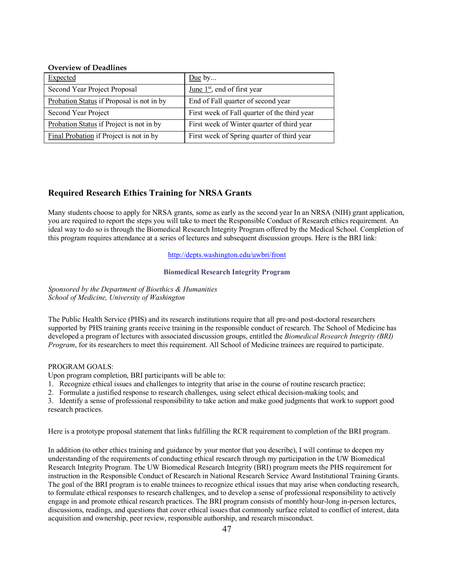#### **Overview of Deadlines**

| <b>Expected</b>                           | Due by                                       |
|-------------------------------------------|----------------------------------------------|
| Second Year Project Proposal              | June $1st$ , end of first year               |
| Probation Status if Proposal is not in by | End of Fall quarter of second year           |
| Second Year Project                       | First week of Fall quarter of the third year |
| Probation Status if Project is not in by  | First week of Winter quarter of third year   |
| Final Probation if Project is not in by   | First week of Spring quarter of third year   |

#### **Required Research Ethics Training for NRSA Grants**

Many students choose to apply for NRSA grants, some as early as the second year In an NRSA (NIH) grant application, you are required to report the steps you will take to meet the Responsible Conduct of Research ethics requirement. An ideal way to do so is through the Biomedical Research Integrity Program offered by the Medical School. Completion of this program requires attendance at a series of lectures and subsequent discussion groups. Here is the BRI link:

#### http://depts.washington.edu/uwbri/front

#### **Biomedical Research Integrity Program**

*Sponsored by the Department of Bioethics & Humanities School of Medicine, University of Washington*

The Public Health Service (PHS) and its research institutions require that all pre-and post-doctoral researchers supported by PHS training grants receive training in the responsible conduct of research. The School of Medicine has developed a program of lectures with associated discussion groups, entitled the *Biomedical Research Integrity (BRI) Program*, for its researchers to meet this requirement. All School of Medicine trainees are required to participate.

#### PROGRAM GOALS:

Upon program completion, BRI participants will be able to:

- 1. Recognize ethical issues and challenges to integrity that arise in the course of routine research practice;
- 2. Formulate a justified response to research challenges, using select ethical decision-making tools; and

3. Identify a sense of professional responsibility to take action and make good judgments that work to support good research practices.

Here is a prototype proposal statement that links fulfilling the RCR requirement to completion of the BRI program.

In addition (to other ethics training and guidance by your mentor that you describe), I will continue to deepen my understanding of the requirements of conducting ethical research through my participation in the UW Biomedical Research Integrity Program. The UW Biomedical Research Integrity (BRI) program meets the PHS requirement for instruction in the Responsible Conduct of Research in National Research Service Award Institutional Training Grants. The goal of the BRI program is to enable trainees to recognize ethical issues that may arise when conducting research, to formulate ethical responses to research challenges, and to develop a sense of professional responsibility to actively engage in and promote ethical research practices. The BRI program consists of monthly hour-long in-person lectures, discussions, readings, and questions that cover ethical issues that commonly surface related to conflict of interest, data acquisition and ownership, peer review, responsible authorship, and research misconduct.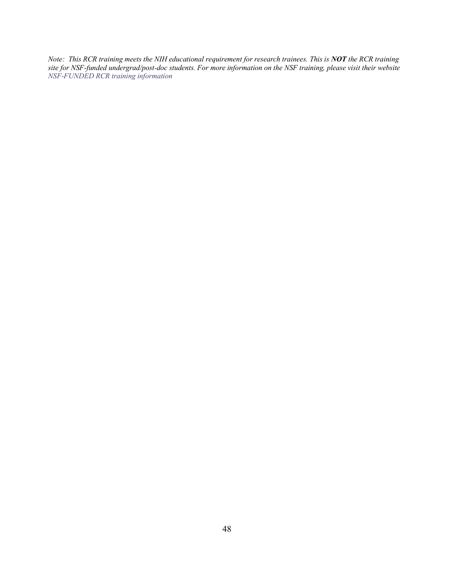*Note: This RCR training meets the NIH educational requirement for research trainees. This is NOT the RCR training site for NSF-funded undergrad/post-doc students. For more information on the NSF training, please visit their website NSF-FUNDED RCR training information*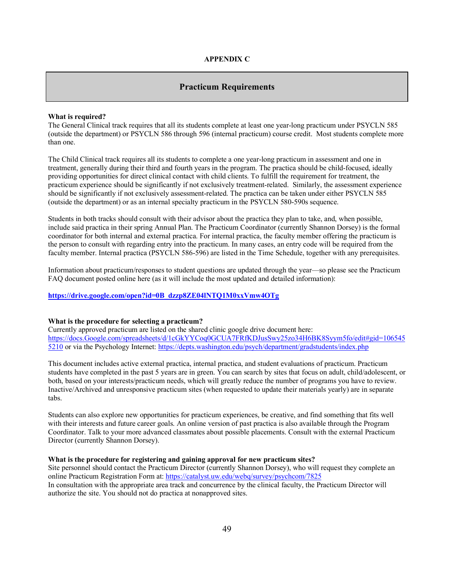#### **APPENDIX C**

#### **Practicum Requirements**

#### **What is required?**

The General Clinical track requires that all its students complete at least one year-long practicum under PSYCLN 585 (outside the department) or PSYCLN 586 through 596 (internal practicum) course credit. Most students complete more than one.

The Child Clinical track requires all its students to complete a one year-long practicum in assessment and one in treatment, generally during their third and fourth years in the program. The practica should be child-focused, ideally providing opportunities for direct clinical contact with child clients. To fulfill the requirement for treatment, the practicum experience should be significantly if not exclusively treatment-related. Similarly, the assessment experience should be significantly if not exclusively assessment-related. The practica can be taken under either PSYCLN 585 (outside the department) or as an internal specialty practicum in the PSYCLN 580-590s sequence.

Students in both tracks should consult with their advisor about the practica they plan to take, and, when possible, include said practica in their spring Annual Plan. The Practicum Coordinator (currently Shannon Dorsey) is the formal coordinator for both internal and external practica. For internal practica, the faculty member offering the practicum is the person to consult with regarding entry into the practicum. In many cases, an entry code will be required from the faculty member. Internal practica (PSYCLN 586-596) are listed in the Time Schedule, together with any prerequisites.

Information about practicum/responses to student questions are updated through the year—so please see the Practicum FAQ document posted online here (as it will include the most updated and detailed information):

#### **https://drive.google.com/open?id=0B\_dzzp8ZE04lNTQ1M0xxVmw4OTg**

#### **What is the procedure for selecting a practicum?**

Currently approved practicum are listed on the shared clinic google drive document here: https://docs.Google.com/spreadsheets/d/1cGkYYCoq0GCUA7FRfKDJusSwy25zo34H6BK8Syym5fo/edit#gid=106545 5210 or via the Psychology Internet: https://depts.washington.edu/psych/department/gradstudents/index.php

This document includes active external practica, internal practica, and student evaluations of practicum. Practicum students have completed in the past 5 years are in green. You can search by sites that focus on adult, child/adolescent, or both, based on your interests/practicum needs, which will greatly reduce the number of programs you have to review. Inactive/Archived and unresponsive practicum sites (when requested to update their materials yearly) are in separate tabs.

Students can also explore new opportunities for practicum experiences, be creative, and find something that fits well with their interests and future career goals. An online version of past practica is also available through the Program Coordinator. Talk to your more advanced classmates about possible placements. Consult with the external Practicum Director (currently Shannon Dorsey).

#### **What is the procedure for registering and gaining approval for new practicum sites?**

Site personnel should contact the Practicum Director (currently Shannon Dorsey), who will request they complete an online Practicum Registration Form at: https://catalyst.uw.edu/webq/survey/psychcom/7825 In consultation with the appropriate area track and concurrence by the clinical faculty, the Practicum Director will authorize the site. You should not do practica at nonapproved sites.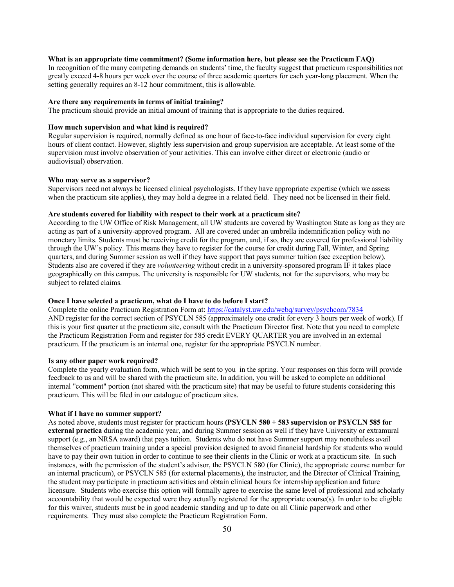#### **What is an appropriate time commitment? (Some information here, but please see the Practicum FAQ)**

In recognition of the many competing demands on students' time, the faculty suggest that practicum responsibilities not greatly exceed 4-8 hours per week over the course of three academic quarters for each year-long placement. When the setting generally requires an 8-12 hour commitment, this is allowable.

#### **Are there any requirements in terms of initial training?**

The practicum should provide an initial amount of training that is appropriate to the duties required.

#### **How much supervision and what kind is required?**

Regular supervision is required, normally defined as one hour of face-to-face individual supervision for every eight hours of client contact. However, slightly less supervision and group supervision are acceptable. At least some of the supervision must involve observation of your activities. This can involve either direct or electronic (audio or audiovisual) observation.

#### **Who may serve as a supervisor?**

Supervisors need not always be licensed clinical psychologists. If they have appropriate expertise (which we assess when the practicum site applies), they may hold a degree in a related field. They need not be licensed in their field.

#### **Are students covered for liability with respect to their work at a practicum site?**

According to the UW Office of Risk Management, all UW students are covered by Washington State as long as they are acting as part of a university-approved program. All are covered under an umbrella indemnification policy with no monetary limits. Students must be receiving credit for the program, and, if so, they are covered for professional liability through the UW's policy. This means they have to register for the course for credit during Fall, Winter, and Spring quarters, and during Summer session as well if they have support that pays summer tuition (see exception below). Students also are covered if they are *volunteering* without credit in a university-sponsored program IF it takes place geographically on this campus. The university is responsible for UW students, not for the supervisors, who may be subject to related claims.

#### **Once I have selected a practicum, what do I have to do before I start?**

Complete the online Practicum Registration Form at: https://catalyst.uw.edu/webq/survey/psychcom/7834 AND register for the correct section of PSYCLN 585 (approximately one credit for every 3 hours per week of work). If this is your first quarter at the practicum site, consult with the Practicum Director first. Note that you need to complete the Practicum Registration Form and register for 585 credit EVERY QUARTER you are involved in an external practicum. If the practicum is an internal one, register for the appropriate PSYCLN number.

#### **Is any other paper work required?**

Complete the yearly evaluation form, which will be sent to you in the spring. Your responses on this form will provide feedback to us and will be shared with the practicum site. In addition, you will be asked to complete an additional internal "comment" portion (not shared with the practicum site) that may be useful to future students considering this practicum. This will be filed in our catalogue of practicum sites.

#### **What if I have no summer support?**

As noted above, students must register for practicum hours **(PSYCLN 580 + 583 supervision or PSYCLN 585 for external practica** during the academic year, and during Summer session as well if they have University or extramural support (e.g., an NRSA award) that pays tuition. Students who do not have Summer support may nonetheless avail themselves of practicum training under a special provision designed to avoid financial hardship for students who would have to pay their own tuition in order to continue to see their clients in the Clinic or work at a practicum site. In such instances, with the permission of the student's advisor, the PSYCLN 580 (for Clinic), the appropriate course number for an internal practicum), or PSYCLN 585 (for external placements), the instructor, and the Director of Clinical Training, the student may participate in practicum activities and obtain clinical hours for internship application and future licensure. Students who exercise this option will formally agree to exercise the same level of professional and scholarly accountability that would be expected were they actually registered for the appropriate course(s). In order to be eligible for this waiver, students must be in good academic standing and up to date on all Clinic paperwork and other requirements. They must also complete the Practicum Registration Form.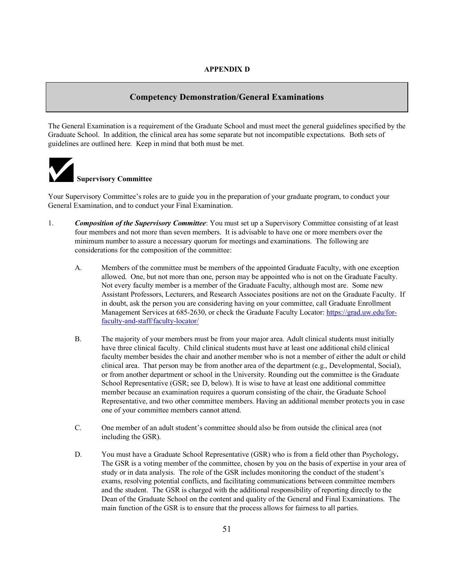#### **Competency Demonstration/General Examinations**

The General Examination is a requirement of the Graduate School and must meet the general guidelines specified by the Graduate School. In addition, the clinical area has some separate but not incompatible expectations. Both sets of guidelines are outlined here. Keep in mind that both must be met.



Your Supervisory Committee's roles are to guide you in the preparation of your graduate program, to conduct your General Examination, and to conduct your Final Examination.

- 1. *Composition of the Supervisory Committee*: You must set up a Supervisory Committee consisting of at least four members and not more than seven members. It is advisable to have one or more members over the minimum number to assure a necessary quorum for meetings and examinations. The following are considerations for the composition of the committee:
	- A. Members of the committee must be members of the appointed Graduate Faculty, with one exception allowed. One, but not more than one, person may be appointed who is not on the Graduate Faculty. Not every faculty member is a member of the Graduate Faculty, although most are. Some new Assistant Professors, Lecturers, and Research Associates positions are not on the Graduate Faculty. If in doubt, ask the person you are considering having on your committee, call Graduate Enrollment Management Services at 685-2630, or check the Graduate Faculty Locator: https://grad.uw.edu/forfaculty-and-staff/faculty-locator/
	- B. The majority of your members must be from your major area. Adult clinical students must initially have three clinical faculty. Child clinical students must have at least one additional child clinical faculty member besides the chair and another member who is not a member of either the adult or child clinical area. That person may be from another area of the department (e.g., Developmental, Social), or from another department or school in the University. Rounding out the committee is the Graduate School Representative (GSR; see D, below). It is wise to have at least one additional committee member because an examination requires a quorum consisting of the chair, the Graduate School Representative, and two other committee members. Having an additional member protects you in case one of your committee members cannot attend.
	- C. One member of an adult student's committee should also be from outside the clinical area (not including the GSR).
	- D. You must have a Graduate School Representative (GSR) who is from a field other than Psychology**.**  The GSR is a voting member of the committee, chosen by you on the basis of expertise in your area of study or in data analysis. The role of the GSR includes monitoring the conduct of the student's exams, resolving potential conflicts, and facilitating communications between committee members and the student. The GSR is charged with the additional responsibility of reporting directly to the Dean of the Graduate School on the content and quality of the General and Final Examinations. The main function of the GSR is to ensure that the process allows for fairness to all parties.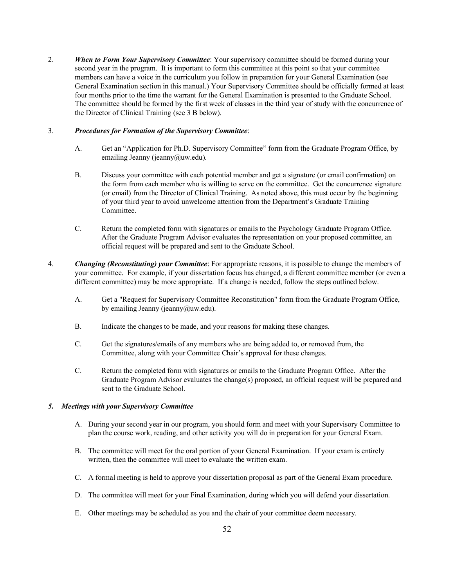2. *When to Form Your Supervisory Committee*: Your supervisory committee should be formed during your second year in the program. It is important to form this committee at this point so that your committee members can have a voice in the curriculum you follow in preparation for your General Examination (see General Examination section in this manual.) Your Supervisory Committee should be officially formed at least four months prior to the time the warrant for the General Examination is presented to the Graduate School. The committee should be formed by the first week of classes in the third year of study with the concurrence of the Director of Clinical Training (see 3 B below).

#### 3. *Procedures for Formation of the Supervisory Committee*:

- A. Get an "Application for Ph.D. Supervisory Committee" form from the Graduate Program Office, by emailing Jeanny (jeanny@uw.edu).
- B. Discuss your committee with each potential member and get a signature (or email confirmation) on the form from each member who is willing to serve on the committee. Get the concurrence signature (or email) from the Director of Clinical Training. As noted above, this must occur by the beginning of your third year to avoid unwelcome attention from the Department's Graduate Training Committee.
- C. Return the completed form with signatures or emails to the Psychology Graduate Program Office. After the Graduate Program Advisor evaluates the representation on your proposed committee, an official request will be prepared and sent to the Graduate School.
- 4. *Changing (Reconstituting) your Committee*: For appropriate reasons, it is possible to change the members of your committee. For example, if your dissertation focus has changed, a different committee member (or even a different committee) may be more appropriate. If a change is needed, follow the steps outlined below.
	- A. Get a "Request for Supervisory Committee Reconstitution" form from the Graduate Program Office, by emailing Jeanny (jeanny@uw.edu).
	- B. Indicate the changes to be made, and your reasons for making these changes.
	- C. Get the signatures/emails of any members who are being added to, or removed from, the Committee, along with your Committee Chair's approval for these changes.
	- C. Return the completed form with signatures or emails to the Graduate Program Office. After the Graduate Program Advisor evaluates the change(s) proposed, an official request will be prepared and sent to the Graduate School.

#### *5. Meetings with your Supervisory Committee*

- A. During your second year in our program, you should form and meet with your Supervisory Committee to plan the course work, reading, and other activity you will do in preparation for your General Exam.
- B. The committee will meet for the oral portion of your General Examination. If your exam is entirely written, then the committee will meet to evaluate the written exam.
- C. A formal meeting is held to approve your dissertation proposal as part of the General Exam procedure.
- D. The committee will meet for your Final Examination, during which you will defend your dissertation.
- E. Other meetings may be scheduled as you and the chair of your committee deem necessary.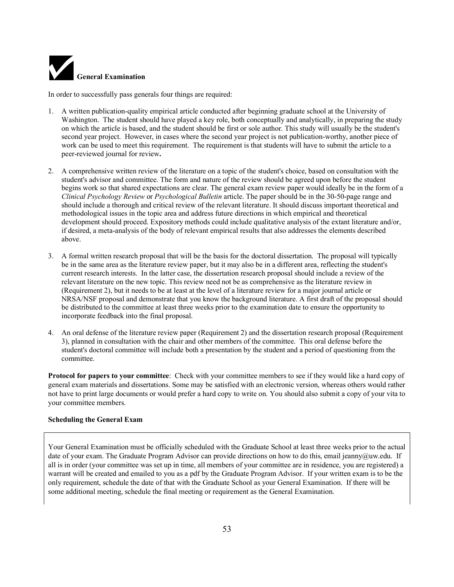

In order to successfully pass generals four things are required:

- 1. A written publication-quality empirical article conducted after beginning graduate school at the University of Washington. The student should have played a key role, both conceptually and analytically, in preparing the study on which the article is based, and the student should be first or sole author. This study will usually be the student's second year project. However, in cases where the second year project is not publication-worthy, another piece of work can be used to meet this requirement. The requirement is that students will have to submit the article to a peer-reviewed journal for review**.**
- 2. A comprehensive written review of the literature on a topic of the student's choice, based on consultation with the student's advisor and committee. The form and nature of the review should be agreed upon before the student begins work so that shared expectations are clear. The general exam review paper would ideally be in the form of a *Clinical Psychology Review* or *Psychological Bulletin* article. The paper should be in the 30-50-page range and should include a thorough and critical review of the relevant literature. It should discuss important theoretical and methodological issues in the topic area and address future directions in which empirical and theoretical development should proceed. Expository methods could include qualitative analysis of the extant literature and/or, if desired, a meta-analysis of the body of relevant empirical results that also addresses the elements described above.
- 3. A formal written research proposal that will be the basis for the doctoral dissertation. The proposal will typically be in the same area as the literature review paper, but it may also be in a different area, reflecting the student's current research interests. In the latter case, the dissertation research proposal should include a review of the relevant literature on the new topic. This review need not be as comprehensive as the literature review in (Requirement 2), but it needs to be at least at the level of a literature review for a major journal article or NRSA/NSF proposal and demonstrate that you know the background literature. A first draft of the proposal should be distributed to the committee at least three weeks prior to the examination date to ensure the opportunity to incorporate feedback into the final proposal.
- 4. An oral defense of the literature review paper (Requirement 2) and the dissertation research proposal (Requirement 3), planned in consultation with the chair and other members of the committee. This oral defense before the student's doctoral committee will include both a presentation by the student and a period of questioning from the committee.

**Protocol for papers to your committee**: Check with your committee members to see if they would like a hard copy of general exam materials and dissertations. Some may be satisfied with an electronic version, whereas others would rather not have to print large documents or would prefer a hard copy to write on. You should also submit a copy of your vita to your committee members.

#### **Scheduling the General Exam**

Your General Examination must be officially scheduled with the Graduate School at least three weeks prior to the actual date of your exam. The Graduate Program Advisor can provide directions on how to do this, email jeanny@uw.edu. If all is in order (your committee was set up in time, all members of your committee are in residence, you are registered) a warrant will be created and emailed to you as a pdf by the Graduate Program Advisor. If your written exam is to be the only requirement, schedule the date of that with the Graduate School as your General Examination. If there will be some additional meeting, schedule the final meeting or requirement as the General Examination.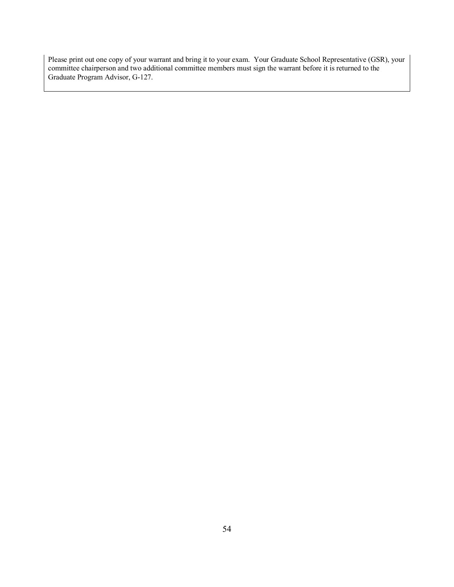Please print out one copy of your warrant and bring it to your exam. Your Graduate School Representative (GSR), your committee chairperson and two additional committee members must sign the warrant before it is returned to the Graduate Program Advisor, G-127.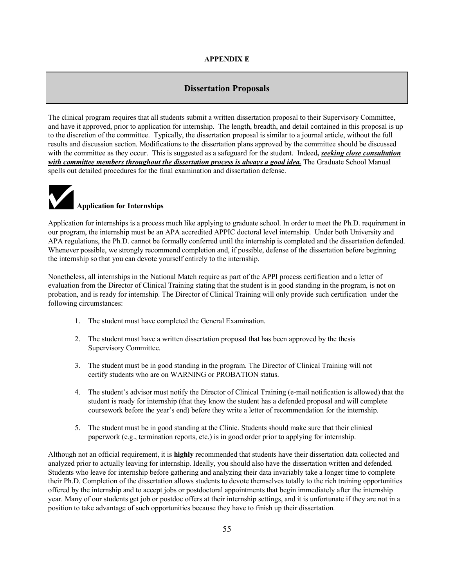#### **APPENDIX E**

#### **Dissertation Proposals**

The clinical program requires that all students submit a written dissertation proposal to their Supervisory Committee, and have it approved, prior to application for internship. The length, breadth, and detail contained in this proposal is up to the discretion of the committee. Typically, the dissertation proposal is similar to a journal article, without the full results and discussion section. Modifications to the dissertation plans approved by the committee should be discussed with the committee as they occur. This is suggested as a safeguard for the student. Indeed**,** *seeking close consultation with committee members throughout the dissertation process is always a good idea.* The Graduate School Manual spells out detailed procedures for the final examination and dissertation defense.



Application for internships is a process much like applying to graduate school. In order to meet the Ph.D. requirement in our program, the internship must be an APA accredited APPIC doctoral level internship.Under both University and APA regulations, the Ph.D. cannot be formally conferred until the internship is completed and the dissertation defended. Whenever possible, we strongly recommend completion and, if possible, defense of the dissertation before beginning the internship so that you can devote yourself entirely to the internship.

Nonetheless, all internships in the National Match require as part of the APPI process certification and a letter of evaluation from the Director of Clinical Training stating that the student is in good standing in the program, is not on probation, and is ready for internship. The Director of Clinical Training will only provide such certification under the following circumstances:

- 1. The student must have completed the General Examination.
- 2. The student must have a written dissertation proposal that has been approved by the thesis Supervisory Committee.
- 3. The student must be in good standing in the program. The Director of Clinical Training will not certify students who are on WARNING or PROBATION status.
- 4. The student's advisor must notify the Director of Clinical Training (e-mail notification is allowed) that the student is ready for internship (that they know the student has a defended proposal and will complete coursework before the year's end) before they write a letter of recommendation for the internship.
- 5. The student must be in good standing at the Clinic. Students should make sure that their clinical paperwork (e.g., termination reports, etc.) is in good order prior to applying for internship.

Although not an official requirement, it is **highly** recommended that students have their dissertation data collected and analyzed prior to actually leaving for internship. Ideally, you should also have the dissertation written and defended. Students who leave for internship before gathering and analyzing their data invariably take a longer time to complete their Ph.D. Completion of the dissertation allows students to devote themselves totally to the rich training opportunities offered by the internship and to accept jobs or postdoctoral appointments that begin immediately after the internship year. Many of our students get job or postdoc offers at their internship settings, and it is unfortunate if they are not in a position to take advantage of such opportunities because they have to finish up their dissertation.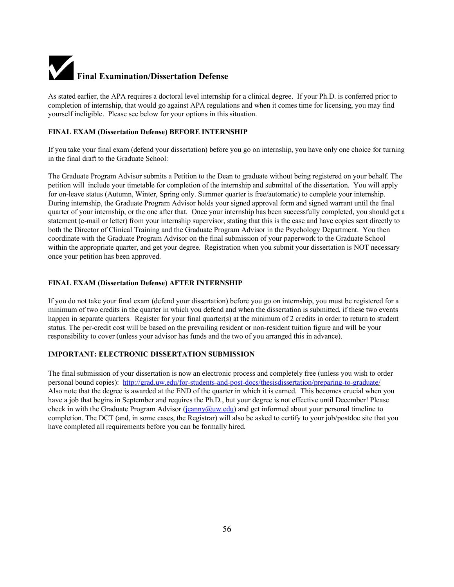# **Final Examination/Dissertation Defense**

As stated earlier, the APA requires a doctoral level internship for a clinical degree. If your Ph.D. is conferred prior to completion of internship, that would go against APA regulations and when it comes time for licensing, you may find yourself ineligible. Please see below for your options in this situation.

#### **FINAL EXAM (Dissertation Defense) BEFORE INTERNSHIP**

If you take your final exam (defend your dissertation) before you go on internship, you have only one choice for turning in the final draft to the Graduate School:

The Graduate Program Advisor submits a Petition to the Dean to graduate without being registered on your behalf. The petition will include your timetable for completion of the internship and submittal of the dissertation. You will apply for on-leave status (Autumn, Winter, Spring only. Summer quarter is free/automatic) to complete your internship. During internship, the Graduate Program Advisor holds your signed approval form and signed warrant until the final quarter of your internship, or the one after that. Once your internship has been successfully completed, you should get a statement (e-mail or letter) from your internship supervisor, stating that this is the case and have copies sent directly to both the Director of Clinical Training and the Graduate Program Advisor in the Psychology Department. You then coordinate with the Graduate Program Advisor on the final submission of your paperwork to the Graduate School within the appropriate quarter, and get your degree. Registration when you submit your dissertation is NOT necessary once your petition has been approved.

#### **FINAL EXAM (Dissertation Defense) AFTER INTERNSHIP**

If you do not take your final exam (defend your dissertation) before you go on internship, you must be registered for a minimum of two credits in the quarter in which you defend and when the dissertation is submitted, if these two events happen in separate quarters. Register for your final quarter(s) at the minimum of 2 credits in order to return to student status. The per-credit cost will be based on the prevailing resident or non-resident tuition figure and will be your responsibility to cover (unless your advisor has funds and the two of you arranged this in advance).

#### **IMPORTANT: ELECTRONIC DISSERTATION SUBMISSION**

The final submission of your dissertation is now an electronic process and completely free (unless you wish to order personal bound copies): http://grad.uw.edu/for-students-and-post-docs/thesisdissertation/preparing-to-graduate/ Also note that the degree is awarded at the END of the quarter in which it is earned. This becomes crucial when you have a job that begins in September and requires the Ph.D., but your degree is not effective until December! Please check in with the Graduate Program Advisor (jeanny@uw.edu) and get informed about your personal timeline to completion. The DCT (and, in some cases, the Registrar) will also be asked to certify to your job/postdoc site that you have completed all requirements before you can be formally hired.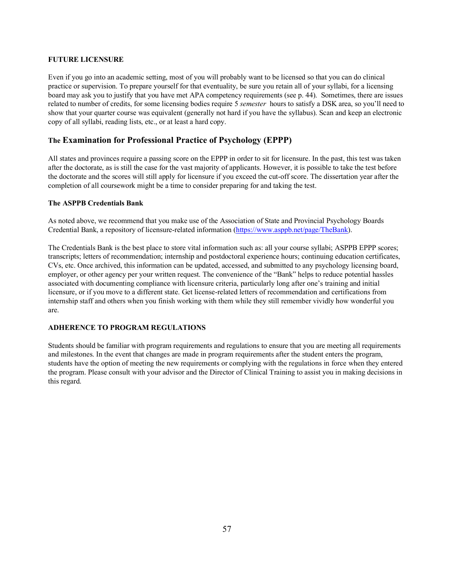#### **FUTURE LICENSURE**

Even if you go into an academic setting, most of you will probably want to be licensed so that you can do clinical practice or supervision. To prepare yourself for that eventuality, be sure you retain all of your syllabi, for a licensing board may ask you to justify that you have met APA competency requirements (see p. 44). Sometimes, there are issues related to number of credits, for some licensing bodies require 5 *semester* hours to satisfy a DSK area, so you'll need to show that your quarter course was equivalent (generally not hard if you have the syllabus). Scan and keep an electronic copy of all syllabi, reading lists, etc., or at least a hard copy.

#### **The Examination for Professional Practice of Psychology (EPPP)**

All states and provinces require a passing score on the EPPP in order to sit for licensure. In the past, this test was taken after the doctorate, as is still the case for the vast majority of applicants. However, it is possible to take the test before the doctorate and the scores will still apply for licensure if you exceed the cut-off score. The dissertation year after the completion of all coursework might be a time to consider preparing for and taking the test.

#### **The ASPPB Credentials Bank**

As noted above, we recommend that you make use of the Association of State and Provincial Psychology Boards Credential Bank, a repository of licensure-related information (https://www.asppb.net/page/TheBank).

The Credentials Bank is the best place to store vital information such as: all your course syllabi; ASPPB EPPP scores; transcripts; letters of recommendation; internship and postdoctoral experience hours; continuing education certificates, CVs, etc. Once archived, this information can be updated, accessed, and submitted to any psychology licensing board, employer, or other agency per your written request. The convenience of the "Bank" helps to reduce potential hassles associated with documenting compliance with licensure criteria, particularly long after one's training and initial licensure, or if you move to a different state. Get license-related letters of recommendation and certifications from internship staff and others when you finish working with them while they still remember vividly how wonderful you are.

#### **ADHERENCE TO PROGRAM REGULATIONS**

Students should be familiar with program requirements and regulations to ensure that you are meeting all requirements and milestones. In the event that changes are made in program requirements after the student enters the program, students have the option of meeting the new requirements or complying with the regulations in force when they entered the program. Please consult with your advisor and the Director of Clinical Training to assist you in making decisions in this regard.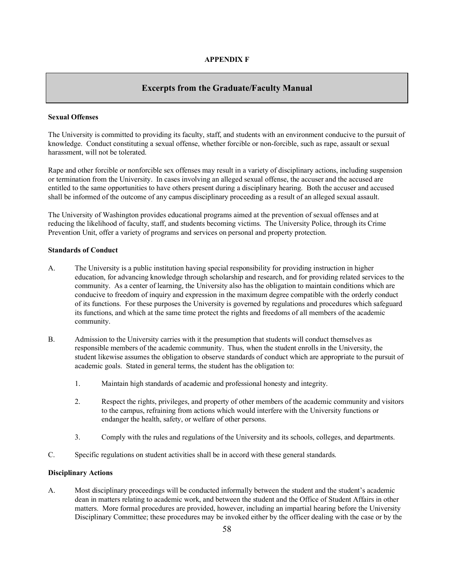#### **Excerpts from the Graduate/Faculty Manual**

#### **Sexual Offenses**

The University is committed to providing its faculty, staff, and students with an environment conducive to the pursuit of knowledge. Conduct constituting a sexual offense, whether forcible or non-forcible, such as rape, assault or sexual harassment, will not be tolerated.

Rape and other forcible or nonforcible sex offenses may result in a variety of disciplinary actions, including suspension or termination from the University. In cases involving an alleged sexual offense, the accuser and the accused are entitled to the same opportunities to have others present during a disciplinary hearing. Both the accuser and accused shall be informed of the outcome of any campus disciplinary proceeding as a result of an alleged sexual assault.

The University of Washington provides educational programs aimed at the prevention of sexual offenses and at reducing the likelihood of faculty, staff, and students becoming victims. The University Police, through its Crime Prevention Unit, offer a variety of programs and services on personal and property protection.

#### **Standards of Conduct**

- A. The University is a public institution having special responsibility for providing instruction in higher education, for advancing knowledge through scholarship and research, and for providing related services to the community. As a center of learning, the University also has the obligation to maintain conditions which are conducive to freedom of inquiry and expression in the maximum degree compatible with the orderly conduct of its functions. For these purposes the University is governed by regulations and procedures which safeguard its functions, and which at the same time protect the rights and freedoms of all members of the academic community.
- B. Admission to the University carries with it the presumption that students will conduct themselves as responsible members of the academic community. Thus, when the student enrolls in the University, the student likewise assumes the obligation to observe standards of conduct which are appropriate to the pursuit of academic goals. Stated in general terms, the student has the obligation to:
	- 1. Maintain high standards of academic and professional honesty and integrity.
	- 2. Respect the rights, privileges, and property of other members of the academic community and visitors to the campus, refraining from actions which would interfere with the University functions or endanger the health, safety, or welfare of other persons.
	- 3. Comply with the rules and regulations of the University and its schools, colleges, and departments.
- C. Specific regulations on student activities shall be in accord with these general standards.

#### **Disciplinary Actions**

A. Most disciplinary proceedings will be conducted informally between the student and the student's academic dean in matters relating to academic work, and between the student and the Office of Student Affairs in other matters. More formal procedures are provided, however, including an impartial hearing before the University Disciplinary Committee; these procedures may be invoked either by the officer dealing with the case or by the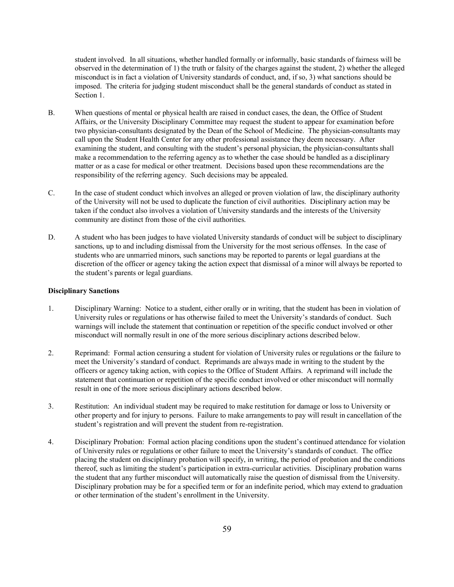student involved. In all situations, whether handled formally or informally, basic standards of fairness will be observed in the determination of 1) the truth or falsity of the charges against the student, 2) whether the alleged misconduct is in fact a violation of University standards of conduct, and, if so, 3) what sanctions should be imposed. The criteria for judging student misconduct shall be the general standards of conduct as stated in Section 1.

- B. When questions of mental or physical health are raised in conduct cases, the dean, the Office of Student Affairs, or the University Disciplinary Committee may request the student to appear for examination before two physician-consultants designated by the Dean of the School of Medicine. The physician-consultants may call upon the Student Health Center for any other professional assistance they deem necessary. After examining the student, and consulting with the student's personal physician, the physician-consultants shall make a recommendation to the referring agency as to whether the case should be handled as a disciplinary matter or as a case for medical or other treatment. Decisions based upon these recommendations are the responsibility of the referring agency. Such decisions may be appealed.
- C. In the case of student conduct which involves an alleged or proven violation of law, the disciplinary authority of the University will not be used to duplicate the function of civil authorities. Disciplinary action may be taken if the conduct also involves a violation of University standards and the interests of the University community are distinct from those of the civil authorities.
- D. A student who has been judges to have violated University standards of conduct will be subject to disciplinary sanctions, up to and including dismissal from the University for the most serious offenses. In the case of students who are unmarried minors, such sanctions may be reported to parents or legal guardians at the discretion of the officer or agency taking the action expect that dismissal of a minor will always be reported to the student's parents or legal guardians.

#### **Disciplinary Sanctions**

- 1. Disciplinary Warning: Notice to a student, either orally or in writing, that the student has been in violation of University rules or regulations or has otherwise failed to meet the University's standards of conduct. Such warnings will include the statement that continuation or repetition of the specific conduct involved or other misconduct will normally result in one of the more serious disciplinary actions described below.
- 2. Reprimand: Formal action censuring a student for violation of University rules or regulations or the failure to meet the University's standard of conduct. Reprimands are always made in writing to the student by the officers or agency taking action, with copies to the Office of Student Affairs. A reprimand will include the statement that continuation or repetition of the specific conduct involved or other misconduct will normally result in one of the more serious disciplinary actions described below.
- 3. Restitution: An individual student may be required to make restitution for damage or loss to University or other property and for injury to persons. Failure to make arrangements to pay will result in cancellation of the student's registration and will prevent the student from re-registration.
- 4. Disciplinary Probation: Formal action placing conditions upon the student's continued attendance for violation of University rules or regulations or other failure to meet the University's standards of conduct. The office placing the student on disciplinary probation will specify, in writing, the period of probation and the conditions thereof, such as limiting the student's participation in extra-curricular activities. Disciplinary probation warns the student that any further misconduct will automatically raise the question of dismissal from the University. Disciplinary probation may be for a specified term or for an indefinite period, which may extend to graduation or other termination of the student's enrollment in the University.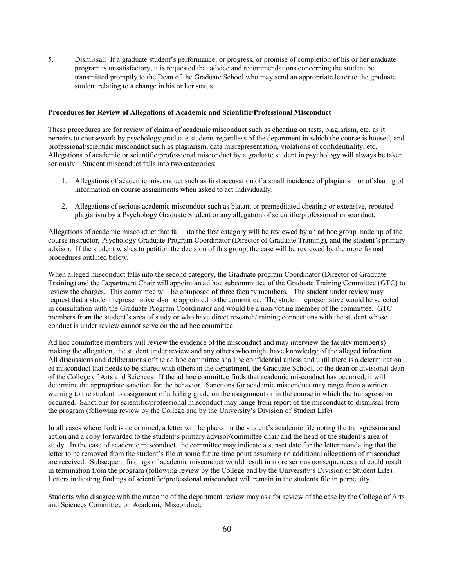5. Dismissal: If a graduate student's performance, or progress, or promise of completion of his or her graduate program is unsatisfactory, it is requested that advice and recommendations concerning the student be transmitted promptly to the Dean of the Graduate School who may send an appropriate letter to the graduate student relating to a change in his or her status.

#### **Procedures for Review of Allegations of Academic and Scientific/Professional Misconduct**

These procedures are for review of claims of academic misconduct such as cheating on tests, plagiarism, etc. as it pertains to coursework by psychology graduate students regardless of the department in which the course is housed, and professional/scientific misconduct such as plagiarism, data misrepresentation, violations of confidentiality, etc. Allegations of academic or scientific/professional misconduct by a graduate student in psychology will always be taken seriously. Student misconduct falls into two categories:

- 1. Allegations of academic misconduct such as first accusation of a small incidence of plagiarism or of sharing of information on course assignments when asked to act individually.
- 2. Allegations of serious academic misconduct such as blatant or premeditated cheating or extensive, repeated plagiarism by a Psychology Graduate Student or any allegation of scientific/professional misconduct.

Allegations of academic misconduct that fall into the first category will be reviewed by an ad hoc group made up of the course instructor, Psychology Graduate Program Coordinator (Director of Graduate Training), and the student's primary advisor. If the student wishes to petition the decision of this group, the case will be reviewed by the more formal procedures outlined below.

When alleged misconduct falls into the second category, the Graduate program Coordinator (Director of Graduate Training) and the Department Chair will appoint an ad hoc subcommittee of the Graduate Training Committee (GTC) to review the charges. This committee will be composed of three faculty members. The student under review may request that a student representative also be appointed to the committee. The student representative would be selected in consultation with the Graduate Program Coordinator and would be a non-voting member of the committee. GTC members from the student's area of study or who have direct research/training connections with the student whose conduct is under review cannot serve on the ad hoc committee.

Ad hoc committee members will review the evidence of the misconduct and may interview the faculty member(s) making the allegation, the student under review and any others who might have knowledge of the alleged infraction. All discussions and deliberations of the ad hoc committee shall be confidential unless and until there is a determination of misconduct that needs to be shared with others in the department, the Graduate School, or the dean or divisional dean of the College of Arts and Sciences. If the ad hoc committee finds that academic misconduct has occurred, it will determine the appropriate sanction for the behavior. Sanctions for academic misconduct may range from a written warning to the student to assignment of a failing grade on the assignment or in the course in which the transgression occurred. Sanctions for scientific/professional misconduct may range from report of the misconduct to dismissal from the program (following review by the College and by the University's Division of Student Life).

In all cases where fault is determined, a letter will be placed in the student's academic file noting the transgression and action and a copy forwarded to the student's primary advisor/committee chair and the head of the student's area of study. In the case of academic misconduct, the committee may indicate a sunset date for the letter mandating that the letter to be removed from the student's file at some future time point assuming no additional allegations of misconduct are received. Subsequent findings of academic misconduct would result in more serious consequences and could result in termination from the program (following review by the College and by the University's Division of Student Life). Letters indicating findings of scientific/professional misconduct will remain in the students file in perpetuity.

Students who disagree with the outcome of the department review may ask for review of the case by the College of Arts and Sciences Committee on Academic Misconduct: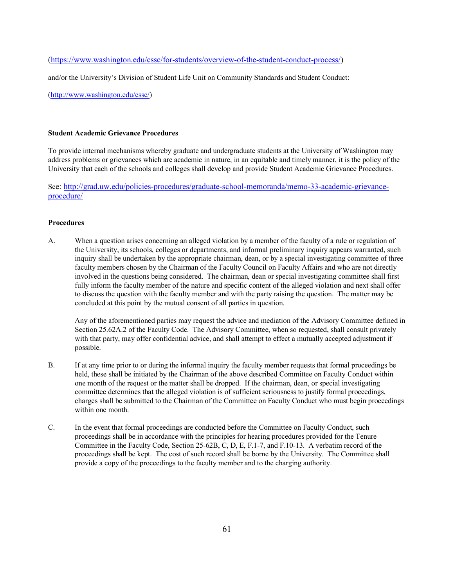(https://www.washington.edu/cssc/for-students/overview-of-the-student-conduct-process/)

and/or the University's Division of Student Life Unit on Community Standards and Student Conduct:

(http://www.washington.edu/cssc/)

#### **Student Academic Grievance Procedures**

To provide internal mechanisms whereby graduate and undergraduate students at the University of Washington may address problems or grievances which are academic in nature, in an equitable and timely manner, it is the policy of the University that each of the schools and colleges shall develop and provide Student Academic Grievance Procedures.

See: http://grad.uw.edu/policies-procedures/graduate-school-memoranda/memo-33-academic-grievanceprocedure/

#### **Procedures**

A. When a question arises concerning an alleged violation by a member of the faculty of a rule or regulation of the University, its schools, colleges or departments, and informal preliminary inquiry appears warranted, such inquiry shall be undertaken by the appropriate chairman, dean, or by a special investigating committee of three faculty members chosen by the Chairman of the Faculty Council on Faculty Affairs and who are not directly involved in the questions being considered. The chairman, dean or special investigating committee shall first fully inform the faculty member of the nature and specific content of the alleged violation and next shall offer to discuss the question with the faculty member and with the party raising the question. The matter may be concluded at this point by the mutual consent of all parties in question.

Any of the aforementioned parties may request the advice and mediation of the Advisory Committee defined in Section 25.62A.2 of the Faculty Code. The Advisory Committee, when so requested, shall consult privately with that party, may offer confidential advice, and shall attempt to effect a mutually accepted adjustment if possible.

- B. If at any time prior to or during the informal inquiry the faculty member requests that formal proceedings be held, these shall be initiated by the Chairman of the above described Committee on Faculty Conduct within one month of the request or the matter shall be dropped. If the chairman, dean, or special investigating committee determines that the alleged violation is of sufficient seriousness to justify formal proceedings, charges shall be submitted to the Chairman of the Committee on Faculty Conduct who must begin proceedings within one month
- C. In the event that formal proceedings are conducted before the Committee on Faculty Conduct, such proceedings shall be in accordance with the principles for hearing procedures provided for the Tenure Committee in the Faculty Code, Section 25-62B, C, D, E, F.1-7, and F.10-13. A verbatim record of the proceedings shall be kept. The cost of such record shall be borne by the University. The Committee shall provide a copy of the proceedings to the faculty member and to the charging authority.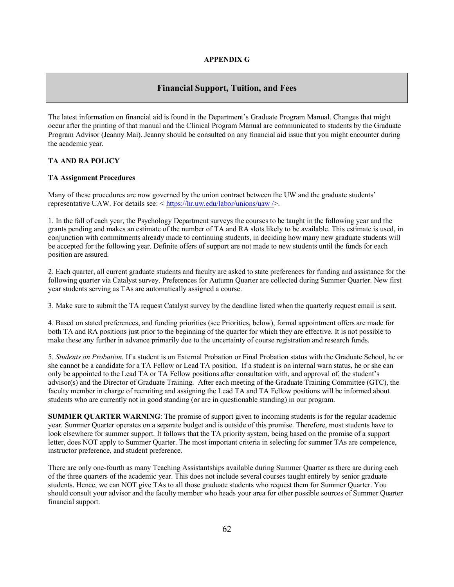#### **Financial Support, Tuition, and Fees**

The latest information on financial aid is found in the Department's Graduate Program Manual. Changes that might occur after the printing of that manual and the Clinical Program Manual are communicated to students by the Graduate Program Advisor (Jeanny Mai). Jeanny should be consulted on any financial aid issue that you might encounter during the academic year.

#### **TA AND RA POLICY**

#### **TA Assignment Procedures**

Many of these procedures are now governed by the union contract between the UW and the graduate students' representative UAW. For details see: < https://hr.uw.edu/labor/unions/uaw />.

1. In the fall of each year, the Psychology Department surveys the courses to be taught in the following year and the grants pending and makes an estimate of the number of TA and RA slots likely to be available. This estimate is used, in conjunction with commitments already made to continuing students, in deciding how many new graduate students will be accepted for the following year. Definite offers of support are not made to new students until the funds for each position are assured.

2. Each quarter, all current graduate students and faculty are asked to state preferences for funding and assistance for the following quarter via Catalyst survey. Preferences for Autumn Quarter are collected during Summer Quarter. New first year students serving as TAs are automatically assigned a course.

3. Make sure to submit the TA request Catalyst survey by the deadline listed when the quarterly request email is sent.

4. Based on stated preferences, and funding priorities (see Priorities, below), formal appointment offers are made for both TA and RA positions just prior to the beginning of the quarter for which they are effective. It is not possible to make these any further in advance primarily due to the uncertainty of course registration and research funds.

5. *Students on Probation.* If a student is on External Probation or Final Probation status with the Graduate School, he or she cannot be a candidate for a TA Fellow or Lead TA position. If a student is on internal warn status, he or she can only be appointed to the Lead TA or TA Fellow positions after consultation with, and approval of, the student's advisor(s) and the Director of Graduate Training. After each meeting of the Graduate Training Committee (GTC), the faculty member in charge of recruiting and assigning the Lead TA and TA Fellow positions will be informed about students who are currently not in good standing (or are in questionable standing) in our program.

**SUMMER QUARTER WARNING**: The promise of support given to incoming students is for the regular academic year. Summer Quarter operates on a separate budget and is outside of this promise. Therefore, most students have to look elsewhere for summer support. It follows that the TA priority system, being based on the promise of a support letter, does NOT apply to Summer Quarter. The most important criteria in selecting for summer TAs are competence, instructor preference, and student preference.

There are only one-fourth as many Teaching Assistantships available during Summer Quarter as there are during each of the three quarters of the academic year. This does not include several courses taught entirely by senior graduate students. Hence, we can NOT give TAs to all those graduate students who request them for Summer Quarter. You should consult your advisor and the faculty member who heads your area for other possible sources of Summer Quarter financial support.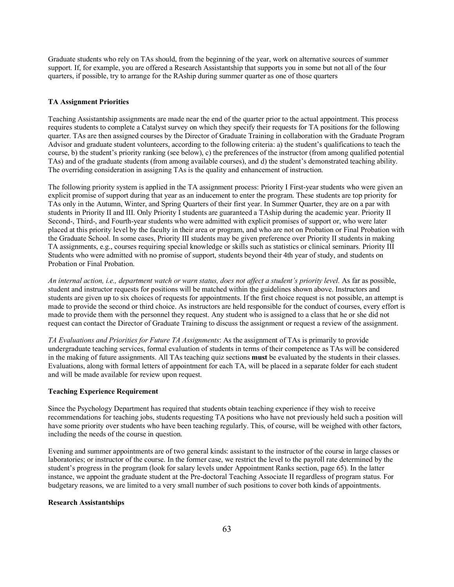Graduate students who rely on TAs should, from the beginning of the year, work on alternative sources of summer support. If, for example, you are offered a Research Assistantship that supports you in some but not all of the four quarters, if possible, try to arrange for the RAship during summer quarter as one of those quarters

#### **TA Assignment Priorities**

Teaching Assistantship assignments are made near the end of the quarter prior to the actual appointment. This process requires students to complete a Catalyst survey on which they specify their requests for TA positions for the following quarter. TAs are then assigned courses by the Director of Graduate Training in collaboration with the Graduate Program Advisor and graduate student volunteers, according to the following criteria: a) the student's qualifications to teach the course, b) the student's priority ranking (see below), c) the preferences of the instructor (from among qualified potential TAs) and of the graduate students (from among available courses), and d) the student's demonstrated teaching ability. The overriding consideration in assigning TAs is the quality and enhancement of instruction.

The following priority system is applied in the TA assignment process: Priority I First-year students who were given an explicit promise of support during that year as an inducement to enter the program. These students are top priority for TAs only in the Autumn, Winter, and Spring Quarters of their first year. In Summer Quarter, they are on a par with students in Priority II and III. Only Priority I students are guaranteed a TAship during the academic year. Priority II Second-, Third-, and Fourth-year students who were admitted with explicit promises of support or, who were later placed at this priority level by the faculty in their area or program, and who are not on Probation or Final Probation with the Graduate School. In some cases, Priority III students may be given preference over Priority II students in making TA assignments, e.g., courses requiring special knowledge or skills such as statistics or clinical seminars. Priority III Students who were admitted with no promise of support, students beyond their 4th year of study, and students on Probation or Final Probation.

*An internal action, i.e., department watch or warn status, does not affect a student's priority level.* As far as possible, student and instructor requests for positions will be matched within the guidelines shown above. Instructors and students are given up to six choices of requests for appointments. If the first choice request is not possible, an attempt is made to provide the second or third choice. As instructors are held responsible for the conduct of courses, every effort is made to provide them with the personnel they request. Any student who is assigned to a class that he or she did not request can contact the Director of Graduate Training to discuss the assignment or request a review of the assignment.

*TA Evaluations and Priorities for Future TA Assignments*: As the assignment of TAs is primarily to provide undergraduate teaching services, formal evaluation of students in terms of their competence as TAs will be considered in the making of future assignments. All TAs teaching quiz sections **must** be evaluated by the students in their classes. Evaluations, along with formal letters of appointment for each TA, will be placed in a separate folder for each student and will be made available for review upon request.

#### **Teaching Experience Requirement**

Since the Psychology Department has required that students obtain teaching experience if they wish to receive recommendations for teaching jobs, students requesting TA positions who have not previously held such a position will have some priority over students who have been teaching regularly. This, of course, will be weighed with other factors, including the needs of the course in question.

Evening and summer appointments are of two general kinds: assistant to the instructor of the course in large classes or laboratories; or instructor of the course. In the former case, we restrict the level to the payroll rate determined by the student's progress in the program (look for salary levels under Appointment Ranks section, page 65). In the latter instance, we appoint the graduate student at the Pre-doctoral Teaching Associate II regardless of program status. For budgetary reasons, we are limited to a very small number of such positions to cover both kinds of appointments.

#### **Research Assistantships**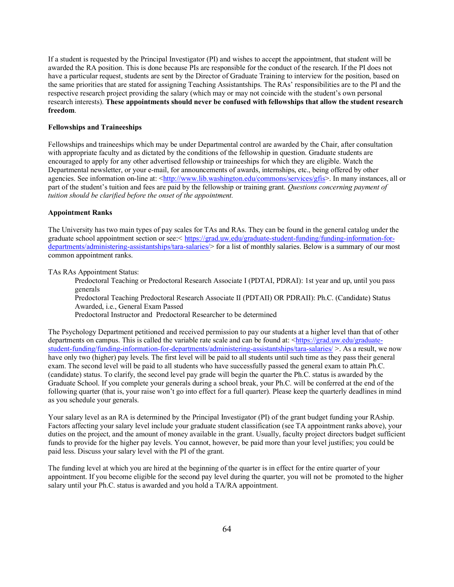If a student is requested by the Principal Investigator (PI) and wishes to accept the appointment, that student will be awarded the RA position. This is done because PIs are responsible for the conduct of the research. If the PI does not have a particular request, students are sent by the Director of Graduate Training to interview for the position, based on the same priorities that are stated for assigning Teaching Assistantships. The RAs' responsibilities are to the PI and the respective research project providing the salary (which may or may not coincide with the student's own personal research interests). **These appointments should never be confused with fellowships that allow the student research freedom**.

#### **Fellowships and Traineeships**

Fellowships and traineeships which may be under Departmental control are awarded by the Chair, after consultation with appropriate faculty and as dictated by the conditions of the fellowship in question. Graduate students are encouraged to apply for any other advertised fellowship or traineeships for which they are eligible. Watch the Departmental newsletter, or your e-mail, for announcements of awards, internships, etc., being offered by other agencies. See information on-line at: <http://www.lib.washington.edu/commons/services/gfis>. In many instances, all or part of the student's tuition and fees are paid by the fellowship or training grant. *Questions concerning payment of tuition should be clarified before the onset of the appointment.*

#### **Appointment Ranks**

The University has two main types of pay scales for TAs and RAs. They can be found in the general catalog under the graduate school appointment section or see:< https://grad.uw.edu/graduate-student-funding/funding-information-fordepartments/administering-assistantships/tara-salaries/> for a list of monthly salaries. Below is a summary of our most common appointment ranks.

TAs RAs Appointment Status:

Predoctoral Teaching or Predoctoral Research Associate I (PDTAI, PDRAI): 1st year and up, until you pass generals

Predoctoral Teaching Predoctoral Research Associate II (PDTAII) OR PDRAII): Ph.C. (Candidate) Status Awarded, i.e., General Exam Passed

Predoctoral Instructor and Predoctoral Researcher to be determined

The Psychology Department petitioned and received permission to pay our students at a higher level than that of other departments on campus. This is called the variable rate scale and can be found at: <https://grad.uw.edu/graduatestudent-funding/funding-information-for-departments/administering-assistantships/tara-salaries/  $>$ . As a result, we now have only two (higher) pay levels. The first level will be paid to all students until such time as they pass their general exam. The second level will be paid to all students who have successfully passed the general exam to attain Ph.C. (candidate) status. To clarify, the second level pay grade will begin the quarter the Ph.C. status is awarded by the Graduate School. If you complete your generals during a school break, your Ph.C. will be conferred at the end of the following quarter (that is, your raise won't go into effect for a full quarter). Please keep the quarterly deadlines in mind as you schedule your generals.

Your salary level as an RA is determined by the Principal Investigator (PI) of the grant budget funding your RAship. Factors affecting your salary level include your graduate student classification (see TA appointment ranks above), your duties on the project, and the amount of money available in the grant. Usually, faculty project directors budget sufficient funds to provide for the higher pay levels. You cannot, however, be paid more than your level justifies; you could be paid less. Discuss your salary level with the PI of the grant.

The funding level at which you are hired at the beginning of the quarter is in effect for the entire quarter of your appointment. If you become eligible for the second pay level during the quarter, you will not be promoted to the higher salary until your Ph.C. status is awarded and you hold a TA/RA appointment.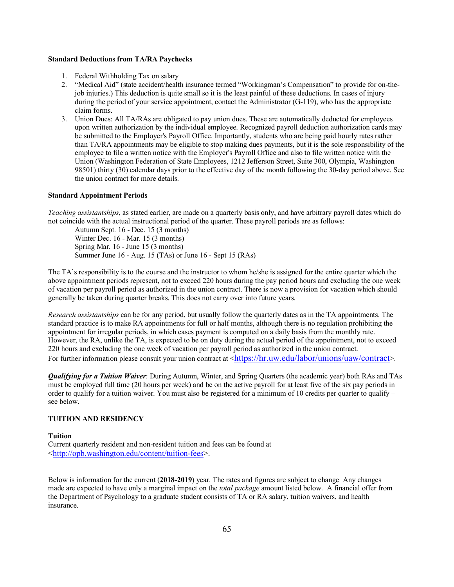#### **Standard Deductions from TA/RA Paychecks**

- 1. Federal Withholding Tax on salary
- 2. "Medical Aid" (state accident/health insurance termed "Workingman's Compensation" to provide for on-thejob injuries.) This deduction is quite small so it is the least painful of these deductions. In cases of injury during the period of your service appointment, contact the Administrator (G-119), who has the appropriate claim forms.
- 3. Union Dues: All TA/RAs are obligated to pay union dues. These are automatically deducted for employees upon written authorization by the individual employee. Recognized payroll deduction authorization cards may be submitted to the Employer's Payroll Office. Importantly, students who are being paid hourly rates rather than TA/RA appointments may be eligible to stop making dues payments, but it is the sole responsibility of the employee to file a written notice with the Employer's Payroll Office and also to file written notice with the Union (Washington Federation of State Employees, 1212 Jefferson Street, Suite 300, Olympia, Washington 98501) thirty (30) calendar days prior to the effective day of the month following the 30-day period above. See the union contract for more details.

#### **Standard Appointment Periods**

*Teaching assistantships*, as stated earlier, are made on a quarterly basis only, and have arbitrary payroll dates which do not coincide with the actual instructional period of the quarter. These payroll periods are as follows:

Autumn Sept. 16 - Dec. 15 (3 months) Winter Dec. 16 - Mar. 15 (3 months) Spring Mar. 16 - June 15 (3 months) Summer June 16 - Aug. 15 (TAs) or June 16 - Sept 15 (RAs)

The TA's responsibility is to the course and the instructor to whom he/she is assigned for the entire quarter which the above appointment periods represent, not to exceed 220 hours during the pay period hours and excluding the one week of vacation per payroll period as authorized in the union contract. There is now a provision for vacation which should generally be taken during quarter breaks. This does not carry over into future years.

*Research assistantships* can be for any period, but usually follow the quarterly dates as in the TA appointments. The standard practice is to make RA appointments for full or half months, although there is no regulation prohibiting the appointment for irregular periods, in which cases payment is computed on a daily basis from the monthly rate. However, the RA, unlike the TA, is expected to be on duty during the actual period of the appointment, not to exceed 220 hours and excluding the one week of vacation per payroll period as authorized in the union contract. For further information please consult your union contract at  $\langle$ https://hr.uw.edu/labor/unions/uaw/contract>.

*Qualifying for a Tuition Waiver*: During Autumn, Winter, and Spring Quarters (the academic year) both RAs and TAs must be employed full time (20 hours per week) and be on the active payroll for at least five of the six pay periods in order to qualify for a tuition waiver. You must also be registered for a minimum of 10 credits per quarter to qualify – see below.

#### **TUITION AND RESIDENCY**

#### **Tuition**

Current quarterly resident and non-resident tuition and fees can be found at <http://opb.washington.edu/content/tuition-fees>.

Below is information for the current (**2018-2019**) year. The rates and figures are subject to change Any changes made are expected to have only a marginal impact on the *total package* amount listed below. A financial offer from the Department of Psychology to a graduate student consists of TA or RA salary, tuition waivers, and health insurance.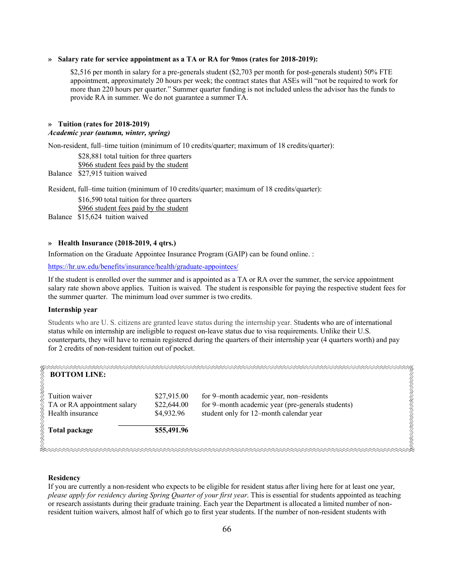#### **» Salary rate for service appointment as a TA or RA for 9mos (rates for 2018-2019):**

\$2,516 per month in salary for a pre-generals student (\$2,703 per month for post-generals student) 50% FTE appointment, approximately 20 hours per week; the contract states that ASEs will "not be required to work for more than 220 hours per quarter." Summer quarter funding is not included unless the advisor has the funds to provide RA in summer. We do not guarantee a summer TA.

#### **» Tuition (rates for 2018-2019)**

#### *Academic year (autumn, winter, spring)*

Non-resident, full–time tuition (minimum of 10 credits/quarter; maximum of 18 credits/quarter):

\$28,881 total tuition for three quarters \$966 student fees paid by the student Balance \$27,915 tuition waived

Resident, full–time tuition (minimum of 10 credits/quarter; maximum of 18 credits/quarter):

\$16,590 total tuition for three quarters \$966 student fees paid by the student

Balance \$15,624 tuition waived

#### **» Health Insurance (2018-2019, 4 qtrs.)**

Information on the Graduate Appointee Insurance Program (GAIP) can be found online. :

https://hr.uw.edu/benefits/insurance/health/graduate-appointees/

If the student is enrolled over the summer and is appointed as a TA or RA over the summer, the service appointment salary rate shown above applies. Tuition is waived. The student is responsible for paying the respective student fees for the summer quarter. The minimum load over summer is two credits.

#### **Internship year**

Students who are U. S. citizens are granted leave status during the internship year. Students who are of international status while on internship are ineligible to request on-leave status due to visa requirements. Unlike their U.S. counterparts, they will have to remain registered during the quarters of their internship year (4 quarters worth) and pay for 2 credits of non-resident tuition out of pocket.

| <b>BOTTOM LINE:</b>                                               |                                          |                                                                                                                                          |
|-------------------------------------------------------------------|------------------------------------------|------------------------------------------------------------------------------------------------------------------------------------------|
| Tuition waiver<br>TA or RA appointment salary<br>Health insurance | \$27,915.00<br>\$22,644.00<br>\$4,932.96 | for 9-month academic year, non-residents<br>for 9-month academic year (pre-generals students)<br>student only for 12-month calendar year |
| Total package                                                     | \$55,491.96                              |                                                                                                                                          |
|                                                                   |                                          |                                                                                                                                          |

#### **Residency**

If you are currently a non-resident who expects to be eligible for resident status after living here for at least one year, *please apply for residency during Spring Quarter of your first year*. This is essential for students appointed as teaching or research assistants during their graduate training. Each year the Department is allocated a limited number of nonresident tuition waivers, almost half of which go to first year students. If the number of non-resident students with